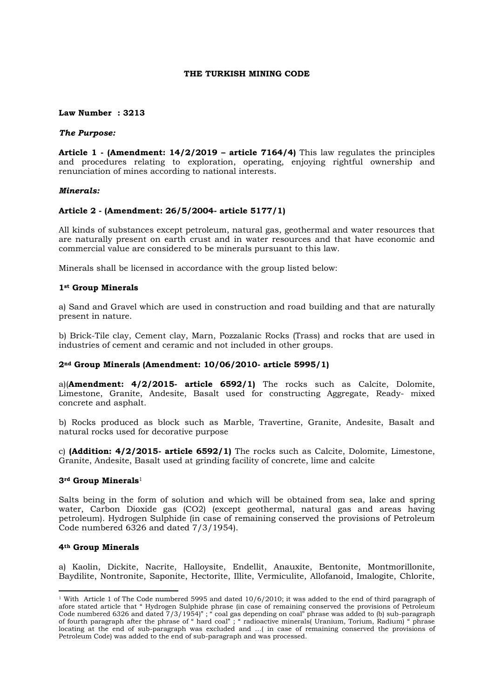## **THE TURKISH MINING CODE**

#### **Law Number : 3213**

#### *The Purpose:*

**Article 1 - (Amendment: 14/2/2019 – article 7164/4)** This law regulates the principles and procedures relating to exploration, operating, enjoying rightful ownership and renunciation of mines according to national interests.

## *Minerals:*

## **Article 2 - (Amendment: 26/5/2004- article 5177/1)**

All kinds of substances except petroleum, natural gas, geothermal and water resources that are naturally present on earth crust and in water resources and that have economic and commercial value are considered to be minerals pursuant to this law.

Minerals shall be licensed in accordance with the group listed below:

# **1st Group Minerals**

a) Sand and Gravel which are used in construction and road building and that are naturally present in nature.

b) Brick-Tile clay, Cement clay, Marn, Pozzalanic Rocks (Trass) and rocks that are used in industries of cement and ceramic and not included in other groups.

## **2nd Group Minerals (Amendment: 10/06/2010- article 5995/1)**

a)(**Amendment: 4/2/2015- article 6592/1)** The rocks such as Calcite, Dolomite, Limestone, Granite, Andesite, Basalt used for constructing Aggregate, Ready- mixed concrete and asphalt.

b) Rocks produced as block such as Marble, Travertine, Granite, Andesite, Basalt and natural rocks used for decorative purpose

c) **(Addition: 4/2/2015- article 6592/1)** The rocks such as Calcite, Dolomite, Limestone, Granite, Andesite, Basalt used at grinding facility of concrete, lime and calcite

#### **3rd Group Minerals**<sup>1</sup>

Salts being in the form of solution and which will be obtained from sea, lake and spring water, Carbon Dioxide gas (CO2) (except geothermal, natural gas and areas having petroleum). Hydrogen Sulphide (in case of remaining conserved the provisions of Petroleum Code numbered 6326 and dated 7/3/1954).

#### **4th Group Minerals**

a) Kaolin, Dickite, Nacrite, Halloysite, Endellit, Anauxite, Bentonite, Montmorillonite, Baydilite, Nontronite, Saponite, Hectorite, Illite, Vermiculite, Allofanoid, Imalogite, Chlorite,

<sup>1</sup> With Article 1 of The Code numbered 5995 and dated 10/6/2010; it was added to the end of third paragraph of afore stated article that " Hydrogen Sulphide phrase (in case of remaining conserved the provisions of Petroleum Code numbered 6326 and dated 7/3/1954)" ; " coal gas depending on coal" phrase was added to (b) sub-paragraph of fourth paragraph after the phrase of " hard coal" ; " radioactive minerals( Uranium, Torium, Radium) " phrase locating at the end of sub-paragraph was excluded and …( in case of remaining conserved the provisions of Petroleum Code) was added to the end of sub-paragraph and was processed.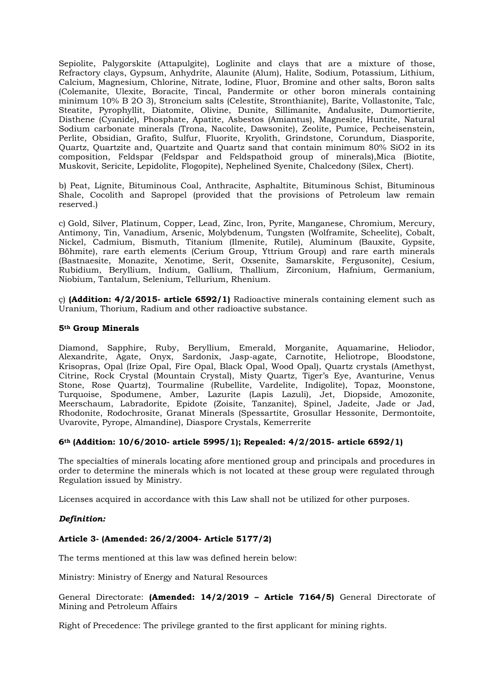Sepiolite, Palygorskite (Attapulgite), Loglinite and clays that are a mixture of those, Refractory clays, Gypsum, Anhydrite, Alaunite (Alum), Halite, Sodium, Potassium, Lithium, Calcium, Magnesium, Chlorine, Nitrate, Iodine, Fluor, Bromine and other salts, Boron salts (Colemanite, Ulexite, Boracite, Tincal, Pandermite or other boron minerals containing minimum 10% B 2O 3), Stroncium salts (Celestite, Stronthianite), Barite, Vollastonite, Talc, Steatite, Pyrophyllit, Diatomite, Olivine, Dunite, Sillimanite, Andalusite, Dumortierite, Disthene (Cyanide), Phosphate, Apatite, Asbestos (Amiantus), Magnesite, Huntite, Natural Sodium carbonate minerals (Trona, Nacolite, Dawsonite), Zeolite, Pumice, Pecheisenstein, Perlite, Obsidian, Grafito, Sulfur, Fluorite, Kryolith, Grindstone, Corundum, Diasporite, Quartz, Quartzite and, Quartzite and Quartz sand that contain minimum 80% SiO2 in its composition, Feldspar (Feldspar and Feldspathoid group of minerals),Mica (Biotite, Muskovit, Sericite, Lepidolite, Flogopite), Nephelined Syenite, Chalcedony (Silex, Chert).

b) Peat, Lignite, Bituminous Coal, Anthracite, Asphaltite, Bituminous Schist, Bituminous Shale, Cocolith and Sapropel (provided that the provisions of Petroleum law remain reserved.)

c) Gold, Silver, Platinum, Copper, Lead, Zinc, Iron, Pyrite, Manganese, Chromium, Mercury, Antimony, Tin, Vanadium, Arsenic, Molybdenum, Tungsten (Wolframite, Scheelite), Cobalt, Nickel, Cadmium, Bismuth, Titanium (Ilmenite, Rutile), Aluminum (Bauxite, Gypsite, Böhmite), rare earth elements (Cerium Group, Yttrium Group) and rare earth minerals (Bastnaesite, Monazite, Xenotime, Serit, Oxsenite, Samarskite, Fergusonite), Cesium, Rubidium, Beryllium, Indium, Gallium, Thallium, Zirconium, Hafnium, Germanium, Niobium, Tantalum, Selenium, Tellurium, Rhenium.

ç) **(Addition: 4/2/2015- article 6592/1)** Radioactive minerals containing element such as Uranium, Thorium, Radium and other radioactive substance.

## **5th Group Minerals**

Diamond, Sapphire, Ruby, Beryllium, Emerald, Morganite, Aquamarine, Heliodor, Alexandrite, Agate, Onyx, Sardonix, Jasp-agate, Carnotite, Heliotrope, Bloodstone, Krisopras, Opal (Irize Opal, Fire Opal, Black Opal, Wood Opal), Quartz crystals (Amethyst, Citrine, Rock Crystal (Mountain Crystal), Misty Quartz, Tiger's Eye, Avanturine, Venus Stone, Rose Quartz), Tourmaline (Rubellite, Vardelite, Indigolite), Topaz, Moonstone, Turquoise, Spodumene, Amber, Lazurite (Lapis Lazuli), Jet, Diopside, Amozonite, Meerschaum, Labradorite, Epidote (Zoisite, Tanzanite), Spinel, Jadeite, Jade or Jad, Rhodonite, Rodochrosite, Granat Minerals (Spessartite, Grosullar Hessonite, Dermontoite, Uvarovite, Pyrope, Almandine), Diaspore Crystals, Kemerrerite

# **6th (Addition: 10/6/2010- article 5995/1); Repealed: 4/2/2015- article 6592/1)**

The specialties of minerals locating afore mentioned group and principals and procedures in order to determine the minerals which is not located at these group were regulated through Regulation issued by Ministry.

Licenses acquired in accordance with this Law shall not be utilized for other purposes.

# *Definition:*

# **Article 3- (Amended: 26/2/2004- Article 5177/2)**

The terms mentioned at this law was defined herein below:

Ministry: Ministry of Energy and Natural Resources

General Directorate: **(Amended: 14/2/2019 – Article 7164/5)** General Directorate of Mining and Petroleum Affairs

Right of Precedence: The privilege granted to the first applicant for mining rights.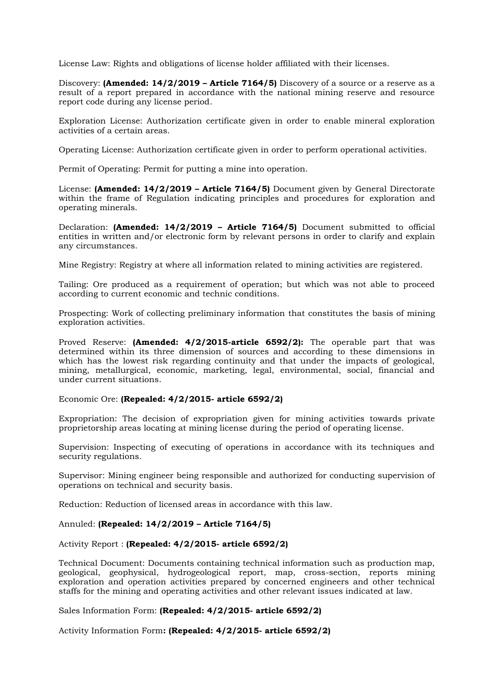License Law: Rights and obligations of license holder affiliated with their licenses.

Discovery: **(Amended: 14/2/2019 – Article 7164/5)** Discovery of a source or a reserve as a result of a report prepared in accordance with the national mining reserve and resource report code during any license period.

Exploration License: Authorization certificate given in order to enable mineral exploration activities of a certain areas.

Operating License: Authorization certificate given in order to perform operational activities.

Permit of Operating: Permit for putting a mine into operation.

License: **(Amended: 14/2/2019 – Article 7164/5)** Document given by General Directorate within the frame of Regulation indicating principles and procedures for exploration and operating minerals.

Declaration: **(Amended: 14/2/2019 – Article 7164/5)** Document submitted to official entities in written and/or electronic form by relevant persons in order to clarify and explain any circumstances.

Mine Registry: Registry at where all information related to mining activities are registered.

Tailing: Ore produced as a requirement of operation; but which was not able to proceed according to current economic and technic conditions.

Prospecting: Work of collecting preliminary information that constitutes the basis of mining exploration activities.

Proved Reserve: **(Amended: 4/2/2015-article 6592/2):** The operable part that was determined within its three dimension of sources and according to these dimensions in which has the lowest risk regarding continuity and that under the impacts of geological, mining, metallurgical, economic, marketing, legal, environmental, social, financial and under current situations.

## Economic Ore: **(Repealed: 4/2/2015- article 6592/2)**

Expropriation: The decision of expropriation given for mining activities towards private proprietorship areas locating at mining license during the period of operating license.

Supervision: Inspecting of executing of operations in accordance with its techniques and security regulations.

Supervisor: Mining engineer being responsible and authorized for conducting supervision of operations on technical and security basis.

Reduction: Reduction of licensed areas in accordance with this law.

## Annuled: **(Repealed: 14/2/2019 – Article 7164/5)**

Activity Report : **(Repealed: 4/2/2015- article 6592/2)**

Technical Document: Documents containing technical information such as production map, geological, geophysical, hydrogeological report, map, cross-section, reports mining exploration and operation activities prepared by concerned engineers and other technical staffs for the mining and operating activities and other relevant issues indicated at law.

Sales Information Form: **(Repealed: 4/2/2015- article 6592/2)**

Activity Information Form**: (Repealed: 4/2/2015- article 6592/2)**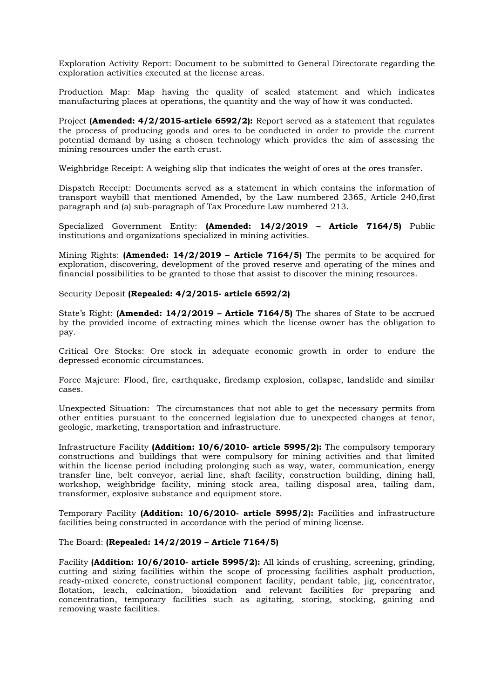Exploration Activity Report: Document to be submitted to General Directorate regarding the exploration activities executed at the license areas.

Production Map: Map having the quality of scaled statement and which indicates manufacturing places at operations, the quantity and the way of how it was conducted.

Project **(Amended: 4/2/2015-article 6592/2):** Report served as a statement that regulates the process of producing goods and ores to be conducted in order to provide the current potential demand by using a chosen technology which provides the aim of assessing the mining resources under the earth crust.

Weighbridge Receipt: A weighing slip that indicates the weight of ores at the ores transfer.

Dispatch Receipt: Documents served as a statement in which contains the information of transport waybill that mentioned Amended, by the Law numbered 2365, Article 240,first paragraph and (a) sub-paragraph of Tax Procedure Law numbered 213.

Specialized Government Entity: **(Amended: 14/2/2019 – Article 7164/5)** Public institutions and organizations specialized in mining activities.

Mining Rights: **(Amended: 14/2/2019 – Article 7164/5)** The permits to be acquired for exploration, discovering, development of the proved reserve and operating of the mines and financial possibilities to be granted to those that assist to discover the mining resources.

Security Deposit **(Repealed: 4/2/2015- article 6592/2)**

State's Right: **(Amended: 14/2/2019 – Article 7164/5)** The shares of State to be accrued by the provided income of extracting mines which the license owner has the obligation to pay.

Critical Ore Stocks: Ore stock in adequate economic growth in order to endure the depressed economic circumstances.

Force Majeure: Flood, fire, earthquake, firedamp explosion, collapse, landslide and similar cases.

Unexpected Situation: The circumstances that not able to get the necessary permits from other entities pursuant to the concerned legislation due to unexpected changes at tenor, geologic, marketing, transportation and infrastructure.

Infrastructure Facility **(Addition: 10/6/2010- article 5995/2):** The compulsory temporary constructions and buildings that were compulsory for mining activities and that limited within the license period including prolonging such as way, water, communication, energy transfer line, belt conveyor, aerial line, shaft facility, construction building, dining hall, workshop, weighbridge facility, mining stock area, tailing disposal area, tailing dam, transformer, explosive substance and equipment store.

Temporary Facility **(Addition: 10/6/2010- article 5995/2):** Facilities and infrastructure facilities being constructed in accordance with the period of mining license.

The Board: **(Repealed: 14/2/2019 – Article 7164/5)**

Facility **(Addition: 10/6/2010- article 5995/2):** All kinds of crushing, screening, grinding, cutting and sizing facilities within the scope of processing facilities asphalt production, ready-mixed concrete, constructional component facility, pendant table, jig, concentrator, flotation, leach, calcination, bioxidation and relevant facilities for preparing and concentration, temporary facilities such as agitating, storing, stocking, gaining and removing waste facilities.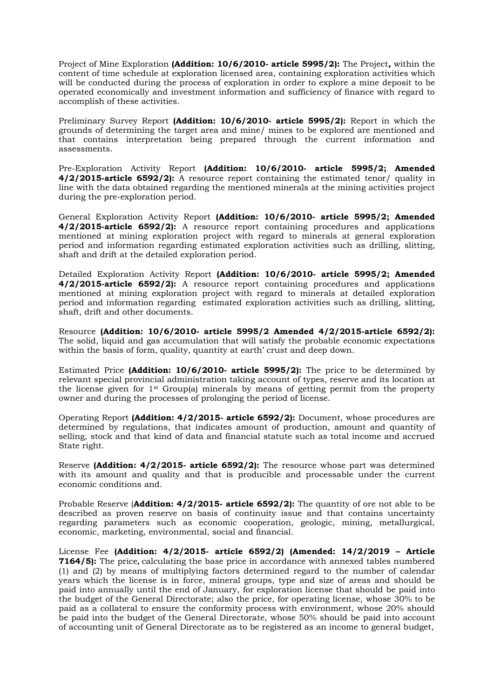Project of Mine Exploration **(Addition: 10/6/2010- article 5995/2):** The Project**,** within the content of time schedule at exploration licensed area, containing exploration activities which will be conducted during the process of exploration in order to explore a mine deposit to be operated economically and investment information and sufficiency of finance with regard to accomplish of these activities.

Preliminary Survey Report **(Addition: 10/6/2010- article 5995/2):** Report in which the grounds of determining the target area and mine/ mines to be explored are mentioned and that contains interpretation being prepared through the current information and assessments.

Pre-Exploration Activity Report **(Addition: 10/6/2010- article 5995/2; Amended 4/2/2015-article 6592/2):** A resource report containing the estimated tenor/ quality in line with the data obtained regarding the mentioned minerals at the mining activities project during the pre-exploration period.

General Exploration Activity Report **(Addition: 10/6/2010- article 5995/2; Amended 4/2/2015-article 6592/2):** A resource report containing procedures and applications mentioned at mining exploration project with regard to minerals at general exploration period and information regarding estimated exploration activities such as drilling, slitting, shaft and drift at the detailed exploration period.

Detailed Exploration Activity Report **(Addition: 10/6/2010- article 5995/2; Amended 4/2/2015-article 6592/2):** A resource report containing procedures and applications mentioned at mining exploration project with regard to minerals at detailed exploration period and information regarding estimated exploration activities such as drilling, slitting, shaft, drift and other documents.

Resource **(Addition: 10/6/2010- article 5995/2 Amended 4/2/2015-article 6592/2):**  The solid, liquid and gas accumulation that will satisfy the probable economic expectations within the basis of form, quality, quantity at earth' crust and deep down.

Estimated Price **(Addition: 10/6/2010- article 5995/2):** The price to be determined by relevant special provincial administration taking account of types, reserve and its location at the license given for  $1<sup>st</sup>$  Group(a) minerals by means of getting permit from the property owner and during the processes of prolonging the period of license.

Operating Report **(Addition: 4/2/2015- article 6592/2):** Document, whose procedures are determined by regulations, that indicates amount of production, amount and quantity of selling, stock and that kind of data and financial statute such as total income and accrued State right.

Reserve **(Addition: 4/2/2015- article 6592/2):** The resource whose part was determined with its amount and quality and that is producible and processable under the current economic conditions and.

Probable Reserve (**Addition: 4/2/2015- article 6592/2):** The quantity of ore not able to be described as proven reserve on basis of continuity issue and that contains uncertainty regarding parameters such as economic cooperation, geologic, mining, metallurgical, economic, marketing, environmental, social and financial.

License Fee **(Addition: 4/2/2015- article 6592/2) (Amended: 14/2/2019 – Article 7164/5):** The price**,** calculating the base price in accordance with annexed tables numbered (1) and (2) by means of multiplying factors determined regard to the number of calendar years which the license is in force, mineral groups, type and size of areas and should be paid into annually until the end of January, for exploration license that should be paid into the budget of the General Directorate; also the price, for operating license, whose 30% to be paid as a collateral to ensure the conformity process with environment, whose 20% should be paid into the budget of the General Directorate, whose 50% should be paid into account of accounting unit of General Directorate as to be registered as an income to general budget,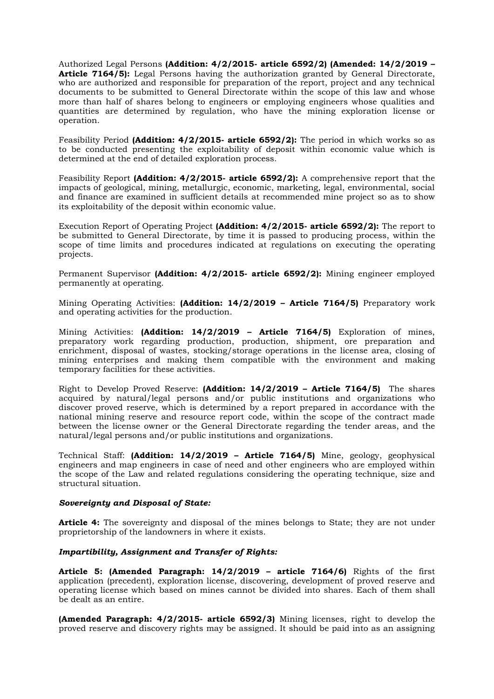Authorized Legal Persons **(Addition: 4/2/2015- article 6592/2) (Amended: 14/2/2019 – Article 7164/5):** Legal Persons having the authorization granted by General Directorate, who are authorized and responsible for preparation of the report, project and any technical documents to be submitted to General Directorate within the scope of this law and whose more than half of shares belong to engineers or employing engineers whose qualities and quantities are determined by regulation, who have the mining exploration license or operation.

Feasibility Period **(Addition: 4/2/2015- article 6592/2):** The period in which works so as to be conducted presenting the exploitability of deposit within economic value which is determined at the end of detailed exploration process.

Feasibility Report **(Addition: 4/2/2015- article 6592/2):** A comprehensive report that the impacts of geological, mining, metallurgic, economic, marketing, legal, environmental, social and finance are examined in sufficient details at recommended mine project so as to show its exploitability of the deposit within economic value.

Execution Report of Operating Project **(Addition: 4/2/2015- article 6592/2):** The report to be submitted to General Directorate, by time it is passed to producing process, within the scope of time limits and procedures indicated at regulations on executing the operating projects.

Permanent Supervisor **(Addition: 4/2/2015- article 6592/2):** Mining engineer employed permanently at operating.

Mining Operating Activities: **(Addition: 14/2/2019 – Article 7164/5)** Preparatory work and operating activities for the production.

Mining Activities: **(Addition: 14/2/2019 – Article 7164/5)** Exploration of mines, preparatory work regarding production, production, shipment, ore preparation and enrichment, disposal of wastes, stocking/storage operations in the license area, closing of mining enterprises and making them compatible with the environment and making temporary facilities for these activities.

Right to Develop Proved Reserve: **(Addition: 14/2/2019 – Article 7164/5)** The shares acquired by natural/legal persons and/or public institutions and organizations who discover proved reserve, which is determined by a report prepared in accordance with the national mining reserve and resource report code, within the scope of the contract made between the license owner or the General Directorate regarding the tender areas, and the natural/legal persons and/or public institutions and organizations.

Technical Staff: **(Addition: 14/2/2019 – Article 7164/5)** Mine, geology, geophysical engineers and map engineers in case of need and other engineers who are employed within the scope of the Law and related regulations considering the operating technique, size and structural situation.

## *Sovereignty and Disposal of State:*

**Article 4:** The sovereignty and disposal of the mines belongs to State; they are not under proprietorship of the landowners in where it exists.

## *Impartibility, Assignment and Transfer of Rights:*

**Article 5: (Amended Paragraph: 14/2/2019 – article 7164/6)** Rights of the first application (precedent), exploration license, discovering, development of proved reserve and operating license which based on mines cannot be divided into shares. Each of them shall be dealt as an entire.

**(Amended Paragraph: 4/2/2015- article 6592/3)** Mining licenses, right to develop the proved reserve and discovery rights may be assigned. It should be paid into as an assigning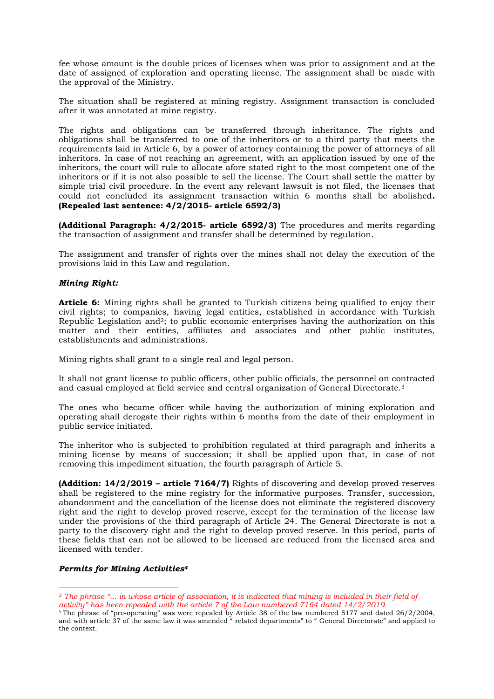fee whose amount is the double prices of licenses when was prior to assignment and at the date of assigned of exploration and operating license. The assignment shall be made with the approval of the Ministry.

The situation shall be registered at mining registry. Assignment transaction is concluded after it was annotated at mine registry.

The rights and obligations can be transferred through inheritance. The rights and obligations shall be transferred to one of the inheritors or to a third party that meets the requirements laid in Article 6, by a power of attorney containing the power of attorneys of all inheritors. In case of not reaching an agreement, with an application issued by one of the inheritors, the court will rule to allocate afore stated right to the most competent one of the inheritors or if it is not also possible to sell the license. The Court shall settle the matter by simple trial civil procedure. In the event any relevant lawsuit is not filed, the licenses that could not concluded its assignment transaction within 6 months shall be abolished**. (Repealed last sentence: 4/2/2015- article 6592/3)**

**(Additional Paragraph: 4/2/2015- article 6592/3)** The procedures and merits regarding the transaction of assignment and transfer shall be determined by regulation.

The assignment and transfer of rights over the mines shall not delay the execution of the provisions laid in this Law and regulation.

# *Mining Right:*

**Article 6:** Mining rights shall be granted to Turkish citizens being qualified to enjoy their civil rights; to companies, having legal entities, established in accordance with Turkish Republic Legislation and2; to public economic enterprises having the authorization on this matter and their entities, affiliates and associates and other public institutes, establishments and administrations.

Mining rights shall grant to a single real and legal person.

It shall not grant license to public officers, other public officials, the personnel on contracted and casual employed at field service and central organization of General Directorate.<sup>3</sup>

The ones who became officer while having the authorization of mining exploration and operating shall derogate their rights within 6 months from the date of their employment in public service initiated.

The inheritor who is subjected to prohibition regulated at third paragraph and inherits a mining license by means of succession; it shall be applied upon that, in case of not removing this impediment situation, the fourth paragraph of Article 5.

**(Addition: 14/2/2019 – article 7164/7)** Rights of discovering and develop proved reserves shall be registered to the mine registry for the informative purposes. Transfer, succession, abandonment and the cancellation of the license does not eliminate the registered discovery right and the right to develop proved reserve, except for the termination of the license law under the provisions of the third paragraph of Article 24. The General Directorate is not a party to the discovery right and the right to develop proved reserve. In this period, parts of these fields that can not be allowed to be licensed are reduced from the licensed area and licensed with tender.

## *Permits for Mining Activities<sup>4</sup>*

<sup>2</sup> *The phrase "... in whose article of association, it is indicated that mining is included in their field of activity" has been repealed with the article 7 of the Law numbered 7164 dated 14/2/2019.*

<sup>&</sup>lt;sup>3</sup> The phrase of "pre-operating" was were repealed by Article 38 of the law numbered 5177 and dated 26/2/2004, and with article 37 of the same law it was amended " related departments" to " General Directorate" and applied to the context.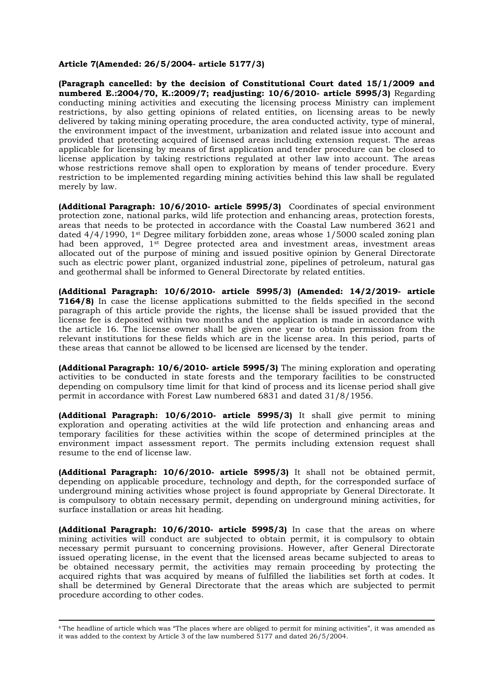#### **Article 7(Amended: 26/5/2004- article 5177/3)**

**(Paragraph cancelled: by the decision of Constitutional Court dated 15/1/2009 and numbered E.:2004/70, K.:2009/7; readjusting: 10/6/2010- article 5995/3)** Regarding conducting mining activities and executing the licensing process Ministry can implement restrictions, by also getting opinions of related entities, on licensing areas to be newly delivered by taking mining operating procedure, the area conducted activity, type of mineral, the environment impact of the investment, urbanization and related issue into account and provided that protecting acquired of licensed areas including extension request. The areas applicable for licensing by means of first application and tender procedure can be closed to license application by taking restrictions regulated at other law into account. The areas whose restrictions remove shall open to exploration by means of tender procedure. Every restriction to be implemented regarding mining activities behind this law shall be regulated merely by law.

**(Additional Paragraph: 10/6/2010- article 5995/3)** Coordinates of special environment protection zone, national parks, wild life protection and enhancing areas, protection forests, areas that needs to be protected in accordance with the Coastal Law numbered 3621 and dated 4/4/1990, 1st Degree military forbidden zone, areas whose 1/5000 scaled zoning plan had been approved, 1st Degree protected area and investment areas, investment areas allocated out of the purpose of mining and issued positive opinion by General Directorate such as electric power plant, organized industrial zone, pipelines of petroleum, natural gas and geothermal shall be informed to General Directorate by related entities.

**(Additional Paragraph: 10/6/2010- article 5995/3) (Amended: 14/2/2019- article 7164/8)** In case the license applications submitted to the fields specified in the second paragraph of this article provide the rights, the license shall be issued provided that the license fee is deposited within two months and the application is made in accordance with the article 16. The license owner shall be given one year to obtain permission from the relevant institutions for these fields which are in the license area. In this period, parts of these areas that cannot be allowed to be licensed are licensed by the tender.

**(Additional Paragraph: 10/6/2010- article 5995/3)** The mining exploration and operating activities to be conducted in state forests and the temporary facilities to be constructed depending on compulsory time limit for that kind of process and its license period shall give permit in accordance with Forest Law numbered 6831 and dated 31/8/1956.

**(Additional Paragraph: 10/6/2010- article 5995/3)** It shall give permit to mining exploration and operating activities at the wild life protection and enhancing areas and temporary facilities for these activities within the scope of determined principles at the environment impact assessment report. The permits including extension request shall resume to the end of license law.

**(Additional Paragraph: 10/6/2010- article 5995/3)** It shall not be obtained permit, depending on applicable procedure, technology and depth, for the corresponded surface of underground mining activities whose project is found appropriate by General Directorate. It is compulsory to obtain necessary permit, depending on underground mining activities, for surface installation or areas hit heading.

**(Additional Paragraph: 10/6/2010- article 5995/3)** In case that the areas on where mining activities will conduct are subjected to obtain permit, it is compulsory to obtain necessary permit pursuant to concerning provisions. However, after General Directorate issued operating license, in the event that the licensed areas became subjected to areas to be obtained necessary permit, the activities may remain proceeding by protecting the acquired rights that was acquired by means of fulfilled the liabilities set forth at codes. It shall be determined by General Directorate that the areas which are subjected to permit procedure according to other codes.

<sup>4</sup> The headline of article which was "The places where are obliged to permit for mining activities", it was amended as it was added to the context by Article 3 of the law numbered 5177 and dated 26/5/2004.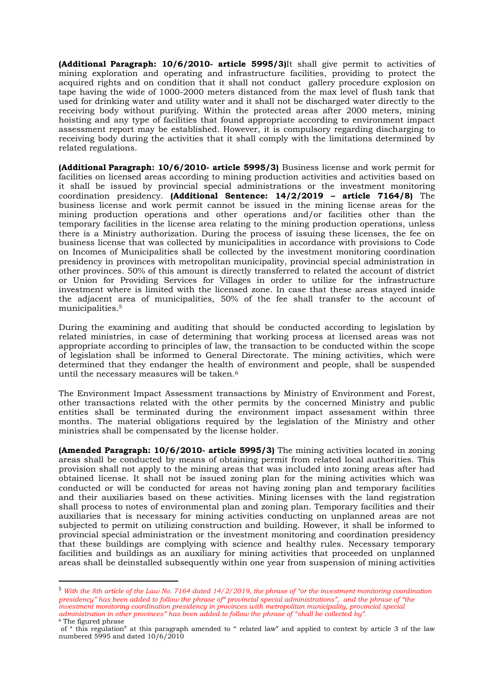**(Additional Paragraph: 10/6/2010- article 5995/3)**It shall give permit to activities of mining exploration and operating and infrastructure facilities, providing to protect the acquired rights and on condition that it shall not conduct gallery procedure explosion on tape having the wide of 1000-2000 meters distanced from the max level of flush tank that used for drinking water and utility water and it shall not be discharged water directly to the receiving body without purifying. Within the protected areas after 2000 meters, mining hoisting and any type of facilities that found appropriate according to environment impact assessment report may be established. However, it is compulsory regarding discharging to receiving body during the activities that it shall comply with the limitations determined by related regulations.

**(Additional Paragraph: 10/6/2010- article 5995/3)** Business license and work permit for facilities on licensed areas according to mining production activities and activities based on it shall be issued by provincial special administrations or the investment monitoring coordination presidency. **(Additional Sentence: 14/2/2019 – article 7164/8)** The business license and work permit cannot be issued in the mining license areas for the mining production operations and other operations and/or facilities other than the temporary facilities in the license area relating to the mining production operations, unless there is a Ministry authorization. During the process of issuing these licenses, the fee on business license that was collected by municipalities in accordance with provisions to Code on Incomes of Municipalities shall be collected by the investment monitoring coordination presidency in provinces with metropolitan municipality, provincial special administration in other provinces. 50% of this amount is directly transferred to related the account of district or Union for Providing Services for Villages in order to utilize for the infrastructure investment where is limited with the licensed zone. In case that these areas stayed inside the adjacent area of municipalities, 50% of the fee shall transfer to the account of municipalities.<sup>5</sup>

During the examining and auditing that should be conducted according to legislation by related ministries, in case of determining that working process at licensed areas was not appropriate according to principles of law, the transaction to be conducted within the scope of legislation shall be informed to General Directorate. The mining activities, which were determined that they endanger the health of environment and people, shall be suspended until the necessary measures will be taken.<sup>6</sup>

The Environment Impact Assessment transactions by Ministry of Environment and Forest, other transactions related with the other permits by the concerned Ministry and public entities shall be terminated during the environment impact assessment within three months. The material obligations required by the legislation of the Ministry and other ministries shall be compensated by the license holder.

**(Amended Paragraph: 10/6/2010- article 5995/3)** The mining activities located in zoning areas shall be conducted by means of obtaining permit from related local authorities. This provision shall not apply to the mining areas that was included into zoning areas after had obtained license. It shall not be issued zoning plan for the mining activities which was conducted or will be conducted for areas not having zoning plan and temporary facilities and their auxiliaries based on these activities. Mining licenses with the land registration shall process to notes of environmental plan and zoning plan. Temporary facilities and their auxiliaries that is necessary for mining activities conducting on unplanned areas are not subjected to permit on utilizing construction and building. However, it shall be informed to provincial special administration or the investment monitoring and coordination presidency that these buildings are complying with science and healthy rules. Necessary temporary facilities and buildings as an auxiliary for mining activities that proceeded on unplanned areas shall be deinstalled subsequently within one year from suspension of mining activities

<sup>&</sup>lt;sup>5</sup> With the 8th article of the Law No. 7164 dated 14/2/2019, the phrase of "or the investment monitoring coordination *presidency" has been added to follow the phrase of" provincial special administrations", and the phrase of "the investment monitoring coordination presidency in provinces with metropolitan municipality, provincial special administration in other provinces" has been added to follow the phrase of "shall be collected by".* <sup>6</sup> The figured phrase

of " this regulation" at this paragraph amended to " related law" and applied to context by article 3 of the law numbered 5995 and dated  $10/6/2010$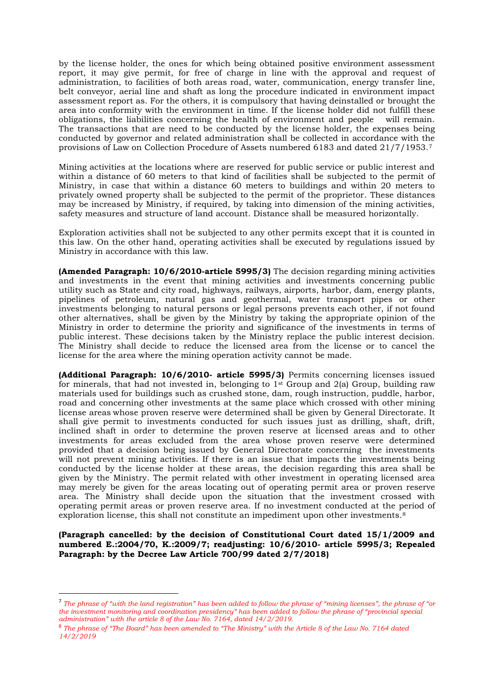by the license holder, the ones for which being obtained positive environment assessment report, it may give permit, for free of charge in line with the approval and request of administration, to facilities of both areas road, water, communication, energy transfer line, belt conveyor, aerial line and shaft as long the procedure indicated in environment impact assessment report as. For the others, it is compulsory that having deinstalled or brought the area into conformity with the environment in time. If the license holder did not fulfill these obligations, the liabilities concerning the health of environment and people will remain. The transactions that are need to be conducted by the license holder, the expenses being conducted by governor and related administration shall be collected in accordance with the provisions of Law on Collection Procedure of Assets numbered 6183 and dated 21/7/1953.<sup>7</sup>

Mining activities at the locations where are reserved for public service or public interest and within a distance of 60 meters to that kind of facilities shall be subjected to the permit of Ministry, in case that within a distance 60 meters to buildings and within 20 meters to privately owned property shall be subjected to the permit of the proprietor. These distances may be increased by Ministry, if required, by taking into dimension of the mining activities, safety measures and structure of land account. Distance shall be measured horizontally.

Exploration activities shall not be subjected to any other permits except that it is counted in this law. On the other hand, operating activities shall be executed by regulations issued by Ministry in accordance with this law.

**(Amended Paragraph: 10/6/2010-article 5995/3)** The decision regarding mining activities and investments in the event that mining activities and investments concerning public utility such as State and city road, highways, railways, airports, harbor, dam, energy plants, pipelines of petroleum, natural gas and geothermal, water transport pipes or other investments belonging to natural persons or legal persons prevents each other, if not found other alternatives, shall be given by the Ministry by taking the appropriate opinion of the Ministry in order to determine the priority and significance of the investments in terms of public interest. These decisions taken by the Ministry replace the public interest decision. The Ministry shall decide to reduce the licensed area from the license or to cancel the license for the area where the mining operation activity cannot be made.

**(Additional Paragraph: 10/6/2010- article 5995/3)** Permits concerning licenses issued for minerals, that had not invested in, belonging to  $1<sup>st</sup>$  Group and  $2(a)$  Group, building raw materials used for buildings such as crushed stone, dam, rough instruction, puddle, harbor, road and concerning other investments at the same place which crossed with other mining license areas whose proven reserve were determined shall be given by General Directorate. It shall give permit to investments conducted for such issues just as drilling, shaft, drift, inclined shaft in order to determine the proven reserve at licensed areas and to other investments for areas excluded from the area whose proven reserve were determined provided that a decision being issued by General Directorate concerning the investments will not prevent mining activities. If there is an issue that impacts the investments being conducted by the license holder at these areas, the decision regarding this area shall be given by the Ministry. The permit related with other investment in operating licensed area may merely be given for the areas locating out of operating permit area or proven reserve area. The Ministry shall decide upon the situation that the investment crossed with operating permit areas or proven reserve area. If no investment conducted at the period of exploration license, this shall not constitute an impediment upon other investments.<sup>8</sup>

**(Paragraph cancelled: by the decision of Constitutional Court dated 15/1/2009 and numbered E.:2004/70, K.:2009/7; readjusting: 10/6/2010- article 5995/3; Repealed Paragraph: by the Decree Law Article 700/99 dated 2/7/2018)**

<sup>7</sup> *The phrase of "with the land registration" has been added to follow the phrase of "mining licenses", the phrase of "or the investment monitoring and coordination presidency" has been added to follow the phrase of "provincial special administration" with the article 8 of the Law No. 7164, dated 14/2/2019.*

<sup>8</sup> *The phrase of "The Board" has been amended to "The Ministry" with the Article 8 of the Law No. 7164 dated 14/2/2019*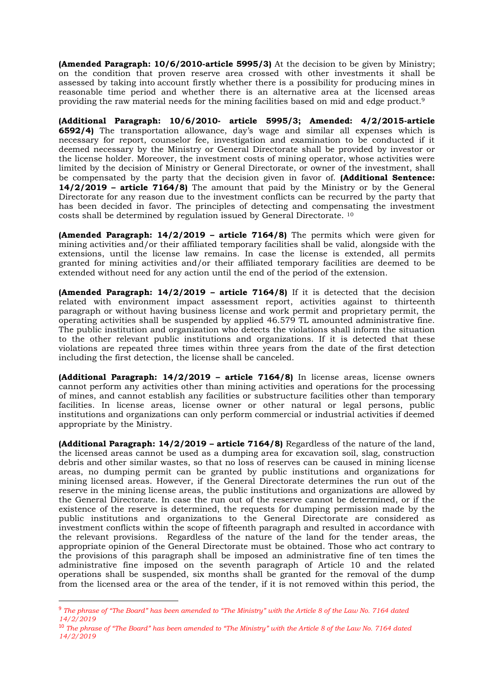**(Amended Paragraph: 10/6/2010-article 5995/3)** At the decision to be given by Ministry; on the condition that proven reserve area crossed with other investments it shall be assessed by taking into account firstly whether there is a possibility for producing mines in reasonable time period and whether there is an alternative area at the licensed areas providing the raw material needs for the mining facilities based on mid and edge product.<sup>9</sup>

**(Additional Paragraph: 10/6/2010- article 5995/3; Amended: 4/2/2015-article 6592/4)** The transportation allowance, day's wage and similar all expenses which is necessary for report, counselor fee, investigation and examination to be conducted if it deemed necessary by the Ministry or General Directorate shall be provided by investor or the license holder. Moreover, the investment costs of mining operator, whose activities were limited by the decision of Ministry or General Directorate, or owner of the investment, shall be compensated by the party that the decision given in favor of. **(Additional Sentence: 14/2/2019 – article 7164/8)** The amount that paid by the Ministry or by the General Directorate for any reason due to the investment conflicts can be recurred by the party that has been decided in favor. The principles of detecting and compensating the investment costs shall be determined by regulation issued by General Directorate. <sup>10</sup>

**(Amended Paragraph: 14/2/2019 – article 7164/8)** The permits which were given for mining activities and/or their affiliated temporary facilities shall be valid, alongside with the extensions, until the license law remains. In case the license is extended, all permits granted for mining activities and/or their affiliated temporary facilities are deemed to be extended without need for any action until the end of the period of the extension.

**(Amended Paragraph: 14/2/2019 – article 7164/8)** If it is detected that the decision related with environment impact assessment report, activities against to thirteenth paragraph or without having business license and work permit and proprietary permit, the operating activities shall be suspended by applied 46.579 TL amounted administrative fine. The public institution and organization who detects the violations shall inform the situation to the other relevant public institutions and organizations. If it is detected that these violations are repeated three times within three years from the date of the first detection including the first detection, the license shall be canceled.

**(Additional Paragraph: 14/2/2019 – article 7164/8)** In license areas, license owners cannot perform any activities other than mining activities and operations for the processing of mines, and cannot establish any facilities or substructure facilities other than temporary facilities. In license areas, license owner or other natural or legal persons, public institutions and organizations can only perform commercial or industrial activities if deemed appropriate by the Ministry.

**(Additional Paragraph: 14/2/2019 – article 7164/8)** Regardless of the nature of the land, the licensed areas cannot be used as a dumping area for excavation soil, slag, construction debris and other similar wastes, so that no loss of reserves can be caused in mining license areas, no dumping permit can be granted by public institutions and organizations for mining licensed areas. However, if the General Directorate determines the run out of the reserve in the mining license areas, the public institutions and organizations are allowed by the General Directorate. In case the run out of the reserve cannot be determined, or if the existence of the reserve is determined, the requests for dumping permission made by the public institutions and organizations to the General Directorate are considered as investment conflicts within the scope of fifteenth paragraph and resulted in accordance with the relevant provisions. Regardless of the nature of the land for the tender areas, the appropriate opinion of the General Directorate must be obtained. Those who act contrary to the provisions of this paragraph shall be imposed an administrative fine of ten times the administrative fine imposed on the seventh paragraph of Article 10 and the related operations shall be suspended, six months shall be granted for the removal of the dump from the licensed area or the area of the tender, if it is not removed within this period, the

<sup>9</sup> *The phrase of "The Board" has been amended to "The Ministry" with the Article 8 of the Law No. 7164 dated 14/2/2019*

<sup>10</sup> *The phrase of "The Board" has been amended to "The Ministry" with the Article 8 of the Law No. 7164 dated 14/2/2019*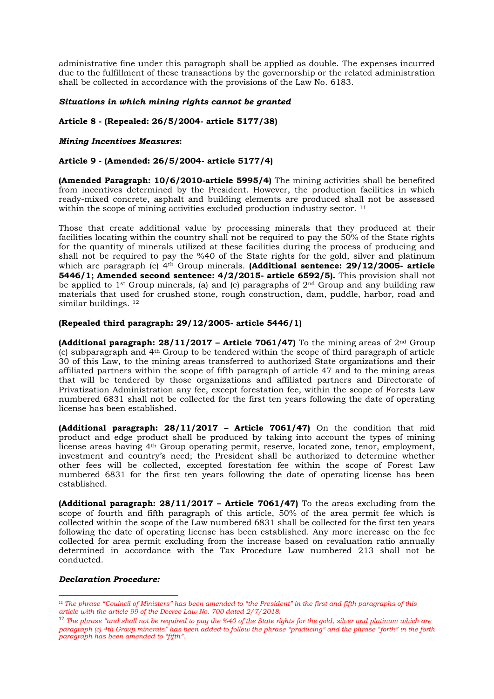administrative fine under this paragraph shall be applied as double. The expenses incurred due to the fulfillment of these transactions by the governorship or the related administration shall be collected in accordance with the provisions of the Law No. 6183.

## *Situations in which mining rights cannot be granted*

# **Article 8 - (Repealed: 26/5/2004- article 5177/38)**

# *Mining Incentives Measures***:**

# **Article 9 - (Amended: 26/5/2004- article 5177/4)**

**(Amended Paragraph: 10/6/2010-article 5995/4)** The mining activities shall be benefited from incentives determined by the President. However, the production facilities in which ready-mixed concrete, asphalt and building elements are produced shall not be assessed within the scope of mining activities excluded production industry sector.<sup>11</sup>

Those that create additional value by processing minerals that they produced at their facilities locating within the country shall not be required to pay the 50% of the State rights for the quantity of minerals utilized at these facilities during the process of producing and shall not be required to pay the %40 of the State rights for the gold, silver and platinum which are paragraph (c) 4th Group minerals. **(Additional sentence: 29/12/2005- article 5446/1; Amended second sentence: 4/2/2015- article 6592/5).** This provision shall not be applied to 1<sup>st</sup> Group minerals, (a) and (c) paragraphs of 2<sup>nd</sup> Group and any building raw materials that used for crushed stone, rough construction, dam, puddle, harbor, road and similar buildings. 12

## **(Repealed third paragraph: 29/12/2005- article 5446/1)**

**(Additional paragraph: 28/11/2017 – Article 7061/47)** To the mining areas of  $2^{nd}$  Group (c) subparagraph and 4th Group to be tendered within the scope of third paragraph of article 30 of this Law, to the mining areas transferred to authorized State organizations and their affiliated partners within the scope of fifth paragraph of article 47 and to the mining areas that will be tendered by those organizations and affiliated partners and Directorate of Privatization Administration any fee, except forestation fee, within the scope of Forests Law numbered 6831 shall not be collected for the first ten years following the date of operating license has been established.

**(Additional paragraph: 28/11/2017 – Article 7061/47)** On the condition that mid product and edge product shall be produced by taking into account the types of mining license areas having 4th Group operating permit, reserve, located zone, tenor, employment, investment and country's need; the President shall be authorized to determine whether other fees will be collected, excepted forestation fee within the scope of Forest Law numbered 6831 for the first ten years following the date of operating license has been established.

**(Additional paragraph: 28/11/2017 – Article 7061/47)** To the areas excluding from the scope of fourth and fifth paragraph of this article, 50% of the area permit fee which is collected within the scope of the Law numbered 6831 shall be collected for the first ten years following the date of operating license has been established. Any more increase on the fee collected for area permit excluding from the increase based on revaluation ratio annually determined in accordance with the Tax Procedure Law numbered 213 shall not be conducted.

## *Declaration Procedure:*

<sup>&</sup>lt;sup>11</sup> The phrase "Couincil of Ministers" has been amended to "the President" in the first and fifth paragraphs of this *article with the article 99 of the Decree Law No. 700 dated 2/7/2018.*

<sup>&</sup>lt;sup>12</sup> *The phrase "and shall not be required to pay the %40 of the State rights for the gold, silver and platinum which are paragraph (c) 4th Group minerals" has been added to follow the phrase "producing" and the phrase "forth" in the forth paragraph has been amended to "fifth".*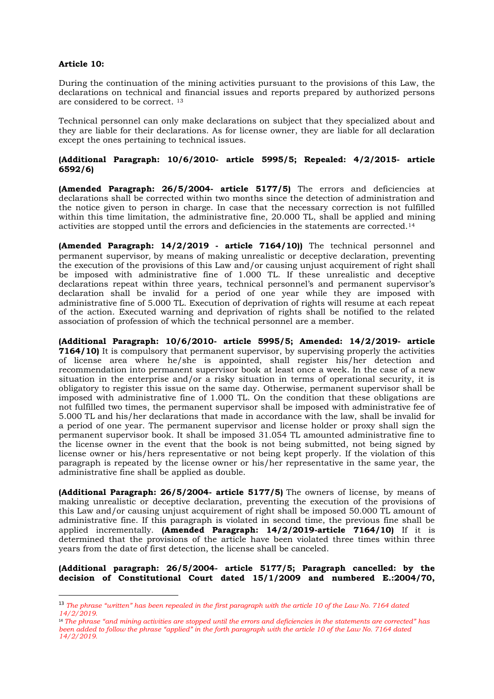# **Article 10:**

During the continuation of the mining activities pursuant to the provisions of this Law, the declarations on technical and financial issues and reports prepared by authorized persons are considered to be correct. <sup>13</sup>

Technical personnel can only make declarations on subject that they specialized about and they are liable for their declarations. As for license owner, they are liable for all declaration except the ones pertaining to technical issues.

# **(Additional Paragraph: 10/6/2010- article 5995/5; Repealed: 4/2/2015- article 6592/6)**

**(Amended Paragraph: 26/5/2004- article 5177/5)** The errors and deficiencies at declarations shall be corrected within two months since the detection of administration and the notice given to person in charge. In case that the necessary correction is not fulfilled within this time limitation, the administrative fine, 20.000 TL, shall be applied and mining activities are stopped until the errors and deficiencies in the statements are corrected.<sup>14</sup>

**(Amended Paragraph: 14/2/2019 - article 7164/10))** The technical personnel and permanent supervisor, by means of making unrealistic or deceptive declaration, preventing the execution of the provisions of this Law and/or causing unjust acquirement of right shall be imposed with administrative fine of 1.000 TL. If these unrealistic and deceptive declarations repeat within three years, technical personnel's and permanent supervisor's declaration shall be invalid for a period of one year while they are imposed with administrative fine of 5.000 TL. Execution of deprivation of rights will resume at each repeat of the action. Executed warning and deprivation of rights shall be notified to the related association of profession of which the technical personnel are a member.

**(Additional Paragraph: 10/6/2010- article 5995/5; Amended: 14/2/2019- article 7164/10)** It is compulsory that permanent supervisor, by supervising properly the activities of license area where he/she is appointed, shall register his/her detection and recommendation into permanent supervisor book at least once a week. In the case of a new situation in the enterprise and/or a risky situation in terms of operational security, it is obligatory to register this issue on the same day. Otherwise, permanent supervisor shall be imposed with administrative fine of 1.000 TL. On the condition that these obligations are not fulfilled two times, the permanent supervisor shall be imposed with administrative fee of 5.000 TL and his/her declarations that made in accordance with the law, shall be invalid for a period of one year. The permanent supervisor and license holder or proxy shall sign the permanent supervisor book. It shall be imposed 31.054 TL amounted administrative fine to the license owner in the event that the book is not being submitted, not being signed by license owner or his/hers representative or not being kept properly. If the violation of this paragraph is repeated by the license owner or his/her representative in the same year, the administrative fine shall be applied as double.

**(Additional Paragraph: 26/5/2004- article 5177/5)** The owners of license, by means of making unrealistic or deceptive declaration, preventing the execution of the provisions of this Law and/or causing unjust acquirement of right shall be imposed 50.000 TL amount of administrative fine. If this paragraph is violated in second time, the previous fine shall be applied incrementally. **(Amended Paragraph: 14/2/2019-article 7164/10)** If it is determined that the provisions of the article have been violated three times within three years from the date of first detection, the license shall be canceled.

**(Additional paragraph: 26/5/2004- article 5177/5; Paragraph cancelled: by the decision of Constitutional Court dated 15/1/2009 and numbered E.:2004/70,** 

<sup>&</sup>lt;sup>13</sup> The phrase "written" has been repealed in the first paragraph with the article 10 of the Law No. 7164 dated *14/2/2019.*

<sup>14</sup> *The phrase "and mining activities are stopped until the errors and deficiencies in the statements are corrected" has been added to follow the phrase "applied" in the forth paragraph with the article 10 of the Law No. 7164 dated 14/2/2019.*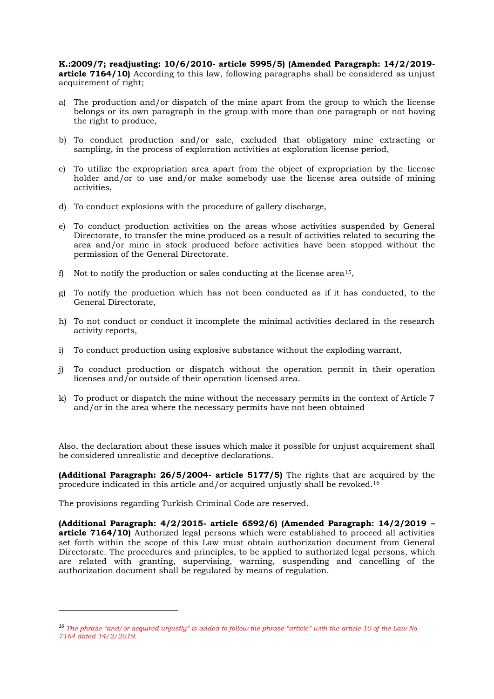**K.:2009/7; readjusting: 10/6/2010- article 5995/5) (Amended Paragraph: 14/2/2019 article 7164/10)** According to this law, following paragraphs shall be considered as unjust acquirement of right;

- a) The production and/or dispatch of the mine apart from the group to which the license belongs or its own paragraph in the group with more than one paragraph or not having the right to produce,
- b) To conduct production and/or sale, excluded that obligatory mine extracting or sampling, in the process of exploration activities at exploration license period,
- c) To utilize the expropriation area apart from the object of expropriation by the license holder and/or to use and/or make somebody use the license area outside of mining activities,
- d) To conduct explosions with the procedure of gallery discharge,
- e) To conduct production activities on the areas whose activities suspended by General Directorate, to transfer the mine produced as a result of activities related to securing the area and/or mine in stock produced before activities have been stopped without the permission of the General Directorate.
- f) Not to notify the production or sales conducting at the license area<sup>15</sup>,
- g) To notify the production which has not been conducted as if it has conducted, to the General Directorate,
- h) To not conduct or conduct it incomplete the minimal activities declared in the research activity reports,
- i) To conduct production using explosive substance without the exploding warrant,
- j) To conduct production or dispatch without the operation permit in their operation licenses and/or outside of their operation licensed area.
- k) To product or dispatch the mine without the necessary permits in the context of Article 7 and/or in the area where the necessary permits have not been obtained

Also, the declaration about these issues which make it possible for unjust acquirement shall be considered unrealistic and deceptive declarations.

**(Additional Paragraph: 26/5/2004- article 5177/5)** The rights that are acquired by the procedure indicated in this article and/or acquired unjustly shall be revoked.<sup>16</sup>

The provisions regarding Turkish Criminal Code are reserved.

**(Additional Paragraph: 4/2/2015- article 6592/6) (Amended Paragraph: 14/2/2019 – article 7164/10)** Authorized legal persons which were established to proceed all activities set forth within the scope of this Law must obtain authorization document from General Directorate. The procedures and principles, to be applied to authorized legal persons, which are related with granting, supervising, warning, suspending and cancelling of the authorization document shall be regulated by means of regulation.

*<sup>16</sup> The phrase "and/or acquired unjustly" is added to follow the phrase "article" with the article 10 of the Law No. 7164 dated 14/2/2019.*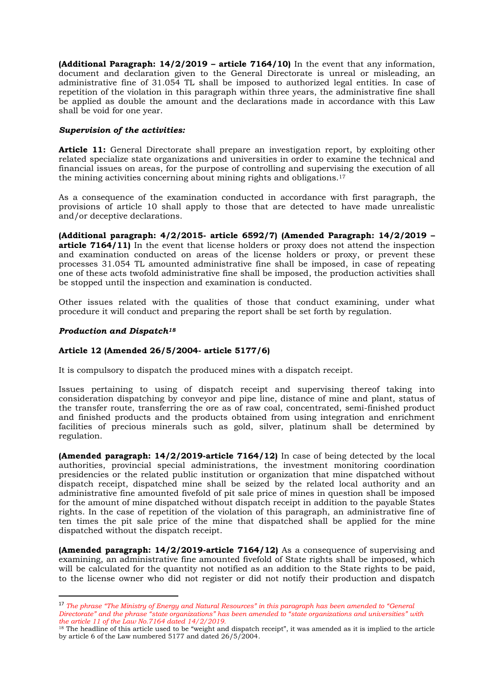**(Additional Paragraph: 14/2/2019 – article 7164/10)** In the event that any information, document and declaration given to the General Directorate is unreal or misleading, an administrative fine of 31.054 TL shall be imposed to authorized legal entities. In case of repetition of the violation in this paragraph within three years, the administrative fine shall be applied as double the amount and the declarations made in accordance with this Law shall be void for one year.

# *Supervision of the activities:*

**Article 11:** General Directorate shall prepare an investigation report, by exploiting other related specialize state organizations and universities in order to examine the technical and financial issues on areas, for the purpose of controlling and supervising the execution of all the mining activities concerning about mining rights and obligations.<sup>17</sup>

As a consequence of the examination conducted in accordance with first paragraph, the provisions of article 10 shall apply to those that are detected to have made unrealistic and/or deceptive declarations.

**(Additional paragraph: 4/2/2015- article 6592/7) (Amended Paragraph: 14/2/2019 – article 7164/11)** In the event that license holders or proxy does not attend the inspection and examination conducted on areas of the license holders or proxy, or prevent these processes 31.054 TL amounted administrative fine shall be imposed, in case of repeating one of these acts twofold administrative fine shall be imposed, the production activities shall be stopped until the inspection and examination is conducted.

Other issues related with the qualities of those that conduct examining, under what procedure it will conduct and preparing the report shall be set forth by regulation.

# *Production and Dispatch<sup>18</sup>*

# **Article 12 (Amended 26/5/2004- article 5177/6)**

It is compulsory to dispatch the produced mines with a dispatch receipt.

Issues pertaining to using of dispatch receipt and supervising thereof taking into consideration dispatching by conveyor and pipe line, distance of mine and plant, status of the transfer route, transferring the ore as of raw coal, concentrated, semi-finished product and finished products and the products obtained from using integration and enrichment facilities of precious minerals such as gold, silver, platinum shall be determined by regulation.

**(Amended paragraph: 14/2/2019-article 7164/12)** In case of being detected by the local authorities, provincial special administrations, the investment monitoring coordination presidencies or the related public institution or organization that mine dispatched without dispatch receipt, dispatched mine shall be seized by the related local authority and an administrative fine amounted fivefold of pit sale price of mines in question shall be imposed for the amount of mine dispatched without dispatch receipt in addition to the payable States rights. In the case of repetition of the violation of this paragraph, an administrative fine of ten times the pit sale price of the mine that dispatched shall be applied for the mine dispatched without the dispatch receipt.

**(Amended paragraph: 14/2/2019-article 7164/12)** As a consequence of supervising and examining, an administrative fine amounted fivefold of State rights shall be imposed, which will be calculated for the quantity not notified as an addition to the State rights to be paid, to the license owner who did not register or did not notify their production and dispatch

<sup>17</sup> *The phrase "The Ministry of Energy and Natural Resources" in this paragraph has been amended to "General Directorate" and the phrase "state organizations" has been amended to "state organizations and universities" with the article 11 of the Law No.7164 dated 14/2/2019.*

<sup>&</sup>lt;sup>18</sup> The headline of this article used to be "weight and dispatch receipt", it was amended as it is implied to the article by article 6 of the Law numbered 5177 and dated 26/5/2004.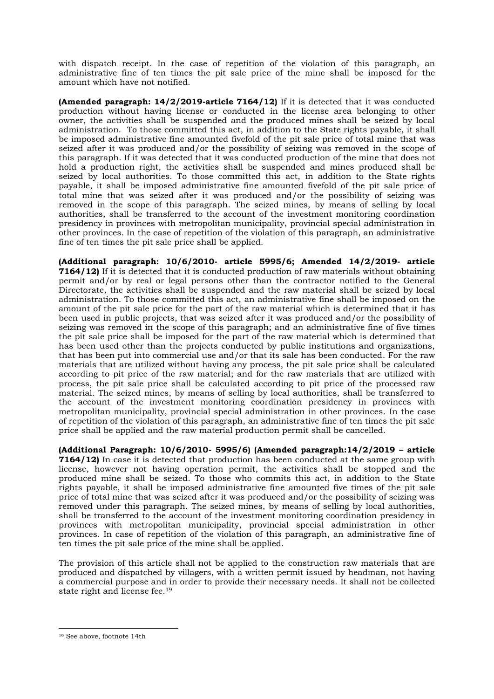with dispatch receipt. In the case of repetition of the violation of this paragraph, an administrative fine of ten times the pit sale price of the mine shall be imposed for the amount which have not notified.

**(Amended paragraph: 14/2/2019-article 7164/12)** If it is detected that it was conducted production without having license or conducted in the license area belonging to other owner, the activities shall be suspended and the produced mines shall be seized by local administration. To those committed this act, in addition to the State rights payable, it shall be imposed administrative fine amounted fivefold of the pit sale price of total mine that was seized after it was produced and/or the possibility of seizing was removed in the scope of this paragraph. If it was detected that it was conducted production of the mine that does not hold a production right, the activities shall be suspended and mines produced shall be seized by local authorities. To those committed this act, in addition to the State rights payable, it shall be imposed administrative fine amounted fivefold of the pit sale price of total mine that was seized after it was produced and/or the possibility of seizing was removed in the scope of this paragraph. The seized mines, by means of selling by local authorities, shall be transferred to the account of the investment monitoring coordination presidency in provinces with metropolitan municipality, provincial special administration in other provinces. In the case of repetition of the violation of this paragraph, an administrative fine of ten times the pit sale price shall be applied.

**(Additional paragraph: 10/6/2010- article 5995/6; Amended 14/2/2019- article 7164/12)** If it is detected that it is conducted production of raw materials without obtaining permit and/or by real or legal persons other than the contractor notified to the General Directorate, the activities shall be suspended and the raw material shall be seized by local administration. To those committed this act, an administrative fine shall be imposed on the amount of the pit sale price for the part of the raw material which is determined that it has been used in public projects, that was seized after it was produced and/or the possibility of seizing was removed in the scope of this paragraph; and an administrative fine of five times the pit sale price shall be imposed for the part of the raw material which is determined that has been used other than the projects conducted by public institutions and organizations, that has been put into commercial use and/or that its sale has been conducted. For the raw materials that are utilized without having any process, the pit sale price shall be calculated according to pit price of the raw material; and for the raw materials that are utilized with process, the pit sale price shall be calculated according to pit price of the processed raw material. The seized mines, by means of selling by local authorities, shall be transferred to the account of the investment monitoring coordination presidency in provinces with metropolitan municipality, provincial special administration in other provinces. In the case of repetition of the violation of this paragraph, an administrative fine of ten times the pit sale price shall be applied and the raw material production permit shall be cancelled.

**(Additional Paragraph: 10/6/2010- 5995/6) (Amended paragraph:14/2/2019 – article 7164/12)** In case it is detected that production has been conducted at the same group with license, however not having operation permit, the activities shall be stopped and the produced mine shall be seized. To those who commits this act, in addition to the State rights payable, it shall be imposed administrative fine amounted five times of the pit sale price of total mine that was seized after it was produced and/or the possibility of seizing was removed under this paragraph. The seized mines, by means of selling by local authorities, shall be transferred to the account of the investment monitoring coordination presidency in provinces with metropolitan municipality, provincial special administration in other provinces. In case of repetition of the violation of this paragraph, an administrative fine of ten times the pit sale price of the mine shall be applied.

The provision of this article shall not be applied to the construction raw materials that are produced and dispatched by villagers, with a written permit issued by headman, not having a commercial purpose and in order to provide their necessary needs. It shall not be collected state right and license fee.<sup>19</sup>

<sup>19</sup> See above, footnote 14th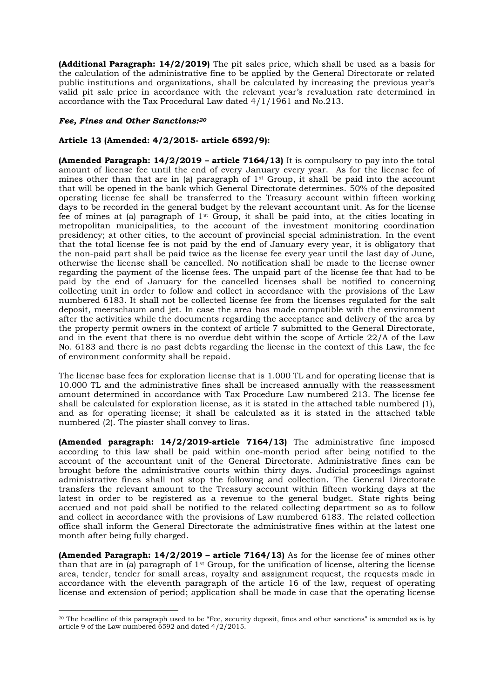**(Additional Paragraph: 14/2/2019)** The pit sales price, which shall be used as a basis for the calculation of the administrative fine to be applied by the General Directorate or related public institutions and organizations, shall be calculated by increasing the previous year's valid pit sale price in accordance with the relevant year's revaluation rate determined in accordance with the Tax Procedural Law dated 4/1/1961 and No.213.

# *Fee, Fines and Other Sanctions:<sup>20</sup>*

# **Article 13 (Amended: 4/2/2015- article 6592/9):**

**(Amended Paragraph: 14/2/2019 – article 7164/13)** It is compulsory to pay into the total amount of license fee until the end of every January every year. As for the license fee of mines other than that are in (a) paragraph of  $1<sup>st</sup>$  Group, it shall be paid into the account that will be opened in the bank which General Directorate determines. 50% of the deposited operating license fee shall be transferred to the Treasury account within fifteen working days to be recorded in the general budget by the relevant accountant unit. As for the license fee of mines at (a) paragraph of  $1<sup>st</sup>$  Group, it shall be paid into, at the cities locating in metropolitan municipalities, to the account of the investment monitoring coordination presidency; at other cities, to the account of provincial special administration. In the event that the total license fee is not paid by the end of January every year, it is obligatory that the non-paid part shall be paid twice as the license fee every year until the last day of June, otherwise the license shall be cancelled. No notification shall be made to the license owner regarding the payment of the license fees. The unpaid part of the license fee that had to be paid by the end of January for the cancelled licenses shall be notified to concerning collecting unit in order to follow and collect in accordance with the provisions of the Law numbered 6183. It shall not be collected license fee from the licenses regulated for the salt deposit, meerschaum and jet. In case the area has made compatible with the environment after the activities while the documents regarding the acceptance and delivery of the area by the property permit owners in the context of article 7 submitted to the General Directorate, and in the event that there is no overdue debt within the scope of Article 22/A of the Law No. 6183 and there is no past debts regarding the license in the context of this Law, the fee of environment conformity shall be repaid.

The license base fees for exploration license that is 1.000 TL and for operating license that is 10.000 TL and the administrative fines shall be increased annually with the reassessment amount determined in accordance with Tax Procedure Law numbered 213. The license fee shall be calculated for exploration license, as it is stated in the attached table numbered (1), and as for operating license; it shall be calculated as it is stated in the attached table numbered (2). The piaster shall convey to liras.

**(Amended paragraph: 14/2/2019-article 7164/13)** The administrative fine imposed according to this law shall be paid within one-month period after being notified to the account of the accountant unit of the General Directorate. Administrative fines can be brought before the administrative courts within thirty days. Judicial proceedings against administrative fines shall not stop the following and collection. The General Directorate transfers the relevant amount to the Treasury account within fifteen working days at the latest in order to be registered as a revenue to the general budget. State rights being accrued and not paid shall be notified to the related collecting department so as to follow and collect in accordance with the provisions of Law numbered 6183. The related collection office shall inform the General Directorate the administrative fines within at the latest one month after being fully charged.

**(Amended Paragraph: 14/2/2019 – article 7164/13)** As for the license fee of mines other than that are in (a) paragraph of  $1<sup>st</sup>$  Group, for the unification of license, altering the license area, tender, tender for small areas, royalty and assignment request, the requests made in accordance with the eleventh paragraph of the article 16 of the law, request of operating license and extension of period; application shall be made in case that the operating license

<sup>20</sup> The headline of this paragraph used to be "Fee, security deposit, fines and other sanctions" is amended as is by article 9 of the Law numbered 6592 and dated 4/2/2015.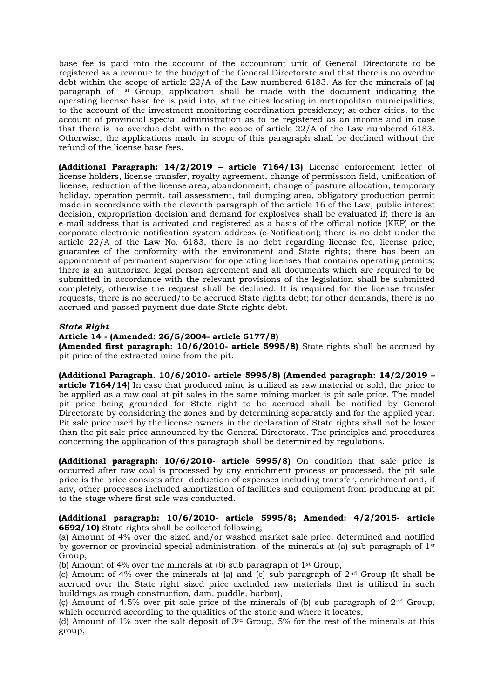base fee is paid into the account of the accountant unit of General Directorate to be registered as a revenue to the budget of the General Directorate and that there is no overdue debt within the scope of article 22/A of the Law numbered 6183. As for the minerals of (a) paragraph of 1st Group, application shall be made with the document indicating the operating license base fee is paid into, at the cities locating in metropolitan municipalities, to the account of the investment monitoring coordination presidency; at other cities, to the account of provincial special administration as to be registered as an income and in case that there is no overdue debt within the scope of article 22/A of the Law numbered 6183. Otherwise, the applications made in scope of this paragraph shall be declined without the refund of the license base fees.

**(Additional Paragraph: 14/2/2019 – article 7164/13)** License enforcement letter of license holders, license transfer, royalty agreement, change of permission field, unification of license, reduction of the license area, abandonment, change of pasture allocation, temporary holiday, operation permit, tail assessment, tail dumping area, obligatory production permit made in accordance with the eleventh paragraph of the article 16 of the Law, public interest decision, expropriation decision and demand for explosives shall be evaluated if; there is an e-mail address that is activated and registered as a basis of the official notice (KEP) or the corporate electronic notification system address (e-Notification); there is no debt under the article 22/A of the Law No. 6183, there is no debt regarding license fee, license price, guarantee of the conformity with the environment and State rights; there has been an appointment of permanent supervisor for operating licenses that contains operating permits; there is an authorized legal person agreement and all documents which are required to be submitted in accordance with the relevant provisions of the legislation shall be submitted completely, otherwise the request shall be declined. It is required for the license transfer requests, there is no accrued/to be accrued State rights debt; for other demands, there is no accrued and passed payment due date State rights debt.

## *State Right*

#### **Article 14 - (Amended: 26/5/2004- article 5177/8)**

**(Amended first paragraph: 10/6/2010- article 5995/8)** State rights shall be accrued by pit price of the extracted mine from the pit.

**(Additional Paragraph. 10/6/2010- article 5995/8) (Amended paragraph: 14/2/2019 – article 7164/14)** In case that produced mine is utilized as raw material or sold, the price to be applied as a raw coal at pit sales in the same mining market is pit sale price. The model pit price being grounded for State right to be accrued shall be notified by General Directorate by considering the zones and by determining separately and for the applied year. Pit sale price used by the license owners in the declaration of State rights shall not be lower than the pit sale price announced by the General Directorate. The principles and procedures concerning the application of this paragraph shall be determined by regulations.

**(Additional paragraph: 10/6/2010- article 5995/8)** On condition that sale price is occurred after raw coal is processed by any enrichment process or processed, the pit sale price is the price consists after deduction of expenses including transfer, enrichment and, if any, other processes included amortization of facilities and equipment from producing at pit to the stage where first sale was conducted.

# **(Additional paragraph: 10/6/2010- article 5995/8; Amended: 4/2/2015- article 6592/10)** State rights shall be collected following;

(a) Amount of 4% over the sized and/or washed market sale price, determined and notified by governor or provincial special administration, of the minerals at (a) sub paragraph of  $1<sup>st</sup>$ Group,

(b) Amount of 4% over the minerals at (b) sub paragraph of  $1<sup>st</sup>$  Group,

(c) Amount of 4% over the minerals at (a) and (c) sub paragraph of  $2<sup>nd</sup>$  Group (It shall be accrued over the State right sized price excluded raw materials that is utilized in such buildings as rough construction, dam, puddle, harbor),

(c) Amount of 4.5% over pit sale price of the minerals of (b) sub paragraph of  $2<sup>nd</sup>$  Group, which occurred according to the qualities of the stone and where it locates,

(d) Amount of 1% over the salt deposit of  $3<sup>rd</sup>$  Group, 5% for the rest of the minerals at this group,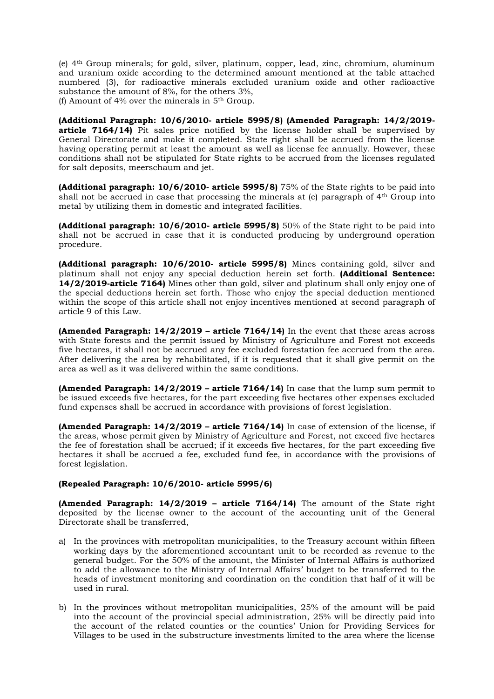(e) 4th Group minerals; for gold, silver, platinum, copper, lead, zinc, chromium, aluminum and uranium oxide according to the determined amount mentioned at the table attached numbered (3), for radioactive minerals excluded uranium oxide and other radioactive substance the amount of 8%, for the others 3%,

(f) Amount of  $4\%$  over the minerals in  $5<sup>th</sup>$  Group.

**(Additional Paragraph: 10/6/2010- article 5995/8) (Amended Paragraph: 14/2/2019 article 7164/14)** Pit sales price notified by the license holder shall be supervised by General Directorate and make it completed. State right shall be accrued from the license having operating permit at least the amount as well as license fee annually. However, these conditions shall not be stipulated for State rights to be accrued from the licenses regulated for salt deposits, meerschaum and jet.

**(Additional paragraph: 10/6/2010- article 5995/8)** 75% of the State rights to be paid into shall not be accrued in case that processing the minerals at  $(c)$  paragraph of  $4<sup>th</sup>$  Group into metal by utilizing them in domestic and integrated facilities.

**(Additional paragraph: 10/6/2010- article 5995/8)** 50% of the State right to be paid into shall not be accrued in case that it is conducted producing by underground operation procedure.

**(Additional paragraph: 10/6/2010- article 5995/8)** Mines containing gold, silver and platinum shall not enjoy any special deduction herein set forth. **(Additional Sentence: 14/2/2019-article 7164)** Mines other than gold, silver and platinum shall only enjoy one of the special deductions herein set forth. Those who enjoy the special deduction mentioned within the scope of this article shall not enjoy incentives mentioned at second paragraph of article 9 of this Law.

**(Amended Paragraph: 14/2/2019 – article 7164/14)** In the event that these areas across with State forests and the permit issued by Ministry of Agriculture and Forest not exceeds five hectares, it shall not be accrued any fee excluded forestation fee accrued from the area. After delivering the area by rehabilitated, if it is requested that it shall give permit on the area as well as it was delivered within the same conditions.

**(Amended Paragraph: 14/2/2019 – article 7164/14)** In case that the lump sum permit to be issued exceeds five hectares, for the part exceeding five hectares other expenses excluded fund expenses shall be accrued in accordance with provisions of forest legislation.

**(Amended Paragraph: 14/2/2019 – article 7164/14)** In case of extension of the license, if the areas, whose permit given by Ministry of Agriculture and Forest, not exceed five hectares the fee of forestation shall be accrued; if it exceeds five hectares, for the part exceeding five hectares it shall be accrued a fee, excluded fund fee, in accordance with the provisions of forest legislation.

# **(Repealed Paragraph: 10/6/2010- article 5995/6)**

**(Amended Paragraph: 14/2/2019 – article 7164/14)** The amount of the State right deposited by the license owner to the account of the accounting unit of the General Directorate shall be transferred,

- a) In the provinces with metropolitan municipalities, to the Treasury account within fifteen working days by the aforementioned accountant unit to be recorded as revenue to the general budget. For the 50% of the amount, the Minister of Internal Affairs is authorized to add the allowance to the Ministry of Internal Affairs' budget to be transferred to the heads of investment monitoring and coordination on the condition that half of it will be used in rural.
- b) In the provinces without metropolitan municipalities, 25% of the amount will be paid into the account of the provincial special administration, 25% will be directly paid into the account of the related counties or the counties' Union for Providing Services for Villages to be used in the substructure investments limited to the area where the license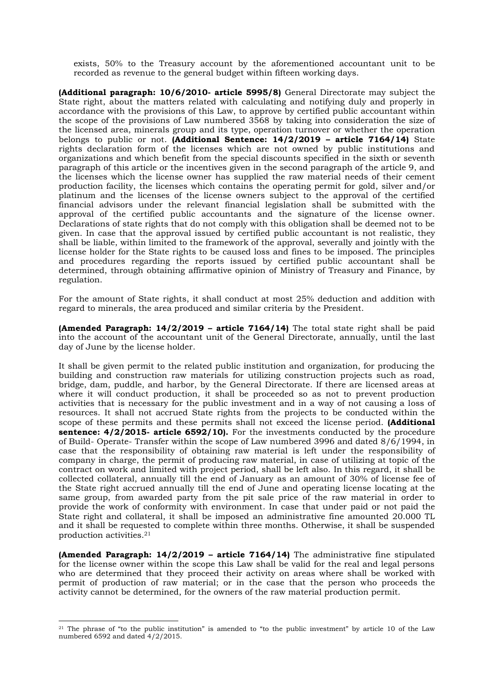exists, 50% to the Treasury account by the aforementioned accountant unit to be recorded as revenue to the general budget within fifteen working days.

**(Additional paragraph: 10/6/2010- article 5995/8)** General Directorate may subject the State right, about the matters related with calculating and notifying duly and properly in accordance with the provisions of this Law, to approve by certified public accountant within the scope of the provisions of Law numbered 3568 by taking into consideration the size of the licensed area, minerals group and its type, operation turnover or whether the operation belongs to public or not. **(Additional Sentence: 14/2/2019 – article 7164/14)** State rights declaration form of the licenses which are not owned by public institutions and organizations and which benefit from the special discounts specified in the sixth or seventh paragraph of this article or the incentives given in the second paragraph of the article 9, and the licenses which the license owner has supplied the raw material needs of their cement production facility, the licenses which contains the operating permit for gold, silver and/or platinum and the licenses of the license owners subject to the approval of the certified financial advisors under the relevant financial legislation shall be submitted with the approval of the certified public accountants and the signature of the license owner. Declarations of state rights that do not comply with this obligation shall be deemed not to be given. In case that the approval issued by certified public accountant is not realistic, they shall be liable, within limited to the framework of the approval, severally and jointly with the license holder for the State rights to be caused loss and fines to be imposed. The principles and procedures regarding the reports issued by certified public accountant shall be determined, through obtaining affirmative opinion of Ministry of Treasury and Finance, by regulation.

For the amount of State rights, it shall conduct at most 25% deduction and addition with regard to minerals, the area produced and similar criteria by the President.

**(Amended Paragraph: 14/2/2019 – article 7164/14)** The total state right shall be paid into the account of the accountant unit of the General Directorate, annually, until the last day of June by the license holder.

It shall be given permit to the related public institution and organization, for producing the building and construction raw materials for utilizing construction projects such as road, bridge, dam, puddle, and harbor, by the General Directorate. If there are licensed areas at where it will conduct production, it shall be proceeded so as not to prevent production activities that is necessary for the public investment and in a way of not causing a loss of resources. It shall not accrued State rights from the projects to be conducted within the scope of these permits and these permits shall not exceed the license period. **(Additional sentence: 4/2/2015- article 6592/10).** For the investments conducted by the procedure of Build- Operate- Transfer within the scope of Law numbered 3996 and dated 8/6/1994, in case that the responsibility of obtaining raw material is left under the responsibility of company in charge, the permit of producing raw material, in case of utilizing at topic of the contract on work and limited with project period, shall be left also. In this regard, it shall be collected collateral, annually till the end of January as an amount of 30% of license fee of the State right accrued annually till the end of June and operating license locating at the same group, from awarded party from the pit sale price of the raw material in order to provide the work of conformity with environment. In case that under paid or not paid the State right and collateral, it shall be imposed an administrative fine amounted 20.000 TL and it shall be requested to complete within three months. Otherwise, it shall be suspended production activities.<sup>21</sup>

**(Amended Paragraph: 14/2/2019 – article 7164/14)** The administrative fine stipulated for the license owner within the scope this Law shall be valid for the real and legal persons who are determined that they proceed their activity on areas where shall be worked with permit of production of raw material; or in the case that the person who proceeds the activity cannot be determined, for the owners of the raw material production permit.

<sup>&</sup>lt;sup>21</sup> The phrase of "to the public institution" is amended to "to the public investment" by article 10 of the Law numbered 6592 and dated 4/2/2015.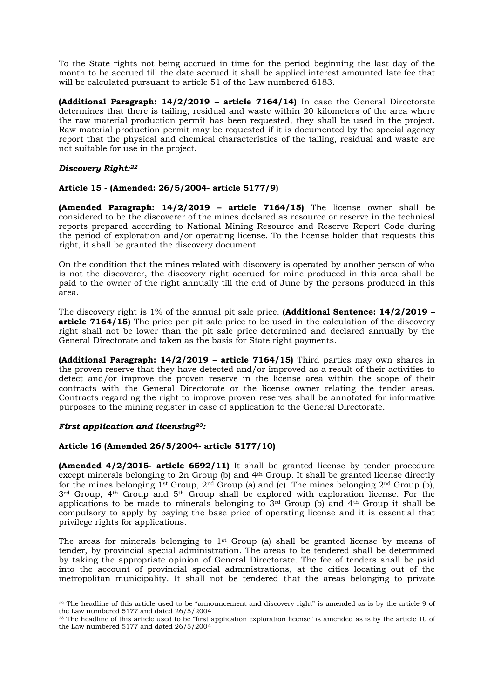To the State rights not being accrued in time for the period beginning the last day of the month to be accrued till the date accrued it shall be applied interest amounted late fee that will be calculated pursuant to article 51 of the Law numbered 6183.

**(Additional Paragraph: 14/2/2019 – article 7164/14)** In case the General Directorate determines that there is tailing, residual and waste within 20 kilometers of the area where the raw material production permit has been requested, they shall be used in the project. Raw material production permit may be requested if it is documented by the special agency report that the physical and chemical characteristics of the tailing, residual and waste are not suitable for use in the project.

# *Discovery Right:<sup>22</sup>*

# **Article 15 - (Amended: 26/5/2004- article 5177/9)**

**(Amended Paragraph: 14/2/2019 – article 7164/15)** The license owner shall be considered to be the discoverer of the mines declared as resource or reserve in the technical reports prepared according to National Mining Resource and Reserve Report Code during the period of exploration and/or operating license. To the license holder that requests this right, it shall be granted the discovery document.

On the condition that the mines related with discovery is operated by another person of who is not the discoverer, the discovery right accrued for mine produced in this area shall be paid to the owner of the right annually till the end of June by the persons produced in this area.

The discovery right is 1% of the annual pit sale price. **(Additional Sentence: 14/2/2019 – article 7164/15)** The price per pit sale price to be used in the calculation of the discovery right shall not be lower than the pit sale price determined and declared annually by the General Directorate and taken as the basis for State right payments.

**(Additional Paragraph: 14/2/2019 – article 7164/15)** Third parties may own shares in the proven reserve that they have detected and/or improved as a result of their activities to detect and/or improve the proven reserve in the license area within the scope of their contracts with the General Directorate or the license owner relating the tender areas. Contracts regarding the right to improve proven reserves shall be annotated for informative purposes to the mining register in case of application to the General Directorate.

## *First application and licensing23:*

## **Article 16 (Amended 26/5/2004- article 5177/10)**

**(Amended 4/2/2015- article 6592/11)** It shall be granted license by tender procedure except minerals belonging to 2n Group (b) and 4th Group. It shall be granted license directly for the mines belonging  $1^{st}$  Group,  $2^{nd}$  Group (a) and (c). The mines belonging  $2^{nd}$  Group (b), 3rd Group, 4th Group and 5th Group shall be explored with exploration license. For the applications to be made to minerals belonging to  $3<sup>rd</sup>$  Group (b) and  $4<sup>th</sup>$  Group it shall be compulsory to apply by paying the base price of operating license and it is essential that privilege rights for applications.

The areas for minerals belonging to 1<sup>st</sup> Group (a) shall be granted license by means of tender, by provincial special administration. The areas to be tendered shall be determined by taking the appropriate opinion of General Directorate. The fee of tenders shall be paid into the account of provincial special administrations, at the cities locating out of the metropolitan municipality. It shall not be tendered that the areas belonging to private

<sup>&</sup>lt;sup>22</sup> The headline of this article used to be "announcement and discovery right" is amended as is by the article 9 of the Law numbered 5177 and dated 26/5/2004

 $23$  The headline of this article used to be "first application exploration license" is amended as is by the article 10 of the Law numbered 5177 and dated 26/5/2004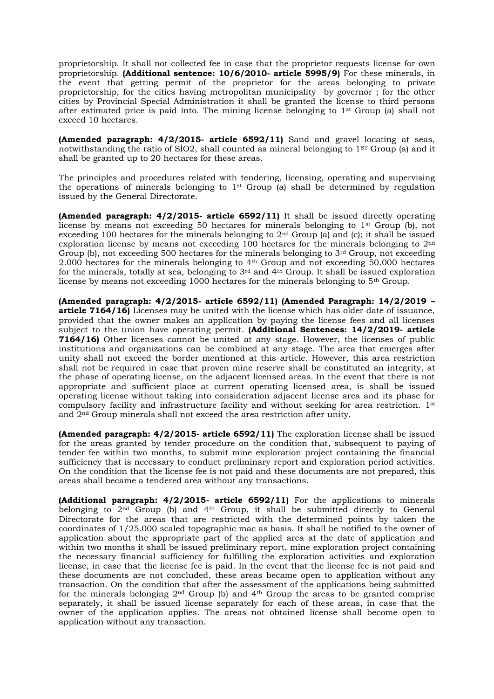proprietorship. It shall not collected fee in case that the proprietor requests license for own proprietorship. **(Additional sentence: 10/6/2010- article 5995/9)** For these minerals, in the event that getting permit of the proprietor for the areas belonging to private proprietorship, for the cities having metropolitan municipality by governor ; for the other cities by Provincial Special Administration it shall be granted the license to third persons after estimated price is paid into. The mining license belonging to 1st Group (a) shall not exceed 10 hectares.

**(Amended paragraph: 4/2/2015- article 6592/11)** Sand and gravel locating at seas, notwithstanding the ratio of  $SiO2$ , shall counted as mineral belonging to  $1<sup>ST</sup>$  Group (a) and it shall be granted up to 20 hectares for these areas.

The principles and procedures related with tendering, licensing, operating and supervising the operations of minerals belonging to 1st Group (a) shall be determined by regulation issued by the General Directorate.

**(Amended paragraph: 4/2/2015- article 6592/11)** It shall be issued directly operating license by means not exceeding 50 hectares for minerals belonging to 1st Group (b), not exceeding 100 hectares for the minerals belonging to 2nd Group (a) and (c); it shall be issued exploration license by means not exceeding 100 hectares for the minerals belonging to 2nd Group (b), not exceeding 500 hectares for the minerals belonging to 3<sup>rd</sup> Group, not exceeding 2.000 hectares for the minerals belonging to 4th Group and not exceeding 50.000 hectares for the minerals, totally at sea, belonging to  $3<sup>rd</sup>$  and  $4<sup>th</sup>$  Group. It shall be issued exploration license by means not exceeding 1000 hectares for the minerals belonging to 5th Group.

**(Amended paragraph: 4/2/2015- article 6592/11) (Amended Paragraph: 14/2/2019 – article 7164/16)** Licenses may be united with the license which has older date of issuance, provided that the owner makes an application by paying the license fees and all licenses subject to the union have operating permit. **(Additional Sentences: 14/2/2019- article 7164/16)** Other licenses cannot be united at any stage. However, the licenses of public institutions and organizations can be combined at any stage. The area that emerges after unity shall not exceed the border mentioned at this article. However, this area restriction shall not be required in case that proven mine reserve shall be constituted an integrity, at the phase of operating license, on the adjacent licensed areas. In the event that there is not appropriate and sufficient place at current operating licensed area, is shall be issued operating license without taking into consideration adjacent license area and its phase for compulsory facility and infrastructure facility and without seeking for area restriction. 1st and 2nd Group minerals shall not exceed the area restriction after unity.

**(Amended paragraph: 4/2/2015- article 6592/11)** The exploration license shall be issued for the areas granted by tender procedure on the condition that, subsequent to paying of tender fee within two months, to submit mine exploration project containing the financial sufficiency that is necessary to conduct preliminary report and exploration period activities. On the condition that the license fee is not paid and these documents are not prepared, this areas shall became a tendered area without any transactions.

**(Additional paragraph: 4/2/2015- article 6592/11)** For the applications to minerals belonging to  $2<sup>nd</sup>$  Group (b) and  $4<sup>th</sup>$  Group, it shall be submitted directly to General Directorate for the areas that are restricted with the determined points by taken the coordinates of 1/25.000 scaled topographic mac as basis. It shall be notified to the owner of application about the appropriate part of the applied area at the date of application and within two months it shall be issued preliminary report, mine exploration project containing the necessary financial sufficiency for fulfilling the exploration activities and exploration license, in case that the license fee is paid. In the event that the license fee is not paid and these documents are not concluded, these areas became open to application without any transaction. On the condition that after the assessment of the applications being submitted for the minerals belonging  $2<sup>nd</sup>$  Group (b) and  $4<sup>th</sup>$  Group the areas to be granted comprise separately, it shall be issued license separately for each of these areas, in case that the owner of the application applies. The areas not obtained license shall become open to application without any transaction.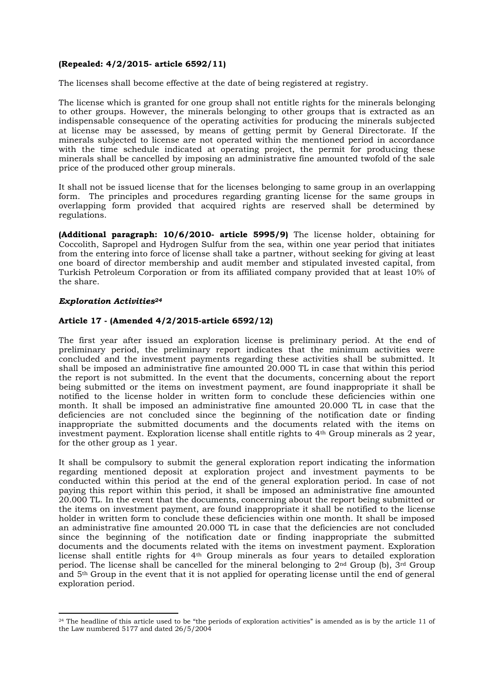# **(Repealed: 4/2/2015- article 6592/11)**

The licenses shall become effective at the date of being registered at registry.

The license which is granted for one group shall not entitle rights for the minerals belonging to other groups. However, the minerals belonging to other groups that is extracted as an indispensable consequence of the operating activities for producing the minerals subjected at license may be assessed, by means of getting permit by General Directorate. If the minerals subjected to license are not operated within the mentioned period in accordance with the time schedule indicated at operating project, the permit for producing these minerals shall be cancelled by imposing an administrative fine amounted twofold of the sale price of the produced other group minerals.

It shall not be issued license that for the licenses belonging to same group in an overlapping form. The principles and procedures regarding granting license for the same groups in overlapping form provided that acquired rights are reserved shall be determined by regulations.

**(Additional paragraph: 10/6/2010- article 5995/9)** The license holder, obtaining for Coccolith, Sapropel and Hydrogen Sulfur from the sea, within one year period that initiates from the entering into force of license shall take a partner, without seeking for giving at least one board of director membership and audit member and stipulated invested capital, from Turkish Petroleum Corporation or from its affiliated company provided that at least 10% of the share.

## *Exploration Activities<sup>24</sup>*

# **Article 17 - (Amended 4/2/2015-article 6592/12)**

The first year after issued an exploration license is preliminary period. At the end of preliminary period, the preliminary report indicates that the minimum activities were concluded and the investment payments regarding these activities shall be submitted. It shall be imposed an administrative fine amounted  $20,000$  TL in case that within this period the report is not submitted. In the event that the documents, concerning about the report being submitted or the items on investment payment, are found inappropriate it shall be notified to the license holder in written form to conclude these deficiencies within one month. It shall be imposed an administrative fine amounted 20.000 TL in case that the deficiencies are not concluded since the beginning of the notification date or finding inappropriate the submitted documents and the documents related with the items on investment payment. Exploration license shall entitle rights to 4th Group minerals as 2 year, for the other group as 1 year.

It shall be compulsory to submit the general exploration report indicating the information regarding mentioned deposit at exploration project and investment payments to be conducted within this period at the end of the general exploration period. In case of not paying this report within this period, it shall be imposed an administrative fine amounted 20.000 TL. In the event that the documents, concerning about the report being submitted or the items on investment payment, are found inappropriate it shall be notified to the license holder in written form to conclude these deficiencies within one month. It shall be imposed an administrative fine amounted 20.000 TL in case that the deficiencies are not concluded since the beginning of the notification date or finding inappropriate the submitted documents and the documents related with the items on investment payment. Exploration license shall entitle rights for 4th Group minerals as four years to detailed exploration period. The license shall be cancelled for the mineral belonging to  $2<sup>nd</sup>$  Group (b),  $3<sup>rd</sup>$  Group and 5th Group in the event that it is not applied for operating license until the end of general exploration period.

<sup>&</sup>lt;sup>24</sup> The headline of this article used to be "the periods of exploration activities" is amended as is by the article 11 of the Law numbered 5177 and dated 26/5/2004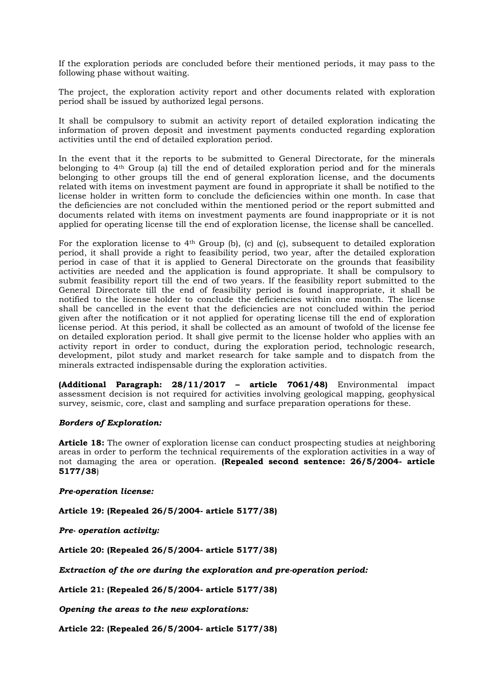If the exploration periods are concluded before their mentioned periods, it may pass to the following phase without waiting.

The project, the exploration activity report and other documents related with exploration period shall be issued by authorized legal persons.

It shall be compulsory to submit an activity report of detailed exploration indicating the information of proven deposit and investment payments conducted regarding exploration activities until the end of detailed exploration period.

In the event that it the reports to be submitted to General Directorate, for the minerals belonging to 4th Group (a) till the end of detailed exploration period and for the minerals belonging to other groups till the end of general exploration license, and the documents related with items on investment payment are found in appropriate it shall be notified to the license holder in written form to conclude the deficiencies within one month. In case that the deficiencies are not concluded within the mentioned period or the report submitted and documents related with items on investment payments are found inappropriate or it is not applied for operating license till the end of exploration license, the license shall be cancelled.

For the exploration license to  $4<sup>th</sup>$  Group (b), (c) and (c), subsequent to detailed exploration period, it shall provide a right to feasibility period, two year, after the detailed exploration period in case of that it is applied to General Directorate on the grounds that feasibility activities are needed and the application is found appropriate. It shall be compulsory to submit feasibility report till the end of two years. If the feasibility report submitted to the General Directorate till the end of feasibility period is found inappropriate, it shall be notified to the license holder to conclude the deficiencies within one month. The license shall be cancelled in the event that the deficiencies are not concluded within the period given after the notification or it not applied for operating license till the end of exploration license period. At this period, it shall be collected as an amount of twofold of the license fee on detailed exploration period. It shall give permit to the license holder who applies with an activity report in order to conduct, during the exploration period, technologic research, development, pilot study and market research for take sample and to dispatch from the minerals extracted indispensable during the exploration activities.

**(Additional Paragraph: 28/11/2017 – article 7061/48)** Environmental impact assessment decision is not required for activities involving geological mapping, geophysical survey, seismic, core, clast and sampling and surface preparation operations for these.

## *Borders of Exploration:*

**Article 18:** The owner of exploration license can conduct prospecting studies at neighboring areas in order to perform the technical requirements of the exploration activities in a way of not damaging the area or operation. **(Repealed second sentence: 26/5/2004- article 5177/38**)

## *Pre-operation license:*

**Article 19: (Repealed 26/5/2004- article 5177/38)**

*Pre- operation activity:*

**Article 20: (Repealed 26/5/2004- article 5177/38)**

*Extraction of the ore during the exploration and pre-operation period:*

**Article 21: (Repealed 26/5/2004- article 5177/38)**

*Opening the areas to the new explorations:*

**Article 22: (Repealed 26/5/2004- article 5177/38)**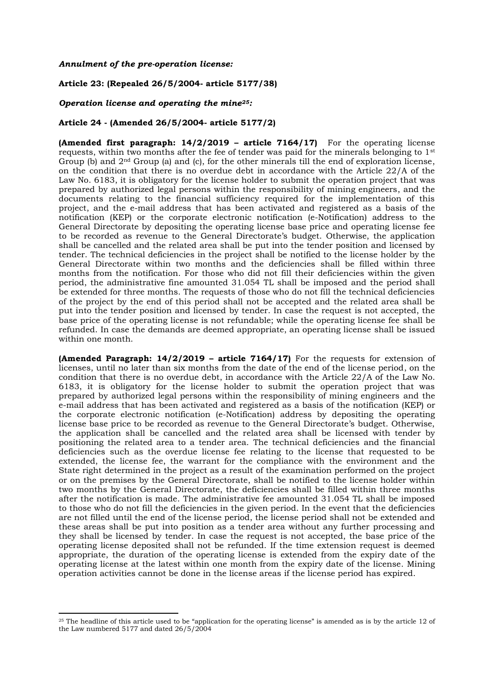*Annulment of the pre-operation license:*

#### **Article 23: (Repealed 26/5/2004- article 5177/38)**

#### *Operation license and operating the mine25:*

#### **Article 24 - (Amended 26/5/2004- article 5177/2)**

**(Amended first paragraph: 14/2/2019 – article 7164/17)** For the operating license requests, within two months after the fee of tender was paid for the minerals belonging to 1st Group (b) and 2nd Group (a) and (c), for the other minerals till the end of exploration license, on the condition that there is no overdue debt in accordance with the Article 22/A of the Law No. 6183, it is obligatory for the license holder to submit the operation project that was prepared by authorized legal persons within the responsibility of mining engineers, and the documents relating to the financial sufficiency required for the implementation of this project, and the e-mail address that has been activated and registered as a basis of the notification (KEP) or the corporate electronic notification (e-Notification) address to the General Directorate by depositing the operating license base price and operating license fee to be recorded as revenue to the General Directorate's budget. Otherwise, the application shall be cancelled and the related area shall be put into the tender position and licensed by tender. The technical deficiencies in the project shall be notified to the license holder by the General Directorate within two months and the deficiencies shall be filled within three months from the notification. For those who did not fill their deficiencies within the given period, the administrative fine amounted 31.054 TL shall be imposed and the period shall be extended for three months. The requests of those who do not fill the technical deficiencies of the project by the end of this period shall not be accepted and the related area shall be put into the tender position and licensed by tender. In case the request is not accepted, the base price of the operating license is not refundable; while the operating license fee shall be refunded. In case the demands are deemed appropriate, an operating license shall be issued within one month.

**(Amended Paragraph: 14/2/2019 – article 7164/17)** For the requests for extension of licenses, until no later than six months from the date of the end of the license period, on the condition that there is no overdue debt, in accordance with the Article 22/A of the Law No. 6183, it is obligatory for the license holder to submit the operation project that was prepared by authorized legal persons within the responsibility of mining engineers and the e-mail address that has been activated and registered as a basis of the notification (KEP) or the corporate electronic notification (e-Notification) address by depositing the operating license base price to be recorded as revenue to the General Directorate's budget. Otherwise, the application shall be cancelled and the related area shall be licensed with tender by positioning the related area to a tender area. The technical deficiencies and the financial deficiencies such as the overdue license fee relating to the license that requested to be extended, the license fee, the warrant for the compliance with the environment and the State right determined in the project as a result of the examination performed on the project or on the premises by the General Directorate, shall be notified to the license holder within two months by the General Directorate, the deficiencies shall be filled within three months after the notification is made. The administrative fee amounted 31.054 TL shall be imposed to those who do not fill the deficiencies in the given period. In the event that the deficiencies are not filled until the end of the license period, the license period shall not be extended and these areas shall be put into position as a tender area without any further processing and they shall be licensed by tender. In case the request is not accepted, the base price of the operating license deposited shall not be refunded. If the time extension request is deemed appropriate, the duration of the operating license is extended from the expiry date of the operating license at the latest within one month from the expiry date of the license. Mining operation activities cannot be done in the license areas if the license period has expired.

<sup>&</sup>lt;sup>25</sup> The headline of this article used to be "application for the operating license" is amended as is by the article 12 of the Law numbered 5177 and dated  $26/5/2004$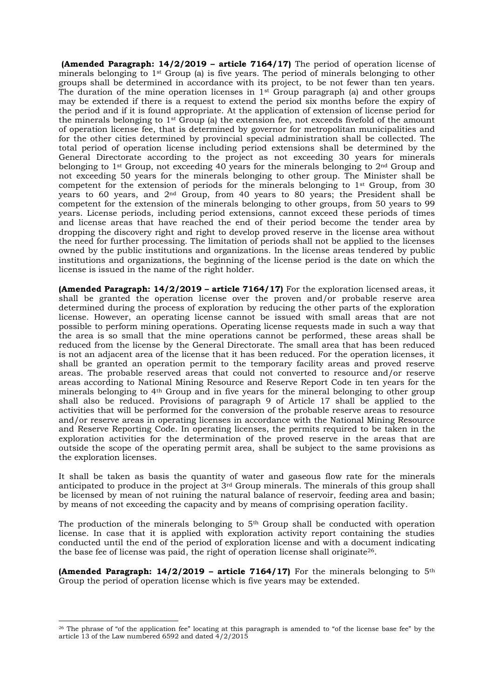**(Amended Paragraph: 14/2/2019 – article 7164/17)** The period of operation license of minerals belonging to  $1^{st}$  Group (a) is five years. The period of minerals belonging to other groups shall be determined in accordance with its project, to be not fewer than ten years. The duration of the mine operation licenses in  $1<sup>st</sup>$  Group paragraph (a) and other groups may be extended if there is a request to extend the period six months before the expiry of the period and if it is found appropriate. At the application of extension of license period for the minerals belonging to 1st Group (a) the extension fee, not exceeds fivefold of the amount of operation license fee, that is determined by governor for metropolitan municipalities and for the other cities determined by provincial special administration shall be collected. The total period of operation license including period extensions shall be determined by the General Directorate according to the project as not exceeding 30 years for minerals belonging to 1<sup>st</sup> Group, not exceeding 40 years for the minerals belonging to 2<sup>nd</sup> Group and not exceeding 50 years for the minerals belonging to other group. The Minister shall be competent for the extension of periods for the minerals belonging to  $1<sup>st</sup>$  Group, from 30 years to 60 years, and 2nd Group, from 40 years to 80 years; the President shall be competent for the extension of the minerals belonging to other groups, from 50 years to 99 years. License periods, including period extensions, cannot exceed these periods of times and license areas that have reached the end of their period become the tender area by dropping the discovery right and right to develop proved reserve in the license area without the need for further processing. The limitation of periods shall not be applied to the licenses owned by the public institutions and organizations. In the license areas tendered by public institutions and organizations, the beginning of the license period is the date on which the license is issued in the name of the right holder.

**(Amended Paragraph: 14/2/2019 – article 7164/17)** For the exploration licensed areas, it shall be granted the operation license over the proven and/or probable reserve area determined during the process of exploration by reducing the other parts of the exploration license. However, an operating license cannot be issued with small areas that are not possible to perform mining operations. Operating license requests made in such a way that the area is so small that the mine operations cannot be performed, these areas shall be reduced from the license by the General Directorate. The small area that has been reduced is not an adjacent area of the license that it has been reduced. For the operation licenses, it shall be granted an operation permit to the temporary facility areas and proved reserve areas. The probable reserved areas that could not converted to resource and/or reserve areas according to National Mining Resource and Reserve Report Code in ten years for the minerals belonging to 4th Group and in five years for the mineral belonging to other group shall also be reduced. Provisions of paragraph 9 of Article 17 shall be applied to the activities that will be performed for the conversion of the probable reserve areas to resource and/or reserve areas in operating licenses in accordance with the National Mining Resource and Reserve Reporting Code. In operating licenses, the permits required to be taken in the exploration activities for the determination of the proved reserve in the areas that are outside the scope of the operating permit area, shall be subject to the same provisions as the exploration licenses.

It shall be taken as basis the quantity of water and gaseous flow rate for the minerals anticipated to produce in the project at 3rd Group minerals. The minerals of this group shall be licensed by mean of not ruining the natural balance of reservoir, feeding area and basin; by means of not exceeding the capacity and by means of comprising operation facility.

The production of the minerals belonging to  $5<sup>th</sup>$  Group shall be conducted with operation license. In case that it is applied with exploration activity report containing the studies conducted until the end of the period of exploration license and with a document indicating the base fee of license was paid, the right of operation license shall originate26.

**(Amended Paragraph: 14/2/2019 – article 7164/17)** For the minerals belonging to 5th Group the period of operation license which is five years may be extended.

<sup>&</sup>lt;sup>26</sup> The phrase of "of the application fee" locating at this paragraph is amended to "of the license base fee" by the article 13 of the Law numbered 6592 and dated  $\frac{4}{2}/2$ 015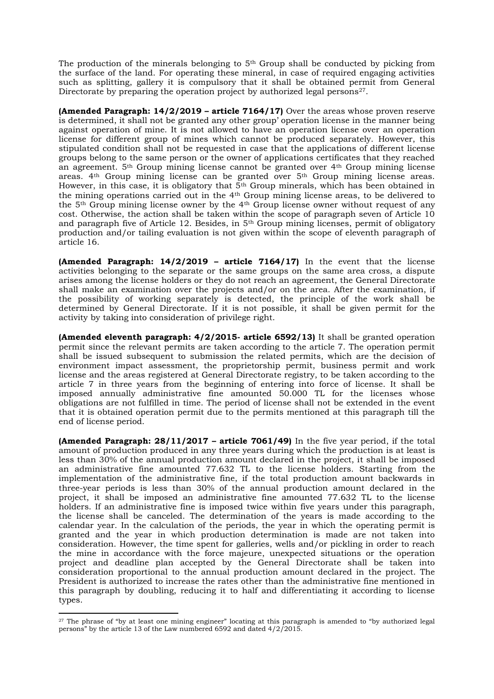The production of the minerals belonging to  $5<sup>th</sup>$  Group shall be conducted by picking from the surface of the land. For operating these mineral, in case of required engaging activities such as splitting, gallery it is compulsory that it shall be obtained permit from General Directorate by preparing the operation project by authorized legal persons<sup>27</sup>.

**(Amended Paragraph: 14/2/2019 – article 7164/17)** Over the areas whose proven reserve is determined, it shall not be granted any other group' operation license in the manner being against operation of mine. It is not allowed to have an operation license over an operation license for different group of mines which cannot be produced separately. However, this stipulated condition shall not be requested in case that the applications of different license groups belong to the same person or the owner of applications certificates that they reached an agreement. 5th Group mining license cannot be granted over 4th Group mining license areas. 4th Group mining license can be granted over 5th Group mining license areas. However, in this case, it is obligatory that  $5<sup>th</sup>$  Group minerals, which has been obtained in the mining operations carried out in the 4th Group mining license areas, to be delivered to the 5th Group mining license owner by the 4th Group license owner without request of any cost. Otherwise, the action shall be taken within the scope of paragraph seven of Article 10 and paragraph five of Article 12. Besides, in 5th Group mining licenses, permit of obligatory production and/or tailing evaluation is not given within the scope of eleventh paragraph of article 16.

**(Amended Paragraph: 14/2/2019 – article 7164/17)** In the event that the license activities belonging to the separate or the same groups on the same area cross, a dispute arises among the license holders or they do not reach an agreement, the General Directorate shall make an examination over the projects and/or on the area. After the examination, if the possibility of working separately is detected, the principle of the work shall be determined by General Directorate. If it is not possible, it shall be given permit for the activity by taking into consideration of privilege right.

**(Amended eleventh paragraph: 4/2/2015- article 6592/13)** It shall be granted operation permit since the relevant permits are taken according to the article 7. The operation permit shall be issued subsequent to submission the related permits, which are the decision of environment impact assessment, the proprietorship permit, business permit and work license and the areas registered at General Directorate registry, to be taken according to the article 7 in three years from the beginning of entering into force of license. It shall be imposed annually administrative fine amounted 50.000 TL for the licenses whose obligations are not fulfilled in time. The period of license shall not be extended in the event that it is obtained operation permit due to the permits mentioned at this paragraph till the end of license period.

**(Amended Paragraph: 28/11/2017 – article 7061/49)** In the five year period, if the total amount of production produced in any three years during which the production is at least is less than 30% of the annual production amount declared in the project, it shall be imposed an administrative fine amounted 77.632 TL to the license holders. Starting from the implementation of the administrative fine, if the total production amount backwards in three-year periods is less than 30% of the annual production amount declared in the project, it shall be imposed an administrative fine amounted 77.632 TL to the license holders. If an administrative fine is imposed twice within five years under this paragraph, the license shall be canceled. The determination of the years is made according to the calendar year. In the calculation of the periods, the year in which the operating permit is granted and the year in which production determination is made are not taken into consideration. However, the time spent for galleries, wells and/or pickling in order to reach the mine in accordance with the force majeure, unexpected situations or the operation project and deadline plan accepted by the General Directorate shall be taken into consideration proportional to the annual production amount declared in the project. The President is authorized to increase the rates other than the administrative fine mentioned in this paragraph by doubling, reducing it to half and differentiating it according to license types.

<sup>&</sup>lt;sup>27</sup> The phrase of "by at least one mining engineer" locating at this paragraph is amended to "by authorized legal persons" by the article 13 of the Law numbered 6592 and dated  $4/2/2015$ .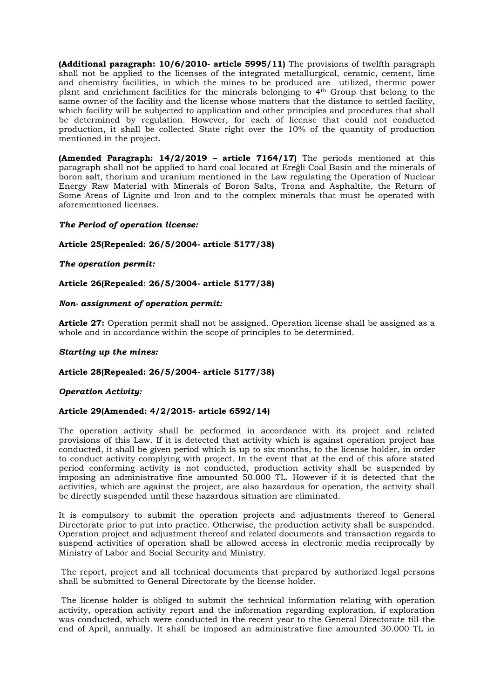**(Additional paragraph: 10/6/2010- article 5995/11)** The provisions of twelfth paragraph shall not be applied to the licenses of the integrated metallurgical, ceramic, cement, lime and chemistry facilities, in which the mines to be produced are utilized, thermic power plant and enrichment facilities for the minerals belonging to 4th Group that belong to the same owner of the facility and the license whose matters that the distance to settled facility, which facility will be subjected to application and other principles and procedures that shall be determined by regulation. However, for each of license that could not conducted production, it shall be collected State right over the 10% of the quantity of production mentioned in the project.

**(Amended Paragraph: 14/2/2019 – article 7164/17)** The periods mentioned at this paragraph shall not be applied to hard coal located at Ereğli Coal Basin and the minerals of boron salt, thorium and uranium mentioned in the Law regulating the Operation of Nuclear Energy Raw Material with Minerals of Boron Salts, Trona and Asphaltite, the Return of Some Areas of Lignite and Iron and to the complex minerals that must be operated with aforementioned licenses.

# *The Period of operation license:*

# **Article 25(Repealed: 26/5/2004- article 5177/38)**

## *The operation permit:*

# **Article 26(Repealed: 26/5/2004- article 5177/38)**

# *Non- assignment of operation permit:*

**Article 27:** Operation permit shall not be assigned. Operation license shall be assigned as a whole and in accordance within the scope of principles to be determined.

## *Starting up the mines:*

## **Article 28(Repealed: 26/5/2004- article 5177/38)**

## *Operation Activity:*

## **Article 29(Amended: 4/2/2015- article 6592/14)**

The operation activity shall be performed in accordance with its project and related provisions of this Law. If it is detected that activity which is against operation project has conducted, it shall be given period which is up to six months, to the license holder, in order to conduct activity complying with project. In the event that at the end of this afore stated period conforming activity is not conducted, production activity shall be suspended by imposing an administrative fine amounted 50.000 TL. However if it is detected that the activities, which are against the project, are also hazardous for operation, the activity shall be directly suspended until these hazardous situation are eliminated.

It is compulsory to submit the operation projects and adjustments thereof to General Directorate prior to put into practice. Otherwise, the production activity shall be suspended. Operation project and adjustment thereof and related documents and transaction regards to suspend activities of operation shall be allowed access in electronic media reciprocally by Ministry of Labor and Social Security and Ministry.

The report, project and all technical documents that prepared by authorized legal persons shall be submitted to General Directorate by the license holder.

The license holder is obliged to submit the technical information relating with operation activity, operation activity report and the information regarding exploration, if exploration was conducted, which were conducted in the recent year to the General Directorate till the end of April, annually. It shall be imposed an administrative fine amounted 30.000 TL in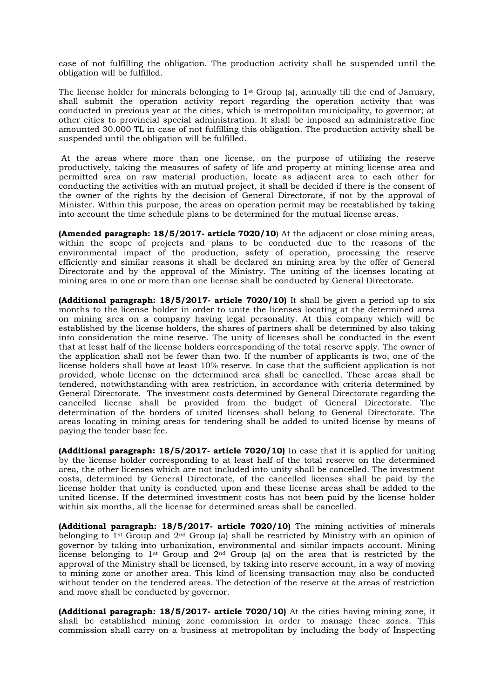case of not fulfilling the obligation. The production activity shall be suspended until the obligation will be fulfilled.

The license holder for minerals belonging to 1<sup>st</sup> Group (a), annually till the end of January, shall submit the operation activity report regarding the operation activity that was conducted in previous year at the cities, which is metropolitan municipality, to governor; at other cities to provincial special administration. It shall be imposed an administrative fine amounted 30.000 TL in case of not fulfilling this obligation. The production activity shall be suspended until the obligation will be fulfilled.

At the areas where more than one license, on the purpose of utilizing the reserve productively, taking the measures of safety of life and property at mining license area and permitted area on raw material production, locate as adjacent area to each other for conducting the activities with an mutual project, it shall be decided if there is the consent of the owner of the rights by the decision of General Directorate, if not by the approval of Minister. Within this purpose, the areas on operation permit may be reestablished by taking into account the time schedule plans to be determined for the mutual license areas.

**(Amended paragraph: 18/5/2017- article 7020/10**) At the adjacent or close mining areas, within the scope of projects and plans to be conducted due to the reasons of the environmental impact of the production, safety of operation, processing the reserve efficiently and similar reasons it shall be declared an mining area by the offer of General Directorate and by the approval of the Ministry. The uniting of the licenses locating at mining area in one or more than one license shall be conducted by General Directorate.

**(Additional paragraph: 18/5/2017- article 7020/10)** It shall be given a period up to six months to the license holder in order to unite the licenses locating at the determined area on mining area on a company having legal personality. At this company which will be established by the license holders, the shares of partners shall be determined by also taking into consideration the mine reserve. The unity of licenses shall be conducted in the event that at least half of the license holders corresponding of the total reserve apply. The owner of the application shall not be fewer than two. If the number of applicants is two, one of the license holders shall have at least 10% reserve. In case that the sufficient application is not provided, whole license on the determined area shall be cancelled. These areas shall be tendered, notwithstanding with area restriction, in accordance with criteria determined by General Directorate. The investment costs determined by General Directorate regarding the cancelled license shall be provided from the budget of General Directorate. The determination of the borders of united licenses shall belong to General Directorate. The areas locating in mining areas for tendering shall be added to united license by means of paying the tender base fee.

**(Additional paragraph: 18/5/2017- article 7020/10)** In case that it is applied for uniting by the license holder corresponding to at least half of the total reserve on the determined area, the other licenses which are not included into unity shall be cancelled. The investment costs, determined by General Directorate, of the cancelled licenses shall be paid by the license holder that unity is conducted upon and these license areas shall be added to the united license. If the determined investment costs has not been paid by the license holder within six months, all the license for determined areas shall be cancelled.

**(Additional paragraph: 18/5/2017- article 7020/10)** The mining activities of minerals belonging to 1st Group and 2nd Group (a) shall be restricted by Ministry with an opinion of governor by taking into urbanization, environmental and similar impacts account. Mining license belonging to 1<sup>st</sup> Group and  $2<sup>nd</sup>$  Group (a) on the area that is restricted by the approval of the Ministry shall be licensed, by taking into reserve account, in a way of moving to mining zone or another area. This kind of licensing transaction may also be conducted without tender on the tendered areas. The detection of the reserve at the areas of restriction and move shall be conducted by governor.

**(Additional paragraph: 18/5/2017- article 7020/10)** At the cities having mining zone, it shall be established mining zone commission in order to manage these zones. This commission shall carry on a business at metropolitan by including the body of İnspecting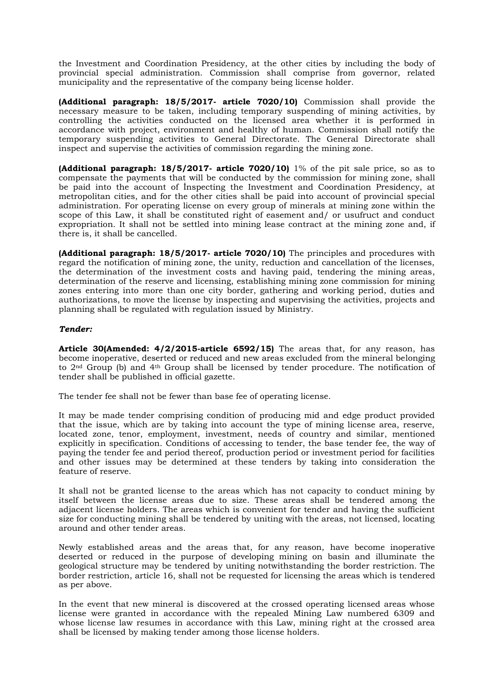the Investment and Coordination Presidency, at the other cities by including the body of provincial special administration. Commission shall comprise from governor, related municipality and the representative of the company being license holder.

**(Additional paragraph: 18/5/2017- article 7020/10)** Commission shall provide the necessary measure to be taken, including temporary suspending of mining activities, by controlling the activities conducted on the licensed area whether it is performed in accordance with project, environment and healthy of human. Commission shall notify the temporary suspending activities to General Directorate. The General Directorate shall inspect and supervise the activities of commission regarding the mining zone.

**(Additional paragraph: 18/5/2017- article 7020/10)** 1% of the pit sale price, so as to compensate the payments that will be conducted by the commission for mining zone, shall be paid into the account of İnspecting the Investment and Coordination Presidency, at metropolitan cities, and for the other cities shall be paid into account of provincial special administration. For operating license on every group of minerals at mining zone within the scope of this Law, it shall be constituted right of easement and/ or usufruct and conduct expropriation. It shall not be settled into mining lease contract at the mining zone and, if there is, it shall be cancelled.

**(Additional paragraph: 18/5/2017- article 7020/10)** The principles and procedures with regard the notification of mining zone, the unity, reduction and cancellation of the licenses, the determination of the investment costs and having paid, tendering the mining areas, determination of the reserve and licensing, establishing mining zone commission for mining zones entering into more than one city border, gathering and working period, duties and authorizations, to move the license by inspecting and supervising the activities, projects and planning shall be regulated with regulation issued by Ministry.

# *Tender:*

**Article 30(Amended: 4/2/2015-article 6592/15)** The areas that, for any reason, has become inoperative, deserted or reduced and new areas excluded from the mineral belonging to 2nd Group (b) and 4th Group shall be licensed by tender procedure. The notification of tender shall be published in official gazette.

The tender fee shall not be fewer than base fee of operating license.

It may be made tender comprising condition of producing mid and edge product provided that the issue, which are by taking into account the type of mining license area, reserve, located zone, tenor, employment, investment, needs of country and similar, mentioned explicitly in specification. Conditions of accessing to tender, the base tender fee, the way of paying the tender fee and period thereof, production period or investment period for facilities and other issues may be determined at these tenders by taking into consideration the feature of reserve.

It shall not be granted license to the areas which has not capacity to conduct mining by itself between the license areas due to size. These areas shall be tendered among the adjacent license holders. The areas which is convenient for tender and having the sufficient size for conducting mining shall be tendered by uniting with the areas, not licensed, locating around and other tender areas.

Newly established areas and the areas that, for any reason, have become inoperative deserted or reduced in the purpose of developing mining on basin and illuminate the geological structure may be tendered by uniting notwithstanding the border restriction. The border restriction, article 16, shall not be requested for licensing the areas which is tendered as per above.

In the event that new mineral is discovered at the crossed operating licensed areas whose license were granted in accordance with the repealed Mining Law numbered 6309 and whose license law resumes in accordance with this Law, mining right at the crossed area shall be licensed by making tender among those license holders.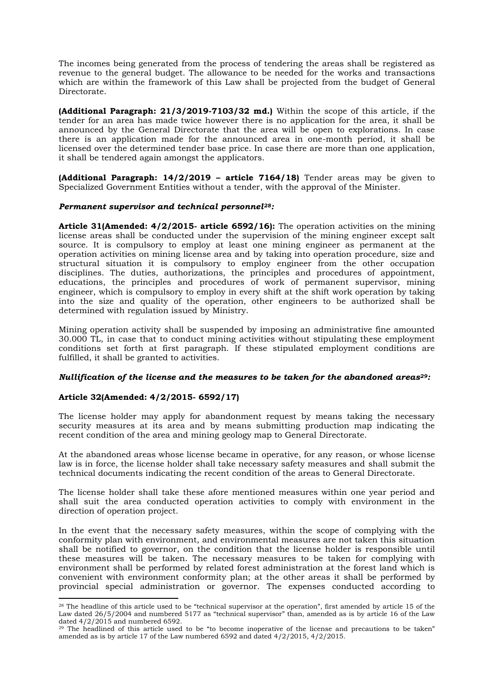The incomes being generated from the process of tendering the areas shall be registered as revenue to the general budget. The allowance to be needed for the works and transactions which are within the framework of this Law shall be projected from the budget of General Directorate.

**(Additional Paragraph: 21/3/2019-7103/32 md.)** Within the scope of this article, if the tender for an area has made twice however there is no application for the area, it shall be announced by the General Directorate that the area will be open to explorations. In case there is an application made for the announced area in one-month period, it shall be licensed over the determined tender base price. In case there are more than one application, it shall be tendered again amongst the applicators.

**(Additional Paragraph: 14/2/2019 – article 7164/18)** Tender areas may be given to Specialized Government Entities without a tender, with the approval of the Minister.

## *Permanent supervisor and technical personnel28:*

**Article 31(Amended: 4/2/2015- article 6592/16):** The operation activities on the mining license areas shall be conducted under the supervision of the mining engineer except salt source. It is compulsory to employ at least one mining engineer as permanent at the operation activities on mining license area and by taking into operation procedure, size and structural situation it is compulsory to employ engineer from the other occupation disciplines. The duties, authorizations, the principles and procedures of appointment, educations, the principles and procedures of work of permanent supervisor, mining engineer, which is compulsory to employ in every shift at the shift work operation by taking into the size and quality of the operation, other engineers to be authorized shall be determined with regulation issued by Ministry.

Mining operation activity shall be suspended by imposing an administrative fine amounted 30.000 TL, in case that to conduct mining activities without stipulating these employment conditions set forth at first paragraph. If these stipulated employment conditions are fulfilled, it shall be granted to activities.

#### *Nullification of the license and the measures to be taken for the abandoned areas29:*

## **Article 32(Amended: 4/2/2015- 6592/17)**

The license holder may apply for abandonment request by means taking the necessary security measures at its area and by means submitting production map indicating the recent condition of the area and mining geology map to General Directorate.

At the abandoned areas whose license became in operative, for any reason, or whose license law is in force, the license holder shall take necessary safety measures and shall submit the technical documents indicating the recent condition of the areas to General Directorate.

The license holder shall take these afore mentioned measures within one year period and shall suit the area conducted operation activities to comply with environment in the direction of operation project.

In the event that the necessary safety measures, within the scope of complying with the conformity plan with environment, and environmental measures are not taken this situation shall be notified to governor, on the condition that the license holder is responsible until these measures will be taken. The necessary measures to be taken for complying with environment shall be performed by related forest administration at the forest land which is convenient with environment conformity plan; at the other areas it shall be performed by provincial special administration or governor. The expenses conducted according to

 $28$  The headline of this article used to be "technical supervisor at the operation", first amended by article 15 of the Law dated 26/5/2004 and numbered 5177 as "technical supervisor" than, amended as is by article 16 of the Law dated  $4/2/2015$  and numbered 6592.

<sup>&</sup>lt;sup>29</sup> The headlined of this article used to be "to become inoperative of the license and precautions to be taken" amended as is by article 17 of the Law numbered 6592 and dated 4/2/2015, 4/2/2015.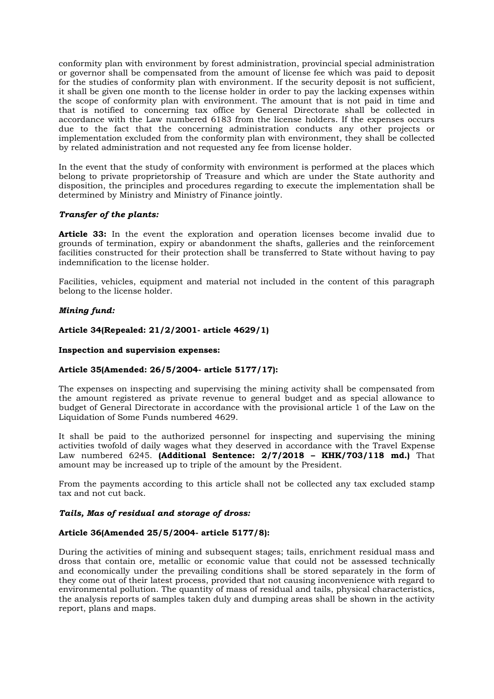conformity plan with environment by forest administration, provincial special administration or governor shall be compensated from the amount of license fee which was paid to deposit for the studies of conformity plan with environment. If the security deposit is not sufficient, it shall be given one month to the license holder in order to pay the lacking expenses within the scope of conformity plan with environment. The amount that is not paid in time and that is notified to concerning tax office by General Directorate shall be collected in accordance with the Law numbered 6183 from the license holders. If the expenses occurs due to the fact that the concerning administration conducts any other projects or implementation excluded from the conformity plan with environment, they shall be collected by related administration and not requested any fee from license holder.

In the event that the study of conformity with environment is performed at the places which belong to private proprietorship of Treasure and which are under the State authority and disposition, the principles and procedures regarding to execute the implementation shall be determined by Ministry and Ministry of Finance jointly.

# *Transfer of the plants:*

**Article 33:** In the event the exploration and operation licenses become invalid due to grounds of termination, expiry or abandonment the shafts, galleries and the reinforcement facilities constructed for their protection shall be transferred to State without having to pay indemnification to the license holder.

Facilities, vehicles, equipment and material not included in the content of this paragraph belong to the license holder.

# *Mining fund:*

## **Article 34(Repealed: 21/2/2001- article 4629/1)**

## **Inspection and supervision expenses:**

## **Article 35(Amended: 26/5/2004- article 5177/17):**

The expenses on inspecting and supervising the mining activity shall be compensated from the amount registered as private revenue to general budget and as special allowance to budget of General Directorate in accordance with the provisional article 1 of the Law on the Liquidation of Some Funds numbered 4629.

It shall be paid to the authorized personnel for inspecting and supervising the mining activities twofold of daily wages what they deserved in accordance with the Travel Expense Law numbered 6245. **(Additional Sentence: 2/7/2018 – KHK/703/118 md.)** That amount may be increased up to triple of the amount by the President.

From the payments according to this article shall not be collected any tax excluded stamp tax and not cut back.

## *Tails, Mas of residual and storage of dross:*

## **Article 36(Amended 25/5/2004- article 5177/8):**

During the activities of mining and subsequent stages; tails, enrichment residual mass and dross that contain ore, metallic or economic value that could not be assessed technically and economically under the prevailing conditions shall be stored separately in the form of they come out of their latest process, provided that not causing inconvenience with regard to environmental pollution. The quantity of mass of residual and tails, physical characteristics, the analysis reports of samples taken duly and dumping areas shall be shown in the activity report, plans and maps.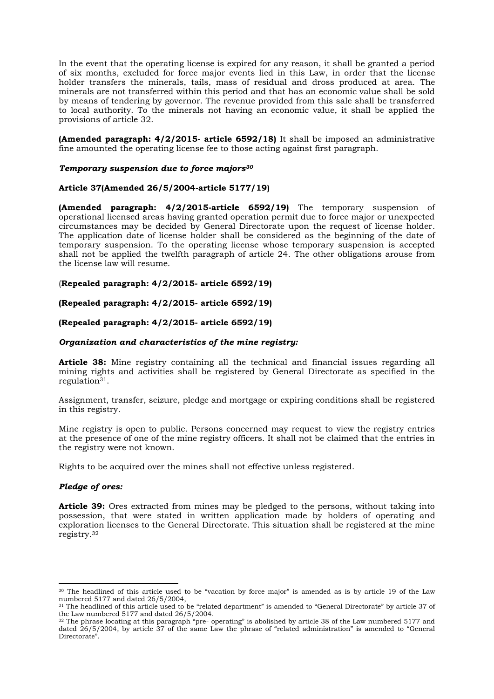In the event that the operating license is expired for any reason, it shall be granted a period of six months, excluded for force major events lied in this Law, in order that the license holder transfers the minerals, tails, mass of residual and dross produced at area. The minerals are not transferred within this period and that has an economic value shall be sold by means of tendering by governor. The revenue provided from this sale shall be transferred to local authority. To the minerals not having an economic value, it shall be applied the provisions of article 32.

**(Amended paragraph: 4/2/2015- article 6592/18)** It shall be imposed an administrative fine amounted the operating license fee to those acting against first paragraph.

#### *Temporary suspension due to force majors<sup>30</sup>*

# **Article 37(Amended 26/5/2004-article 5177/19)**

**(Amended paragraph: 4/2/2015-article 6592/19)** The temporary suspension of operational licensed areas having granted operation permit due to force major or unexpected circumstances may be decided by General Directorate upon the request of license holder. The application date of license holder shall be considered as the beginning of the date of temporary suspension. To the operating license whose temporary suspension is accepted shall not be applied the twelfth paragraph of article 24. The other obligations arouse from the license law will resume.

## (**Repealed paragraph: 4/2/2015- article 6592/19)**

## **(Repealed paragraph: 4/2/2015- article 6592/19)**

# **(Repealed paragraph: 4/2/2015- article 6592/19)**

## *Organization and characteristics of the mine registry:*

**Article 38:** Mine registry containing all the technical and financial issues regarding all mining rights and activities shall be registered by General Directorate as specified in the  $reculation<sup>31</sup>$ .

Assignment, transfer, seizure, pledge and mortgage or expiring conditions shall be registered in this registry.

Mine registry is open to public. Persons concerned may request to view the registry entries at the presence of one of the mine registry officers. It shall not be claimed that the entries in the registry were not known.

Rights to be acquired over the mines shall not effective unless registered.

## *Pledge of ores:*

**Article 39:** Ores extracted from mines may be pledged to the persons, without taking into possession, that were stated in written application made by holders of operating and exploration licenses to the General Directorate. This situation shall be registered at the mine registry.<sup>32</sup>

<sup>30</sup> The headlined of this article used to be "vacation by force major" is amended as is by article 19 of the Law numbered 5177 and dated 26/5/2004,

<sup>31</sup> The headlined of this article used to be "related department" is amended to "General Directorate" by article 37 of the Law numbered 5177 and dated 26/5/2004.

<sup>32</sup> The phrase locating at this paragraph "pre- operating" is abolished by article 38 of the Law numbered 5177 and dated 26/5/2004, by article 37 of the same Law the phrase of "related administration" is amended to "General Directorate".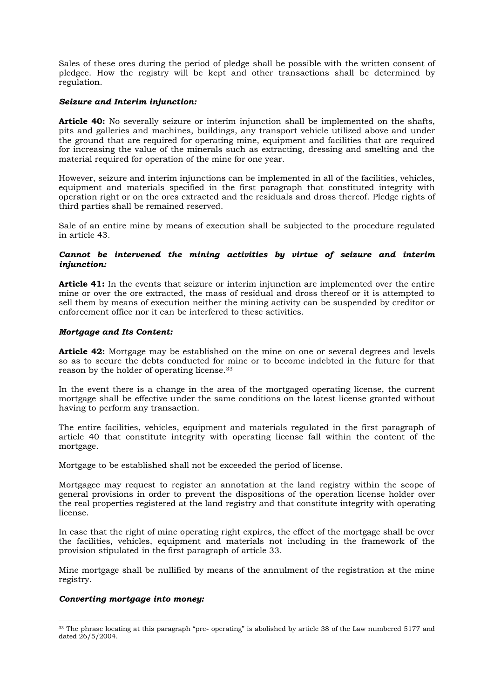Sales of these ores during the period of pledge shall be possible with the written consent of pledgee. How the registry will be kept and other transactions shall be determined by regulation.

# *Seizure and Interim injunction:*

**Article 40:** No severally seizure or interim injunction shall be implemented on the shafts, pits and galleries and machines, buildings, any transport vehicle utilized above and under the ground that are required for operating mine, equipment and facilities that are required for increasing the value of the minerals such as extracting, dressing and smelting and the material required for operation of the mine for one year.

However, seizure and interim injunctions can be implemented in all of the facilities, vehicles, equipment and materials specified in the first paragraph that constituted integrity with operation right or on the ores extracted and the residuals and dross thereof. Pledge rights of third parties shall be remained reserved.

Sale of an entire mine by means of execution shall be subjected to the procedure regulated in article 43.

# *Cannot be intervened the mining activities by virtue of seizure and interim injunction:*

**Article 41:** In the events that seizure or interim injunction are implemented over the entire mine or over the ore extracted, the mass of residual and dross thereof or it is attempted to sell them by means of execution neither the mining activity can be suspended by creditor or enforcement office nor it can be interfered to these activities.

## *Mortgage and Its Content:*

**Article 42:** Mortgage may be established on the mine on one or several degrees and levels so as to secure the debts conducted for mine or to become indebted in the future for that reason by the holder of operating license.<sup>33</sup>

In the event there is a change in the area of the mortgaged operating license, the current mortgage shall be effective under the same conditions on the latest license granted without having to perform any transaction.

The entire facilities, vehicles, equipment and materials regulated in the first paragraph of article 40 that constitute integrity with operating license fall within the content of the mortgage.

Mortgage to be established shall not be exceeded the period of license.

Mortgagee may request to register an annotation at the land registry within the scope of general provisions in order to prevent the dispositions of the operation license holder over the real properties registered at the land registry and that constitute integrity with operating license.

In case that the right of mine operating right expires, the effect of the mortgage shall be over the facilities, vehicles, equipment and materials not including in the framework of the provision stipulated in the first paragraph of article 33.

Mine mortgage shall be nullified by means of the annulment of the registration at the mine registry.

## *Converting mortgage into money:*

<sup>&</sup>lt;sup>33</sup> The phrase locating at this paragraph "pre- operating" is abolished by article 38 of the Law numbered 5177 and dated 26/5/2004.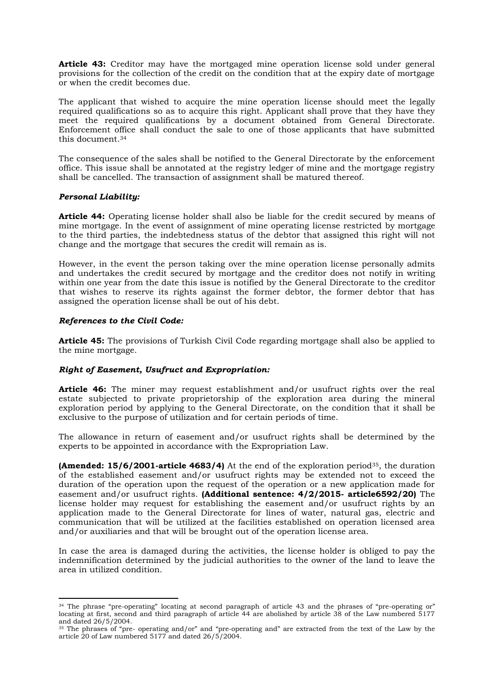**Article 43:** Creditor may have the mortgaged mine operation license sold under general provisions for the collection of the credit on the condition that at the expiry date of mortgage or when the credit becomes due.

The applicant that wished to acquire the mine operation license should meet the legally required qualifications so as to acquire this right. Applicant shall prove that they have they meet the required qualifications by a document obtained from General Directorate. Enforcement office shall conduct the sale to one of those applicants that have submitted this document. 34

The consequence of the sales shall be notified to the General Directorate by the enforcement office. This issue shall be annotated at the registry ledger of mine and the mortgage registry shall be cancelled. The transaction of assignment shall be matured thereof.

# *Personal Liability:*

**Article 44:** Operating license holder shall also be liable for the credit secured by means of mine mortgage. In the event of assignment of mine operating license restricted by mortgage to the third parties, the indebtedness status of the debtor that assigned this right will not change and the mortgage that secures the credit will remain as is.

However, in the event the person taking over the mine operation license personally admits and undertakes the credit secured by mortgage and the creditor does not notify in writing within one year from the date this issue is notified by the General Directorate to the creditor that wishes to reserve its rights against the former debtor, the former debtor that has assigned the operation license shall be out of his debt.

## *References to the Civil Code:*

**Article 45:** The provisions of Turkish Civil Code regarding mortgage shall also be applied to the mine mortgage.

# *Right of Easement, Usufruct and Expropriation:*

**Article 46:** The miner may request establishment and/or usufruct rights over the real estate subjected to private proprietorship of the exploration area during the mineral exploration period by applying to the General Directorate, on the condition that it shall be exclusive to the purpose of utilization and for certain periods of time.

The allowance in return of easement and/or usufruct rights shall be determined by the experts to be appointed in accordance with the Expropriation Law.

**(Amended: 15/6/2001-article 4683/4)** At the end of the exploration period<sup>35</sup>, the duration of the established easement and/or usufruct rights may be extended not to exceed the duration of the operation upon the request of the operation or a new application made for easement and/or usufruct rights. **(Additional sentence: 4/2/2015- article6592/20)** The license holder may request for establishing the easement and/or usufruct rights by an application made to the General Directorate for lines of water, natural gas, electric and communication that will be utilized at the facilities established on operation licensed area and/or auxiliaries and that will be brought out of the operation license area.

In case the area is damaged during the activities, the license holder is obliged to pay the indemnification determined by the judicial authorities to the owner of the land to leave the area in utilized condition.

<sup>34</sup> The phrase "pre-operating" locating at second paragraph of article 43 and the phrases of "pre-operating or" locating at first, second and third paragraph of article 44 are abolished by article 38 of the Law numbered 5177 and dated 26/5/2004.

<sup>35</sup> The phrases of "pre- operating and/or" and "pre-operating and" are extracted from the text of the Law by the article 20 of Law numbered 5177 and dated 26/5/2004.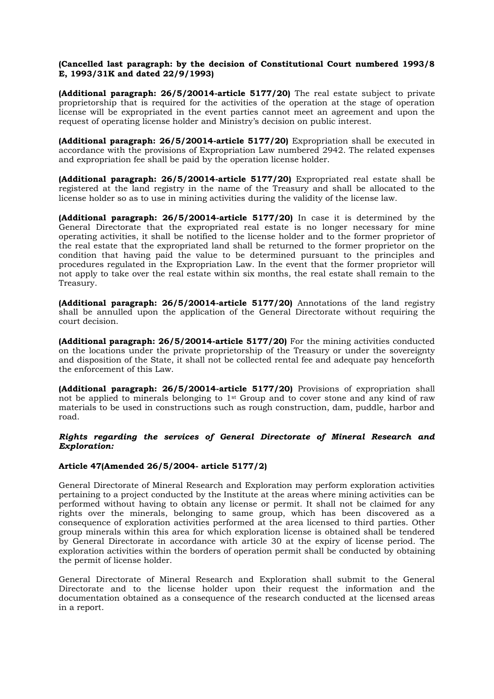# **(Cancelled last paragraph: by the decision of Constitutional Court numbered 1993/8 E, 1993/31K and dated 22/9/1993)**

**(Additional paragraph: 26/5/20014-article 5177/20)** The real estate subject to private proprietorship that is required for the activities of the operation at the stage of operation license will be expropriated in the event parties cannot meet an agreement and upon the request of operating license holder and Ministry's decision on public interest.

**(Additional paragraph: 26/5/20014-article 5177/20)** Expropriation shall be executed in accordance with the provisions of Expropriation Law numbered 2942. The related expenses and expropriation fee shall be paid by the operation license holder.

**(Additional paragraph: 26/5/20014-article 5177/20)** Expropriated real estate shall be registered at the land registry in the name of the Treasury and shall be allocated to the license holder so as to use in mining activities during the validity of the license law.

**(Additional paragraph: 26/5/20014-article 5177/20)** In case it is determined by the General Directorate that the expropriated real estate is no longer necessary for mine operating activities, it shall be notified to the license holder and to the former proprietor of the real estate that the expropriated land shall be returned to the former proprietor on the condition that having paid the value to be determined pursuant to the principles and procedures regulated in the Expropriation Law. In the event that the former proprietor will not apply to take over the real estate within six months, the real estate shall remain to the Treasury.

**(Additional paragraph: 26/5/20014-article 5177/20)** Annotations of the land registry shall be annulled upon the application of the General Directorate without requiring the court decision.

**(Additional paragraph: 26/5/20014-article 5177/20)** For the mining activities conducted on the locations under the private proprietorship of the Treasury or under the sovereignty and disposition of the State, it shall not be collected rental fee and adequate pay henceforth the enforcement of this Law.

**(Additional paragraph: 26/5/20014-article 5177/20)** Provisions of expropriation shall not be applied to minerals belonging to 1st Group and to cover stone and any kind of raw materials to be used in constructions such as rough construction, dam, puddle, harbor and road.

# *Rights regarding the services of General Directorate of Mineral Research and Exploration:*

## **Article 47(Amended 26/5/2004- article 5177/2)**

General Directorate of Mineral Research and Exploration may perform exploration activities pertaining to a project conducted by the Institute at the areas where mining activities can be performed without having to obtain any license or permit. It shall not be claimed for any rights over the minerals, belonging to same group, which has been discovered as a consequence of exploration activities performed at the area licensed to third parties. Other group minerals within this area for which exploration license is obtained shall be tendered by General Directorate in accordance with article 30 at the expiry of license period. The exploration activities within the borders of operation permit shall be conducted by obtaining the permit of license holder.

General Directorate of Mineral Research and Exploration shall submit to the General Directorate and to the license holder upon their request the information and the documentation obtained as a consequence of the research conducted at the licensed areas in a report.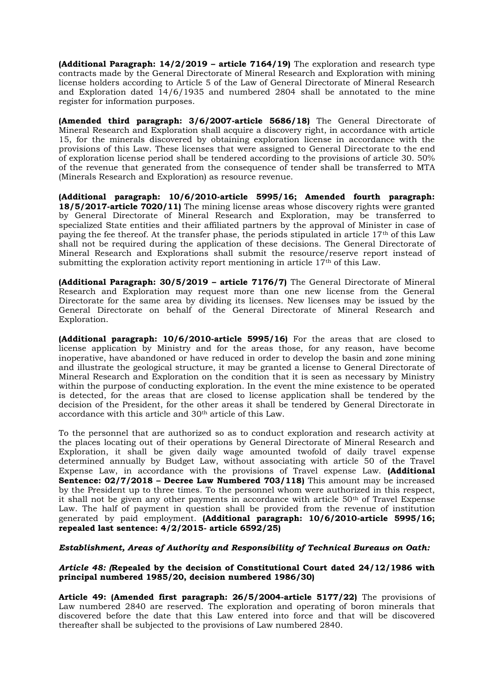**(Additional Paragraph: 14/2/2019 – article 7164/19)** The exploration and research type contracts made by the General Directorate of Mineral Research and Exploration with mining license holders according to Article 5 of the Law of General Directorate of Mineral Research and Exploration dated 14/6/1935 and numbered 2804 shall be annotated to the mine register for information purposes.

**(Amended third paragraph: 3/6/2007-article 5686/18)** The General Directorate of Mineral Research and Exploration shall acquire a discovery right, in accordance with article 15, for the minerals discovered by obtaining exploration license in accordance with the provisions of this Law. These licenses that were assigned to General Directorate to the end of exploration license period shall be tendered according to the provisions of article 30. 50% of the revenue that generated from the consequence of tender shall be transferred to MTA (Minerals Research and Exploration) as resource revenue.

**(Additional paragraph: 10/6/2010-article 5995/16; Amended fourth paragraph: 18/5/2017-article 7020/11)** The mining license areas whose discovery rights were granted by General Directorate of Mineral Research and Exploration, may be transferred to specialized State entities and their affiliated partners by the approval of Minister in case of paying the fee thereof. At the transfer phase, the periods stipulated in article  $17<sup>th</sup>$  of this Law shall not be required during the application of these decisions. The General Directorate of Mineral Research and Explorations shall submit the resource/reserve report instead of submitting the exploration activity report mentioning in article  $17<sup>th</sup>$  of this Law.

**(Additional Paragraph: 30/5/2019 – article 7176/7)** The General Directorate of Mineral Research and Exploration may request more than one new license from the General Directorate for the same area by dividing its licenses. New licenses may be issued by the General Directorate on behalf of the General Directorate of Mineral Research and Exploration.

**(Additional paragraph: 10/6/2010-article 5995/16)** For the areas that are closed to license application by Ministry and for the areas those, for any reason, have become inoperative, have abandoned or have reduced in order to develop the basin and zone mining and illustrate the geological structure, it may be granted a license to General Directorate of Mineral Research and Exploration on the condition that it is seen as necessary by Ministry within the purpose of conducting exploration. In the event the mine existence to be operated is detected, for the areas that are closed to license application shall be tendered by the decision of the President, for the other areas it shall be tendered by General Directorate in accordance with this article and 30th article of this Law.

To the personnel that are authorized so as to conduct exploration and research activity at the places locating out of their operations by General Directorate of Mineral Research and Exploration, it shall be given daily wage amounted twofold of daily travel expense determined annually by Budget Law, without associating with article 50 of the Travel Expense Law, in accordance with the provisions of Travel expense Law. **(Additional Sentence: 02/7/2018 – Decree Law Numbered 703/118)** This amount may be increased by the President up to three times. To the personnel whom were authorized in this respect, it shall not be given any other payments in accordance with article 50<sup>th</sup> of Travel Expense Law. The half of payment in question shall be provided from the revenue of institution generated by paid employment. **(Additional paragraph: 10/6/2010-article 5995/16; repealed last sentence: 4/2/2015- article 6592/25)**

# *Establishment, Areas of Authority and Responsibility of Technical Bureaus on Oath:*

# *Article 48: (***Repealed by the decision of Constitutional Court dated 24/12/1986 with principal numbered 1985/20, decision numbered 1986/30)**

**Article 49: (Amended first paragraph: 26/5/2004-article 5177/22)** The provisions of Law numbered 2840 are reserved. The exploration and operating of boron minerals that discovered before the date that this Law entered into force and that will be discovered thereafter shall be subjected to the provisions of Law numbered 2840.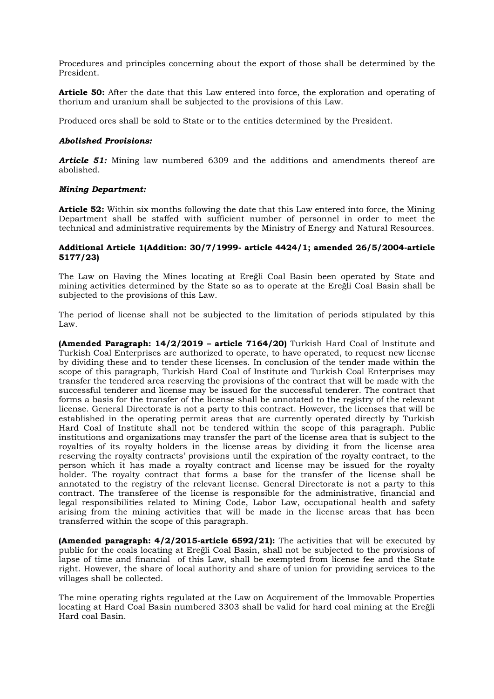Procedures and principles concerning about the export of those shall be determined by the President.

**Article 50:** After the date that this Law entered into force, the exploration and operating of thorium and uranium shall be subjected to the provisions of this Law.

Produced ores shall be sold to State or to the entities determined by the President.

# *Abolished Provisions:*

*Article 51:* Mining law numbered 6309 and the additions and amendments thereof are abolished.

# *Mining Department:*

**Article 52:** Within six months following the date that this Law entered into force, the Mining Department shall be staffed with sufficient number of personnel in order to meet the technical and administrative requirements by the Ministry of Energy and Natural Resources.

## **Additional Article 1(Addition: 30/7/1999- article 4424/1; amended 26/5/2004-article 5177/23)**

The Law on Having the Mines locating at Ereğli Coal Basin been operated by State and mining activities determined by the State so as to operate at the Ereğli Coal Basin shall be subjected to the provisions of this Law.

The period of license shall not be subjected to the limitation of periods stipulated by this Law.

**(Amended Paragraph: 14/2/2019 – article 7164/20)** Turkish Hard Coal of Institute and Turkish Coal Enterprises are authorized to operate, to have operated, to request new license by dividing these and to tender these licenses. In conclusion of the tender made within the scope of this paragraph, Turkish Hard Coal of Institute and Turkish Coal Enterprises may transfer the tendered area reserving the provisions of the contract that will be made with the successful tenderer and license may be issued for the successful tenderer. The contract that forms a basis for the transfer of the license shall be annotated to the registry of the relevant license. General Directorate is not a party to this contract. However, the licenses that will be established in the operating permit areas that are currently operated directly by Turkish Hard Coal of Institute shall not be tendered within the scope of this paragraph. Public institutions and organizations may transfer the part of the license area that is subject to the royalties of its royalty holders in the license areas by dividing it from the license area reserving the royalty contracts' provisions until the expiration of the royalty contract, to the person which it has made a royalty contract and license may be issued for the royalty holder. The royalty contract that forms a base for the transfer of the license shall be annotated to the registry of the relevant license. General Directorate is not a party to this contract. The transferee of the license is responsible for the administrative, financial and legal responsibilities related to Mining Code, Labor Law, occupational health and safety arising from the mining activities that will be made in the license areas that has been transferred within the scope of this paragraph.

**(Amended paragraph: 4/2/2015-article 6592/21):** The activities that will be executed by public for the coals locating at Ereğli Coal Basin, shall not be subjected to the provisions of lapse of time and financial of this Law, shall be exempted from license fee and the State right. However, the share of local authority and share of union for providing services to the villages shall be collected.

The mine operating rights regulated at the Law on Acquirement of the Immovable Properties locating at Hard Coal Basin numbered 3303 shall be valid for hard coal mining at the Ereğli Hard coal Basin.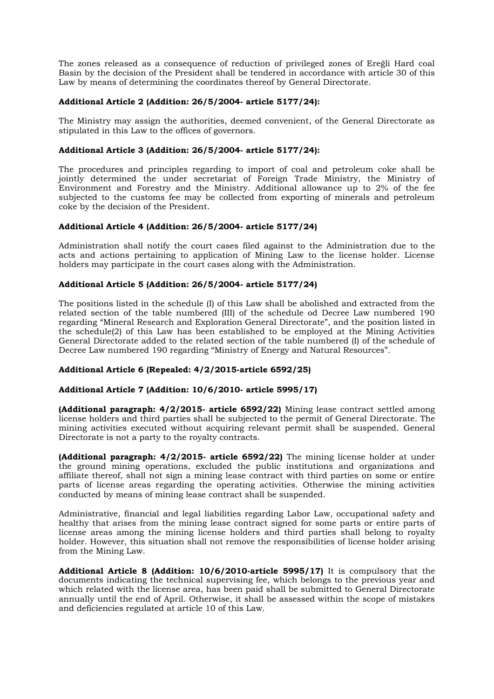The zones released as a consequence of reduction of privileged zones of Ereğli Hard coal Basin by the decision of the President shall be tendered in accordance with article 30 of this Law by means of determining the coordinates thereof by General Directorate.

# **Additional Article 2 (Addition: 26/5/2004- article 5177/24):**

The Ministry may assign the authorities, deemed convenient, of the General Directorate as stipulated in this Law to the offices of governors.

# **Additional Article 3 (Addition: 26/5/2004- article 5177/24):**

The procedures and principles regarding to import of coal and petroleum coke shall be jointly determined the under secretariat of Foreign Trade Ministry, the Ministry of Environment and Forestry and the Ministry. Additional allowance up to 2% of the fee subjected to the customs fee may be collected from exporting of minerals and petroleum coke by the decision of the President.

# **Additional Article 4 (Addition: 26/5/2004- article 5177/24)**

Administration shall notify the court cases filed against to the Administration due to the acts and actions pertaining to application of Mining Law to the license holder. License holders may participate in the court cases along with the Administration.

# **Additional Article 5 (Addition: 26/5/2004- article 5177/24)**

The positions listed in the schedule (I) of this Law shall be abolished and extracted from the related section of the table numbered (III) of the schedule od Decree Law numbered 190 regarding "Mineral Research and Exploration General Directorate", and the position listed in the schedule(2) of this Law has been established to be employed at the Mining Activities General Directorate added to the related section of the table numbered (I) of the schedule of Decree Law numbered 190 regarding "Ministry of Energy and Natural Resources".

# **Additional Article 6 (Repealed: 4/2/2015-article 6592/25)**

## **Additional Article 7 (Addition: 10/6/2010- article 5995/17)**

**(Additional paragraph: 4/2/2015- article 6592/22)** Mining lease contract settled among license holders and third parties shall be subjected to the permit of General Directorate. The mining activities executed without acquiring relevant permit shall be suspended. General Directorate is not a party to the royalty contracts.

**(Additional paragraph: 4/2/2015- article 6592/22)** The mining license holder at under the ground mining operations, excluded the public institutions and organizations and affiliate thereof, shall not sign a mining lease contract with third parties on some or entire parts of license areas regarding the operating activities. Otherwise the mining activities conducted by means of mining lease contract shall be suspended.

Administrative, financial and legal liabilities regarding Labor Law, occupational safety and healthy that arises from the mining lease contract signed for some parts or entire parts of license areas among the mining license holders and third parties shall belong to royalty holder. However, this situation shall not remove the responsibilities of license holder arising from the Mining Law.

**Additional Article 8 (Addition: 10/6/2010-article 5995/17)** It is compulsory that the documents indicating the technical supervising fee, which belongs to the previous year and which related with the license area, has been paid shall be submitted to General Directorate annually until the end of April. Otherwise, it shall be assessed within the scope of mistakes and deficiencies regulated at article 10 of this Law.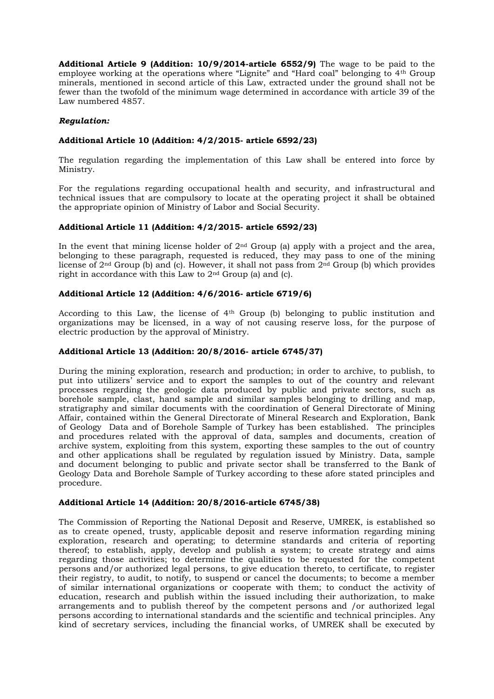**Additional Article 9 (Addition: 10/9/2014-article 6552/9)** The wage to be paid to the employee working at the operations where "Lignite" and "Hard coal" belonging to 4th Group minerals, mentioned in second article of this Law, extracted under the ground shall not be fewer than the twofold of the minimum wage determined in accordance with article 39 of the Law numbered 4857.

# *Regulation:*

# **Additional Article 10 (Addition: 4/2/2015- article 6592/23)**

The regulation regarding the implementation of this Law shall be entered into force by Ministry.

For the regulations regarding occupational health and security, and infrastructural and technical issues that are compulsory to locate at the operating project it shall be obtained the appropriate opinion of Ministry of Labor and Social Security.

# **Additional Article 11 (Addition: 4/2/2015- article 6592/23)**

In the event that mining license holder of  $2<sup>nd</sup>$  Group (a) apply with a project and the area, belonging to these paragraph, requested is reduced, they may pass to one of the mining license of 2nd Group (b) and (c). However, it shall not pass from 2nd Group (b) which provides right in accordance with this Law to 2nd Group (a) and (c).

# **Additional Article 12 (Addition: 4/6/2016- article 6719/6)**

According to this Law, the license of 4th Group (b) belonging to public institution and organizations may be licensed, in a way of not causing reserve loss, for the purpose of electric production by the approval of Ministry.

## **Additional Article 13 (Addition: 20/8/2016- article 6745/37)**

During the mining exploration, research and production; in order to archive, to publish, to put into utilizers' service and to export the samples to out of the country and relevant processes regarding the geologic data produced by public and private sectors, such as borehole sample, clast, hand sample and similar samples belonging to drilling and map, stratigraphy and similar documents with the coordination of General Directorate of Mining Affair, contained within the General Directorate of Mineral Research and Exploration, Bank of Geology Data and of Borehole Sample of Turkey has been established. The principles and procedures related with the approval of data, samples and documents, creation of archive system, exploiting from this system, exporting these samples to the out of country and other applications shall be regulated by regulation issued by Ministry. Data, sample and document belonging to public and private sector shall be transferred to the Bank of Geology Data and Borehole Sample of Turkey according to these afore stated principles and procedure.

## **Additional Article 14 (Addition: 20/8/2016-article 6745/38)**

The Commission of Reporting the National Deposit and Reserve, UMREK, is established so as to create opened, trusty, applicable deposit and reserve information regarding mining exploration, research and operating; to determine standards and criteria of reporting thereof; to establish, apply, develop and publish a system; to create strategy and aims regarding those activities; to determine the qualities to be requested for the competent persons and/or authorized legal persons, to give education thereto, to certificate, to register their registry, to audit, to notify, to suspend or cancel the documents; to become a member of similar international organizations or cooperate with them; to conduct the activity of education, research and publish within the issued including their authorization, to make arrangements and to publish thereof by the competent persons and /or authorized legal persons according to international standards and the scientific and technical principles. Any kind of secretary services, including the financial works, of UMREK shall be executed by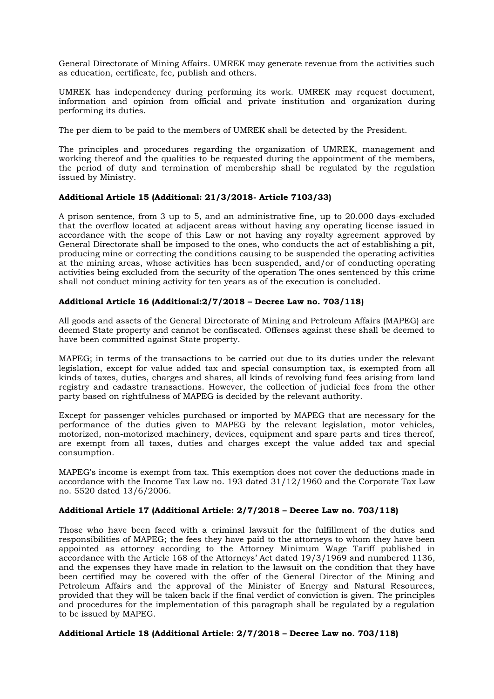General Directorate of Mining Affairs. UMREK may generate revenue from the activities such as education, certificate, fee, publish and others.

UMREK has independency during performing its work. UMREK may request document, information and opinion from official and private institution and organization during performing its duties.

The per diem to be paid to the members of UMREK shall be detected by the President.

The principles and procedures regarding the organization of UMREK, management and working thereof and the qualities to be requested during the appointment of the members, the period of duty and termination of membership shall be regulated by the regulation issued by Ministry.

# **Additional Article 15 (Additional: 21/3/2018- Article 7103/33)**

A prison sentence, from 3 up to 5, and an administrative fine, up to 20.000 days-excluded that the overflow located at adjacent areas without having any operating license issued in accordance with the scope of this Law or not having any royalty agreement approved by General Directorate shall be imposed to the ones, who conducts the act of establishing a pit, producing mine or correcting the conditions causing to be suspended the operating activities at the mining areas, whose activities has been suspended, and/or of conducting operating activities being excluded from the security of the operation The ones sentenced by this crime shall not conduct mining activity for ten years as of the execution is concluded.

# **Additional Article 16 (Additional:2/7/2018 – Decree Law no. 703/118)**

All goods and assets of the General Directorate of Mining and Petroleum Affairs (MAPEG) are deemed State property and cannot be confiscated. Offenses against these shall be deemed to have been committed against State property.

MAPEG; in terms of the transactions to be carried out due to its duties under the relevant legislation, except for value added tax and special consumption tax, is exempted from all kinds of taxes, duties, charges and shares, all kinds of revolving fund fees arising from land registry and cadastre transactions. However, the collection of judicial fees from the other party based on rightfulness of MAPEG is decided by the relevant authority.

Except for passenger vehicles purchased or imported by MAPEG that are necessary for the performance of the duties given to MAPEG by the relevant legislation, motor vehicles, motorized, non-motorized machinery, devices, equipment and spare parts and tires thereof, are exempt from all taxes, duties and charges except the value added tax and special consumption.

MAPEG's income is exempt from tax. This exemption does not cover the deductions made in accordance with the Income Tax Law no. 193 dated 31/12/1960 and the Corporate Tax Law no. 5520 dated 13/6/2006.

# **Additional Article 17 (Additional Article: 2/7/2018 – Decree Law no. 703/118)**

Those who have been faced with a criminal lawsuit for the fulfillment of the duties and responsibilities of MAPEG; the fees they have paid to the attorneys to whom they have been appointed as attorney according to the Attorney Minimum Wage Tariff published in accordance with the Article 168 of the Attorneys' Act dated 19/3/1969 and numbered 1136, and the expenses they have made in relation to the lawsuit on the condition that they have been certified may be covered with the offer of the General Director of the Mining and Petroleum Affairs and the approval of the Minister of Energy and Natural Resources, provided that they will be taken back if the final verdict of conviction is given. The principles and procedures for the implementation of this paragraph shall be regulated by a regulation to be issued by MAPEG.

# **Additional Article 18 (Additional Article: 2/7/2018 – Decree Law no. 703/118)**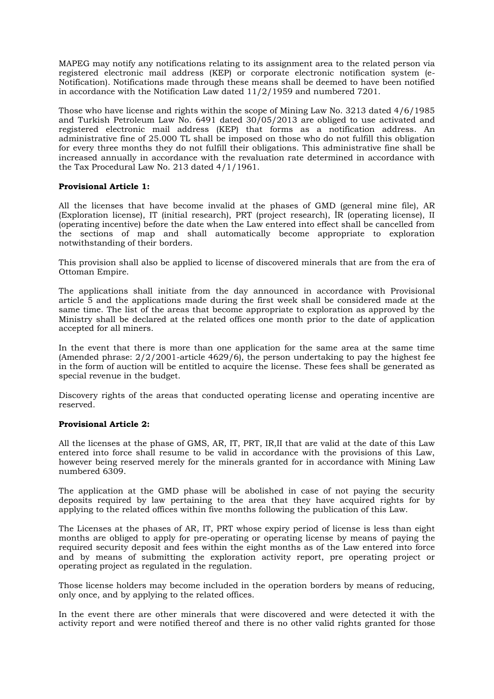MAPEG may notify any notifications relating to its assignment area to the related person via registered electronic mail address (KEP) or corporate electronic notification system (e-Notification). Notifications made through these means shall be deemed to have been notified in accordance with the Notification Law dated 11/2/1959 and numbered 7201.

Those who have license and rights within the scope of Mining Law No. 3213 dated 4/6/1985 and Turkish Petroleum Law No. 6491 dated 30/05/2013 are obliged to use activated and registered electronic mail address (KEP) that forms as a notification address. An administrative fine of 25.000 TL shall be imposed on those who do not fulfill this obligation for every three months they do not fulfill their obligations. This administrative fine shall be increased annually in accordance with the revaluation rate determined in accordance with the Tax Procedural Law No. 213 dated 4/1/1961.

## **Provisional Article 1:**

All the licenses that have become invalid at the phases of GMD (general mine file), AR (Exploration license), IT (initial research), PRT (project research), İR (operating license), II (operating incentive) before the date when the Law entered into effect shall be cancelled from the sections of map and shall automatically become appropriate to exploration notwithstanding of their borders.

This provision shall also be applied to license of discovered minerals that are from the era of Ottoman Empire.

The applications shall initiate from the day announced in accordance with Provisional article 5 and the applications made during the first week shall be considered made at the same time. The list of the areas that become appropriate to exploration as approved by the Ministry shall be declared at the related offices one month prior to the date of application accepted for all miners.

In the event that there is more than one application for the same area at the same time (Amended phrase:  $2/2/2001$ -article 4629/6), the person undertaking to pay the highest fee in the form of auction will be entitled to acquire the license. These fees shall be generated as special revenue in the budget.

Discovery rights of the areas that conducted operating license and operating incentive are reserved.

#### **Provisional Article 2:**

All the licenses at the phase of GMS, AR, IT, PRT, IR,II that are valid at the date of this Law entered into force shall resume to be valid in accordance with the provisions of this Law, however being reserved merely for the minerals granted for in accordance with Mining Law numbered 6309.

The application at the GMD phase will be abolished in case of not paying the security deposits required by law pertaining to the area that they have acquired rights for by applying to the related offices within five months following the publication of this Law.

The Licenses at the phases of AR, IT, PRT whose expiry period of license is less than eight months are obliged to apply for pre-operating or operating license by means of paying the required security deposit and fees within the eight months as of the Law entered into force and by means of submitting the exploration activity report, pre operating project or operating project as regulated in the regulation.

Those license holders may become included in the operation borders by means of reducing, only once, and by applying to the related offices.

In the event there are other minerals that were discovered and were detected it with the activity report and were notified thereof and there is no other valid rights granted for those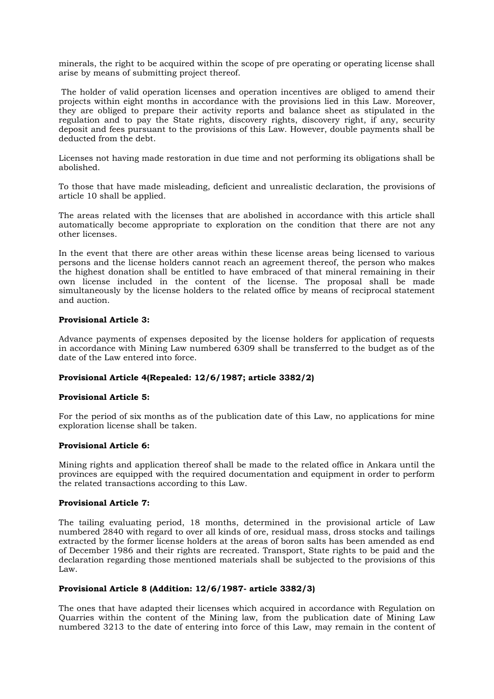minerals, the right to be acquired within the scope of pre operating or operating license shall arise by means of submitting project thereof.

The holder of valid operation licenses and operation incentives are obliged to amend their projects within eight months in accordance with the provisions lied in this Law. Moreover, they are obliged to prepare their activity reports and balance sheet as stipulated in the regulation and to pay the State rights, discovery rights, discovery right, if any, security deposit and fees pursuant to the provisions of this Law. However, double payments shall be deducted from the debt.

Licenses not having made restoration in due time and not performing its obligations shall be abolished.

To those that have made misleading, deficient and unrealistic declaration, the provisions of article 10 shall be applied.

The areas related with the licenses that are abolished in accordance with this article shall automatically become appropriate to exploration on the condition that there are not any other licenses.

In the event that there are other areas within these license areas being licensed to various persons and the license holders cannot reach an agreement thereof, the person who makes the highest donation shall be entitled to have embraced of that mineral remaining in their own license included in the content of the license. The proposal shall be made simultaneously by the license holders to the related office by means of reciprocal statement and auction.

#### **Provisional Article 3:**

Advance payments of expenses deposited by the license holders for application of requests in accordance with Mining Law numbered 6309 shall be transferred to the budget as of the date of the Law entered into force.

## **Provisional Article 4(Repealed: 12/6/1987; article 3382/2)**

#### **Provisional Article 5:**

For the period of six months as of the publication date of this Law, no applications for mine exploration license shall be taken.

#### **Provisional Article 6:**

Mining rights and application thereof shall be made to the related office in Ankara until the provinces are equipped with the required documentation and equipment in order to perform the related transactions according to this Law.

#### **Provisional Article 7:**

The tailing evaluating period, 18 months, determined in the provisional article of Law numbered 2840 with regard to over all kinds of ore, residual mass, dross stocks and tailings extracted by the former license holders at the areas of boron salts has been amended as end of December 1986 and their rights are recreated. Transport, State rights to be paid and the declaration regarding those mentioned materials shall be subjected to the provisions of this Law.

## **Provisional Article 8 (Addition: 12/6/1987- article 3382/3)**

The ones that have adapted their licenses which acquired in accordance with Regulation on Quarries within the content of the Mining law, from the publication date of Mining Law numbered 3213 to the date of entering into force of this Law, may remain in the content of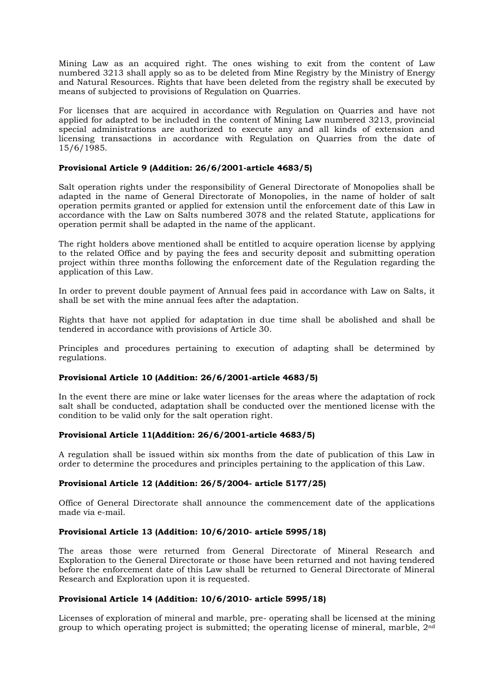Mining Law as an acquired right. The ones wishing to exit from the content of Law numbered 3213 shall apply so as to be deleted from Mine Registry by the Ministry of Energy and Natural Resources. Rights that have been deleted from the registry shall be executed by means of subjected to provisions of Regulation on Quarries.

For licenses that are acquired in accordance with Regulation on Quarries and have not applied for adapted to be included in the content of Mining Law numbered 3213, provincial special administrations are authorized to execute any and all kinds of extension and licensing transactions in accordance with Regulation on Quarries from the date of 15/6/1985.

# **Provisional Article 9 (Addition: 26/6/2001-article 4683/5)**

Salt operation rights under the responsibility of General Directorate of Monopolies shall be adapted in the name of General Directorate of Monopolies, in the name of holder of salt operation permits granted or applied for extension until the enforcement date of this Law in accordance with the Law on Salts numbered 3078 and the related Statute, applications for operation permit shall be adapted in the name of the applicant.

The right holders above mentioned shall be entitled to acquire operation license by applying to the related Office and by paying the fees and security deposit and submitting operation project within three months following the enforcement date of the Regulation regarding the application of this Law.

In order to prevent double payment of Annual fees paid in accordance with Law on Salts, it shall be set with the mine annual fees after the adaptation.

Rights that have not applied for adaptation in due time shall be abolished and shall be tendered in accordance with provisions of Article 30.

Principles and procedures pertaining to execution of adapting shall be determined by regulations.

## **Provisional Article 10 (Addition: 26/6/2001-article 4683/5)**

In the event there are mine or lake water licenses for the areas where the adaptation of rock salt shall be conducted, adaptation shall be conducted over the mentioned license with the condition to be valid only for the salt operation right.

## **Provisional Article 11(Addition: 26/6/2001-article 4683/5)**

A regulation shall be issued within six months from the date of publication of this Law in order to determine the procedures and principles pertaining to the application of this Law.

## **Provisional Article 12 (Addition: 26/5/2004- article 5177/25)**

Office of General Directorate shall announce the commencement date of the applications made via e-mail.

# **Provisional Article 13 (Addition: 10/6/2010- article 5995/18)**

The areas those were returned from General Directorate of Mineral Research and Exploration to the General Directorate or those have been returned and not having tendered before the enforcement date of this Law shall be returned to General Directorate of Mineral Research and Exploration upon it is requested.

## **Provisional Article 14 (Addition: 10/6/2010- article 5995/18)**

Licenses of exploration of mineral and marble, pre- operating shall be licensed at the mining group to which operating project is submitted; the operating license of mineral, marble, 2nd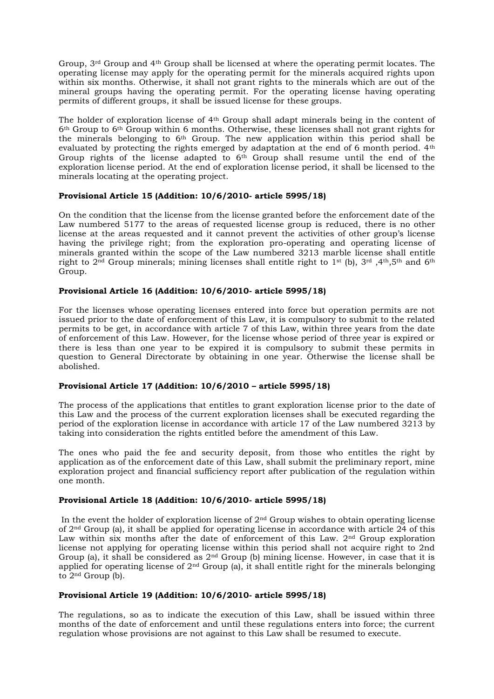Group,  $3<sup>rd</sup>$  Group and  $4<sup>th</sup>$  Group shall be licensed at where the operating permit locates. The operating license may apply for the operating permit for the minerals acquired rights upon within six months. Otherwise, it shall not grant rights to the minerals which are out of the mineral groups having the operating permit. For the operating license having operating permits of different groups, it shall be issued license for these groups.

The holder of exploration license of 4th Group shall adapt minerals being in the content of 6th Group to 6th Group within 6 months. Otherwise, these licenses shall not grant rights for the minerals belonging to 6th Group. The new application within this period shall be evaluated by protecting the rights emerged by adaptation at the end of 6 month period.  $4<sup>th</sup>$ Group rights of the license adapted to 6<sup>th</sup> Group shall resume until the end of the exploration license period. At the end of exploration license period, it shall be licensed to the minerals locating at the operating project.

## **Provisional Article 15 (Addition: 10/6/2010- article 5995/18)**

On the condition that the license from the license granted before the enforcement date of the Law numbered 5177 to the areas of requested license group is reduced, there is no other license at the areas requested and it cannot prevent the activities of other group's license having the privilege right; from the exploration pro-operating and operating license of minerals granted within the scope of the Law numbered 3213 marble license shall entitle right to  $2<sup>nd</sup>$  Group minerals; mining licenses shall entitle right to 1<sup>st</sup> (b), 3<sup>rd</sup> ,4<sup>th</sup>,5<sup>th</sup> and 6<sup>th</sup> Group.

# **Provisional Article 16 (Addition: 10/6/2010- article 5995/18)**

For the licenses whose operating licenses entered into force but operation permits are not issued prior to the date of enforcement of this Law, it is compulsory to submit to the related permits to be get, in accordance with article 7 of this Law, within three years from the date of enforcement of this Law. However, for the license whose period of three year is expired or there is less than one year to be expired it is compulsory to submit these permits in question to General Directorate by obtaining in one year. Otherwise the license shall be abolished.

## **Provisional Article 17 (Addition: 10/6/2010 – article 5995/18)**

The process of the applications that entitles to grant exploration license prior to the date of this Law and the process of the current exploration licenses shall be executed regarding the period of the exploration license in accordance with article 17 of the Law numbered 3213 by taking into consideration the rights entitled before the amendment of this Law.

The ones who paid the fee and security deposit, from those who entitles the right by application as of the enforcement date of this Law, shall submit the preliminary report, mine exploration project and financial sufficiency report after publication of the regulation within one month.

# **Provisional Article 18 (Addition: 10/6/2010- article 5995/18)**

In the event the holder of exploration license of  $2<sup>nd</sup>$  Group wishes to obtain operating license of 2nd Group (a), it shall be applied for operating license in accordance with article 24 of this Law within six months after the date of enforcement of this Law.  $2<sup>nd</sup>$  Group exploration license not applying for operating license within this period shall not acquire right to 2nd Group (a), it shall be considered as  $2<sup>nd</sup>$  Group (b) mining license. However, in case that it is applied for operating license of  $2<sup>nd</sup>$  Group (a), it shall entitle right for the minerals belonging to 2<sup>nd</sup> Group (b).

# **Provisional Article 19 (Addition: 10/6/2010- article 5995/18)**

The regulations, so as to indicate the execution of this Law, shall be issued within three months of the date of enforcement and until these regulations enters into force; the current regulation whose provisions are not against to this Law shall be resumed to execute.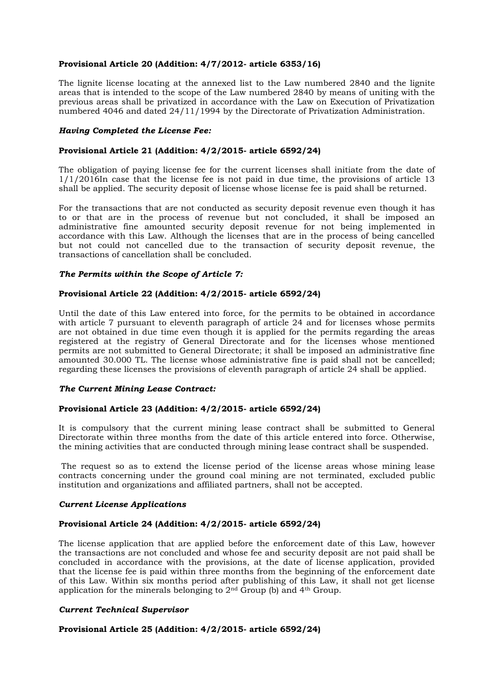# **Provisional Article 20 (Addition: 4/7/2012- article 6353/16)**

The lignite license locating at the annexed list to the Law numbered 2840 and the lignite areas that is intended to the scope of the Law numbered 2840 by means of uniting with the previous areas shall be privatized in accordance with the Law on Execution of Privatization numbered 4046 and dated 24/11/1994 by the Directorate of Privatization Administration.

## *Having Completed the License Fee:*

# **Provisional Article 21 (Addition: 4/2/2015- article 6592/24)**

The obligation of paying license fee for the current licenses shall initiate from the date of 1/1/2016In case that the license fee is not paid in due time, the provisions of article 13 shall be applied. The security deposit of license whose license fee is paid shall be returned.

For the transactions that are not conducted as security deposit revenue even though it has to or that are in the process of revenue but not concluded, it shall be imposed an administrative fine amounted security deposit revenue for not being implemented in accordance with this Law. Although the licenses that are in the process of being cancelled but not could not cancelled due to the transaction of security deposit revenue, the transactions of cancellation shall be concluded.

# *The Permits within the Scope of Article 7:*

## **Provisional Article 22 (Addition: 4/2/2015- article 6592/24)**

Until the date of this Law entered into force, for the permits to be obtained in accordance with article 7 pursuant to eleventh paragraph of article 24 and for licenses whose permits are not obtained in due time even though it is applied for the permits regarding the areas registered at the registry of General Directorate and for the licenses whose mentioned permits are not submitted to General Directorate; it shall be imposed an administrative fine amounted 30.000 TL. The license whose administrative fine is paid shall not be cancelled; regarding these licenses the provisions of eleventh paragraph of article 24 shall be applied.

## *The Current Mining Lease Contract:*

## **Provisional Article 23 (Addition: 4/2/2015- article 6592/24)**

It is compulsory that the current mining lease contract shall be submitted to General Directorate within three months from the date of this article entered into force. Otherwise, the mining activities that are conducted through mining lease contract shall be suspended.

The request so as to extend the license period of the license areas whose mining lease contracts concerning under the ground coal mining are not terminated, excluded public institution and organizations and affiliated partners, shall not be accepted.

## *Current License Applications*

## **Provisional Article 24 (Addition: 4/2/2015- article 6592/24)**

The license application that are applied before the enforcement date of this Law, however the transactions are not concluded and whose fee and security deposit are not paid shall be concluded in accordance with the provisions, at the date of license application, provided that the license fee is paid within three months from the beginning of the enforcement date of this Law. Within six months period after publishing of this Law, it shall not get license application for the minerals belonging to 2nd Group (b) and 4th Group.

## *Current Technical Supervisor*

## **Provisional Article 25 (Addition: 4/2/2015- article 6592/24)**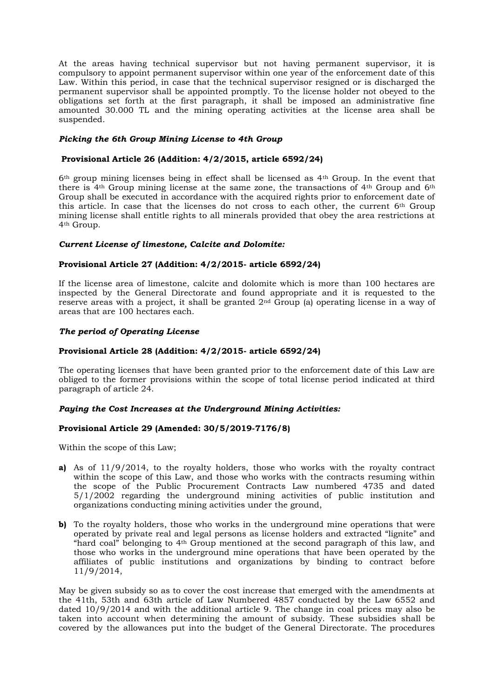At the areas having technical supervisor but not having permanent supervisor, it is compulsory to appoint permanent supervisor within one year of the enforcement date of this Law. Within this period, in case that the technical supervisor resigned or is discharged the permanent supervisor shall be appointed promptly. To the license holder not obeyed to the obligations set forth at the first paragraph, it shall be imposed an administrative fine amounted 30.000 TL and the mining operating activities at the license area shall be suspended.

# *Picking the 6th Group Mining License to 4th Group*

# **Provisional Article 26 (Addition: 4/2/2015, article 6592/24)**

6th group mining licenses being in effect shall be licensed as 4th Group. In the event that there is  $4<sup>th</sup>$  Group mining license at the same zone, the transactions of  $4<sup>th</sup>$  Group and  $6<sup>th</sup>$ Group shall be executed in accordance with the acquired rights prior to enforcement date of this article. In case that the licenses do not cross to each other, the current 6th Group mining license shall entitle rights to all minerals provided that obey the area restrictions at 4th Group.

## *Current License of limestone, Calcite and Dolomite:*

#### **Provisional Article 27 (Addition: 4/2/2015- article 6592/24)**

If the license area of limestone, calcite and dolomite which is more than 100 hectares are inspected by the General Directorate and found appropriate and it is requested to the reserve areas with a project, it shall be granted 2nd Group (a) operating license in a way of areas that are 100 hectares each.

## *The period of Operating License*

# **Provisional Article 28 (Addition: 4/2/2015- article 6592/24)**

The operating licenses that have been granted prior to the enforcement date of this Law are obliged to the former provisions within the scope of total license period indicated at third paragraph of article 24.

## *Paying the Cost Increases at the Underground Mining Activities:*

## **Provisional Article 29 (Amended: 30/5/2019-7176/8)**

Within the scope of this Law;

- **a)** As of 11/9/2014, to the royalty holders, those who works with the royalty contract within the scope of this Law, and those who works with the contracts resuming within the scope of the Public Procurement Contracts Law numbered 4735 and dated 5/1/2002 regarding the underground mining activities of public institution and organizations conducting mining activities under the ground,
- **b)** To the royalty holders, those who works in the underground mine operations that were operated by private real and legal persons as license holders and extracted "lignite" and "hard coal" belonging to 4th Group mentioned at the second paragraph of this law, and those who works in the underground mine operations that have been operated by the affiliates of public institutions and organizations by binding to contract before 11/9/2014,

May be given subsidy so as to cover the cost increase that emerged with the amendments at the 41th, 53th and 63th article of Law Numbered 4857 conducted by the Law 6552 and dated 10/9/2014 and with the additional article 9. The change in coal prices may also be taken into account when determining the amount of subsidy. These subsidies shall be covered by the allowances put into the budget of the General Directorate. The procedures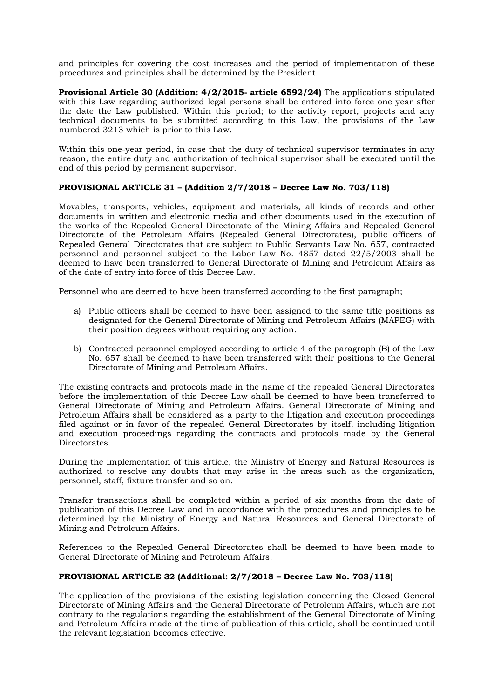and principles for covering the cost increases and the period of implementation of these procedures and principles shall be determined by the President.

**Provisional Article 30 (Addition: 4/2/2015- article 6592/24)** The applications stipulated with this Law regarding authorized legal persons shall be entered into force one year after the date the Law published. Within this period; to the activity report, projects and any technical documents to be submitted according to this Law, the provisions of the Law numbered 3213 which is prior to this Law.

Within this one-year period, in case that the duty of technical supervisor terminates in any reason, the entire duty and authorization of technical supervisor shall be executed until the end of this period by permanent supervisor.

# **PROVISIONAL ARTICLE 31 – (Addition 2/7/2018 – Decree Law No. 703/118)**

Movables, transports, vehicles, equipment and materials, all kinds of records and other documents in written and electronic media and other documents used in the execution of the works of the Repealed General Directorate of the Mining Affairs and Repealed General Directorate of the Petroleum Affairs (Repealed General Directorates), public officers of Repealed General Directorates that are subject to Public Servants Law No. 657, contracted personnel and personnel subject to the Labor Law No. 4857 dated 22/5/2003 shall be deemed to have been transferred to General Directorate of Mining and Petroleum Affairs as of the date of entry into force of this Decree Law.

Personnel who are deemed to have been transferred according to the first paragraph;

- a) Public officers shall be deemed to have been assigned to the same title positions as designated for the General Directorate of Mining and Petroleum Affairs (MAPEG) with their position degrees without requiring any action.
- b) Contracted personnel employed according to article 4 of the paragraph (B) of the Law No. 657 shall be deemed to have been transferred with their positions to the General Directorate of Mining and Petroleum Affairs.

The existing contracts and protocols made in the name of the repealed General Directorates before the implementation of this Decree-Law shall be deemed to have been transferred to General Directorate of Mining and Petroleum Affairs. General Directorate of Mining and Petroleum Affairs shall be considered as a party to the litigation and execution proceedings filed against or in favor of the repealed General Directorates by itself, including litigation and execution proceedings regarding the contracts and protocols made by the General Directorates.

During the implementation of this article, the Ministry of Energy and Natural Resources is authorized to resolve any doubts that may arise in the areas such as the organization, personnel, staff, fixture transfer and so on.

Transfer transactions shall be completed within a period of six months from the date of publication of this Decree Law and in accordance with the procedures and principles to be determined by the Ministry of Energy and Natural Resources and General Directorate of Mining and Petroleum Affairs.

References to the Repealed General Directorates shall be deemed to have been made to General Directorate of Mining and Petroleum Affairs.

# **PROVISIONAL ARTICLE 32 (Additional: 2/7/2018 – Decree Law No. 703/118)**

The application of the provisions of the existing legislation concerning the Closed General Directorate of Mining Affairs and the General Directorate of Petroleum Affairs, which are not contrary to the regulations regarding the establishment of the General Directorate of Mining and Petroleum Affairs made at the time of publication of this article, shall be continued until the relevant legislation becomes effective.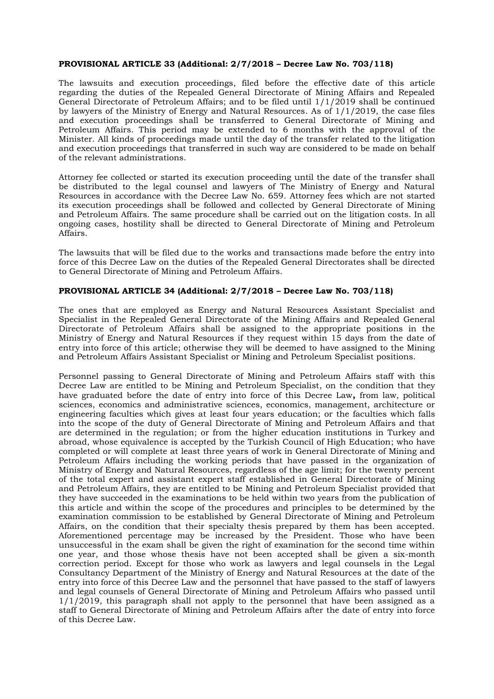#### **PROVISIONAL ARTICLE 33 (Additional: 2/7/2018 – Decree Law No. 703/118)**

The lawsuits and execution proceedings, filed before the effective date of this article regarding the duties of the Repealed General Directorate of Mining Affairs and Repealed General Directorate of Petroleum Affairs; and to be filed until 1/1/2019 shall be continued by lawyers of the Ministry of Energy and Natural Resources. As of 1/1/2019, the case files and execution proceedings shall be transferred to General Directorate of Mining and Petroleum Affairs. This period may be extended to 6 months with the approval of the Minister. All kinds of proceedings made until the day of the transfer related to the litigation and execution proceedings that transferred in such way are considered to be made on behalf of the relevant administrations.

Attorney fee collected or started its execution proceeding until the date of the transfer shall be distributed to the legal counsel and lawyers of The Ministry of Energy and Natural Resources in accordance with the Decree Law No. 659. Attorney fees which are not started its execution proceedings shall be followed and collected by General Directorate of Mining and Petroleum Affairs. The same procedure shall be carried out on the litigation costs. In all ongoing cases, hostility shall be directed to General Directorate of Mining and Petroleum Affairs.

The lawsuits that will be filed due to the works and transactions made before the entry into force of this Decree Law on the duties of the Repealed General Directorates shall be directed to General Directorate of Mining and Petroleum Affairs.

# **PROVISIONAL ARTICLE 34 (Additional: 2/7/2018 – Decree Law No. 703/118)**

The ones that are employed as Energy and Natural Resources Assistant Specialist and Specialist in the Repealed General Directorate of the Mining Affairs and Repealed General Directorate of Petroleum Affairs shall be assigned to the appropriate positions in the Ministry of Energy and Natural Resources if they request within 15 days from the date of entry into force of this article; otherwise they will be deemed to have assigned to the Mining and Petroleum Affairs Assistant Specialist or Mining and Petroleum Specialist positions.

Personnel passing to General Directorate of Mining and Petroleum Affairs staff with this Decree Law are entitled to be Mining and Petroleum Specialist, on the condition that they have graduated before the date of entry into force of this Decree Law**,** from law, political sciences, economics and administrative sciences, economics, management, architecture or engineering faculties which gives at least four years education; or the faculties which falls into the scope of the duty of General Directorate of Mining and Petroleum Affairs and that are determined in the regulation; or from the higher education institutions in Turkey and abroad, whose equivalence is accepted by the Turkish Council of High Education; who have completed or will complete at least three years of work in General Directorate of Mining and Petroleum Affairs including the working periods that have passed in the organization of Ministry of Energy and Natural Resources, regardless of the age limit; for the twenty percent of the total expert and assistant expert staff established in General Directorate of Mining and Petroleum Affairs, they are entitled to be Mining and Petroleum Specialist provided that they have succeeded in the examinations to be held within two years from the publication of this article and within the scope of the procedures and principles to be determined by the examination commission to be established by General Directorate of Mining and Petroleum Affairs, on the condition that their specialty thesis prepared by them has been accepted. Aforementioned percentage may be increased by the President. Those who have been unsuccessful in the exam shall be given the right of examination for the second time within one year, and those whose thesis have not been accepted shall be given a six-month correction period. Except for those who work as lawyers and legal counsels in the Legal Consultancy Department of the Ministry of Energy and Natural Resources at the date of the entry into force of this Decree Law and the personnel that have passed to the staff of lawyers and legal counsels of General Directorate of Mining and Petroleum Affairs who passed until  $1/1/2019$ , this paragraph shall not apply to the personnel that have been assigned as a staff to General Directorate of Mining and Petroleum Affairs after the date of entry into force of this Decree Law.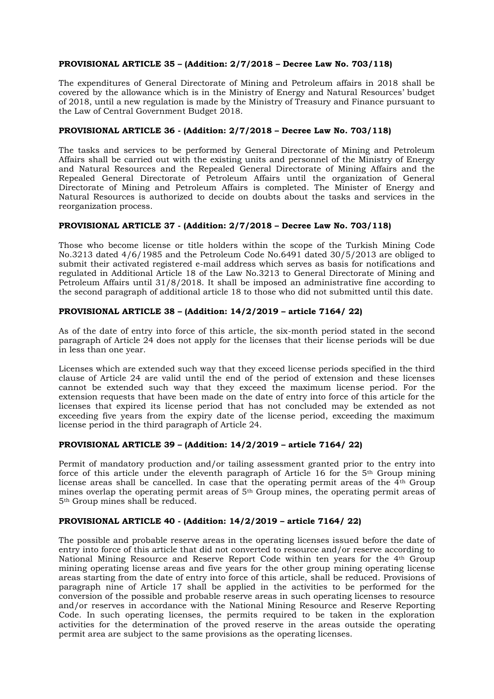# **PROVISIONAL ARTICLE 35 – (Addition: 2/7/2018 – Decree Law No. 703/118)**

The expenditures of General Directorate of Mining and Petroleum affairs in 2018 shall be covered by the allowance which is in the Ministry of Energy and Natural Resources' budget of 2018, until a new regulation is made by the Ministry of Treasury and Finance pursuant to the Law of Central Government Budget 2018.

# **PROVISIONAL ARTICLE 36 - (Addition: 2/7/2018 – Decree Law No. 703/118)**

The tasks and services to be performed by General Directorate of Mining and Petroleum Affairs shall be carried out with the existing units and personnel of the Ministry of Energy and Natural Resources and the Repealed General Directorate of Mining Affairs and the Repealed General Directorate of Petroleum Affairs until the organization of General Directorate of Mining and Petroleum Affairs is completed. The Minister of Energy and Natural Resources is authorized to decide on doubts about the tasks and services in the reorganization process.

# **PROVISIONAL ARTICLE 37 - (Addition: 2/7/2018 – Decree Law No. 703/118)**

Those who become license or title holders within the scope of the Turkish Mining Code No.3213 dated 4/6/1985 and the Petroleum Code No.6491 dated 30/5/2013 are obliged to submit their activated registered e-mail address which serves as basis for notifications and regulated in Additional Article 18 of the Law No.3213 to General Directorate of Mining and Petroleum Affairs until 31/8/2018. It shall be imposed an administrative fine according to the second paragraph of additional article 18 to those who did not submitted until this date.

# **PROVISIONAL ARTICLE 38 – (Addition: 14/2/2019 – article 7164/ 22)**

As of the date of entry into force of this article, the six-month period stated in the second paragraph of Article 24 does not apply for the licenses that their license periods will be due in less than one year.

Licenses which are extended such way that they exceed license periods specified in the third clause of Article 24 are valid until the end of the period of extension and these licenses cannot be extended such way that they exceed the maximum license period. For the extension requests that have been made on the date of entry into force of this article for the licenses that expired its license period that has not concluded may be extended as not exceeding five years from the expiry date of the license period, exceeding the maximum license period in the third paragraph of Article 24.

## **PROVISIONAL ARTICLE 39 – (Addition: 14/2/2019 – article 7164/ 22)**

Permit of mandatory production and/or tailing assessment granted prior to the entry into force of this article under the eleventh paragraph of Article 16 for the 5<sup>th</sup> Group mining license areas shall be cancelled. In case that the operating permit areas of the 4th Group mines overlap the operating permit areas of 5<sup>th</sup> Group mines, the operating permit areas of 5th Group mines shall be reduced.

## **PROVISIONAL ARTICLE 40 - (Addition: 14/2/2019 – article 7164/ 22)**

The possible and probable reserve areas in the operating licenses issued before the date of entry into force of this article that did not converted to resource and/or reserve according to National Mining Resource and Reserve Report Code within ten years for the 4th Group mining operating license areas and five years for the other group mining operating license areas starting from the date of entry into force of this article, shall be reduced. Provisions of paragraph nine of Article 17 shall be applied in the activities to be performed for the conversion of the possible and probable reserve areas in such operating licenses to resource and/or reserves in accordance with the National Mining Resource and Reserve Reporting Code. In such operating licenses, the permits required to be taken in the exploration activities for the determination of the proved reserve in the areas outside the operating permit area are subject to the same provisions as the operating licenses.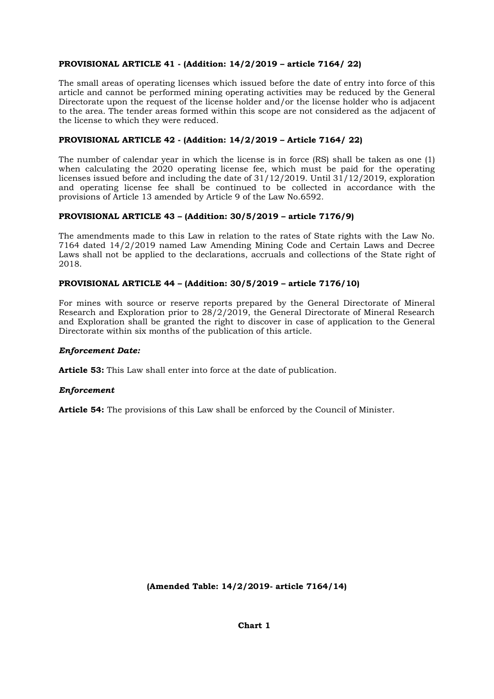# **PROVISIONAL ARTICLE 41 - (Addition: 14/2/2019 – article 7164/ 22)**

The small areas of operating licenses which issued before the date of entry into force of this article and cannot be performed mining operating activities may be reduced by the General Directorate upon the request of the license holder and/or the license holder who is adjacent to the area. The tender areas formed within this scope are not considered as the adjacent of the license to which they were reduced.

# **PROVISIONAL ARTICLE 42 - (Addition: 14/2/2019 – Article 7164/ 22)**

The number of calendar year in which the license is in force (RS) shall be taken as one (1) when calculating the 2020 operating license fee, which must be paid for the operating licenses issued before and including the date of 31/12/2019. Until 31/12/2019, exploration and operating license fee shall be continued to be collected in accordance with the provisions of Article 13 amended by Article 9 of the Law No.6592.

# **PROVISIONAL ARTICLE 43 – (Addition: 30/5/2019 – article 7176/9)**

The amendments made to this Law in relation to the rates of State rights with the Law No. 7164 dated 14/2/2019 named Law Amending Mining Code and Certain Laws and Decree Laws shall not be applied to the declarations, accruals and collections of the State right of 2018.

# **PROVISIONAL ARTICLE 44 – (Addition: 30/5/2019 – article 7176/10)**

For mines with source or reserve reports prepared by the General Directorate of Mineral Research and Exploration prior to 28/2/2019, the General Directorate of Mineral Research and Exploration shall be granted the right to discover in case of application to the General Directorate within six months of the publication of this article.

# *Enforcement Date:*

**Article 53:** This Law shall enter into force at the date of publication.

# *Enforcement*

**Article 54:** The provisions of this Law shall be enforced by the Council of Minister.

**(Amended Table: 14/2/2019- article 7164/14)**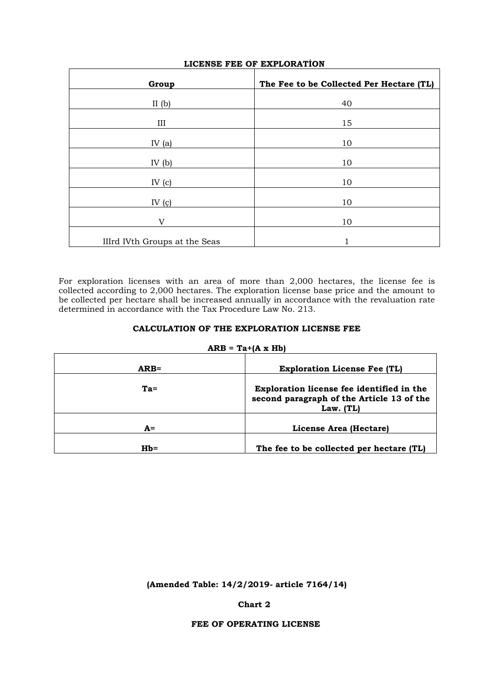| Group                         | The Fee to be Collected Per Hectare (TL) |
|-------------------------------|------------------------------------------|
| II $(b)$                      | 40                                       |
| III                           | 15                                       |
| IV $(a)$                      | 10                                       |
| IV $(b)$                      | 10                                       |
| IV $(c)$                      | 10                                       |
| IV $(c)$                      | 10                                       |
| $\mathbf{V}$                  | 10                                       |
| IIIrd IVth Groups at the Seas |                                          |

# **LICENSE FEE OF EXPLORATİON**

For exploration licenses with an area of more than 2,000 hectares, the license fee is collected according to 2,000 hectares. The exploration license base price and the amount to be collected per hectare shall be increased annually in accordance with the revaluation rate determined in accordance with the Tax Procedure Law No. 213.

# **CALCULATION OF THE EXPLORATION LICENSE FEE**

#### $ARB = Ta + (A \times Hb)$

| $ARB=$ | <b>Exploration License Fee (TL)</b>                                                                        |  |
|--------|------------------------------------------------------------------------------------------------------------|--|
| $Ta =$ | <b>Exploration license fee identified in the</b><br>second paragraph of the Article 13 of the<br>Law. (TL) |  |
| $A=$   | License Area (Hectare)                                                                                     |  |
| $Hb=$  | The fee to be collected per hectare (TL)                                                                   |  |

# **(Amended Table: 14/2/2019- article 7164/14)**

# **Chart 2**

# **FEE OF OPERATING LICENSE**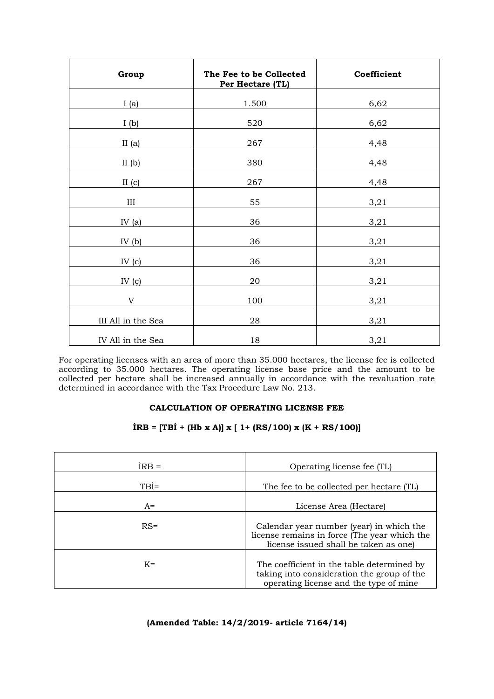| Group              | The Fee to be Collected<br>Per Hectare (TL) | Coefficient |
|--------------------|---------------------------------------------|-------------|
| I(a)               | 1.500                                       | 6,62        |
| I(b)               | 520                                         | 6,62        |
| II $(a)$           | 267                                         | 4,48        |
| II $(b)$           | 380                                         | 4,48        |
| II(c)              | 267                                         | 4,48        |
| III                | 55                                          | 3,21        |
| IV $(a)$           | 36                                          | 3,21        |
| IV $(b)$           | 36                                          | 3,21        |
| IV $(c)$           | 36                                          | 3,21        |
| IV $(q)$           | 20                                          | 3,21        |
| $\mathbf V$        | 100                                         | 3,21        |
| III All in the Sea | 28                                          | 3,21        |
| IV All in the Sea  | 18                                          | 3,21        |

For operating licenses with an area of more than 35.000 hectares, the license fee is collected according to 35.000 hectares. The operating license base price and the amount to be collected per hectare shall be increased annually in accordance with the revaluation rate determined in accordance with the Tax Procedure Law No. 213.

# **CALCULATION OF OPERATING LICENSE FEE**

# **İRB = [TBİ + (Hb x A)] x [ 1+ (RS/100) x (K + RS/100)]**

| $IRB =$ | Operating license fee (TL)                                                                                                         |
|---------|------------------------------------------------------------------------------------------------------------------------------------|
| $TBI=$  | The fee to be collected per hectare (TL)                                                                                           |
| $A=$    | License Area (Hectare)                                                                                                             |
| $RS =$  | Calendar year number (year) in which the<br>license remains in force (The year which the<br>license issued shall be taken as one)  |
| $K =$   | The coefficient in the table determined by<br>taking into consideration the group of the<br>operating license and the type of mine |

# **(Amended Table: 14/2/2019- article 7164/14)**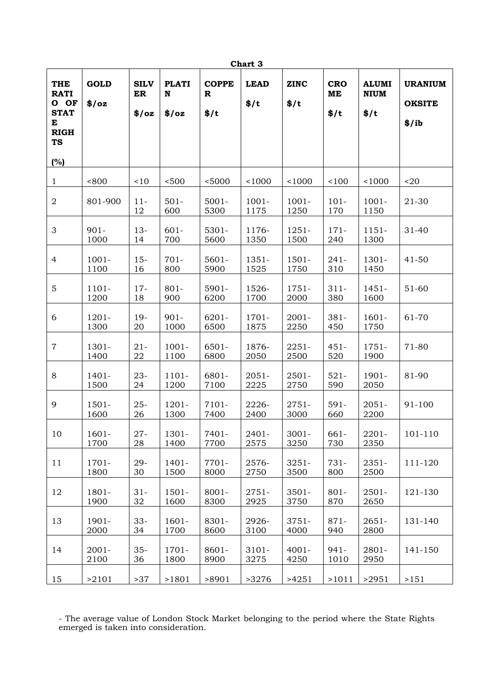| Chart 3                                                                                  |                      |                            |                            |                                    |                     |                     |                          |                                     |                                          |
|------------------------------------------------------------------------------------------|----------------------|----------------------------|----------------------------|------------------------------------|---------------------|---------------------|--------------------------|-------------------------------------|------------------------------------------|
| <b>THE</b><br><b>RATI</b><br>O OF<br><b>STAT</b><br>E<br><b>RIGH</b><br><b>TS</b><br>(%) | <b>GOLD</b><br>\$/oz | <b>SILV</b><br>ER<br>\$/oz | <b>PLATI</b><br>N<br>\$/oz | <b>COPPE</b><br>R<br>$\frac{1}{2}$ | <b>LEAD</b><br>\$/t | <b>ZINC</b><br>\$/t | <b>CRO</b><br>ME<br>\$/t | <b>ALUMI</b><br><b>NIUM</b><br>\$/t | <b>URANIUM</b><br><b>OKSITE</b><br>\$/ib |
|                                                                                          |                      |                            |                            |                                    |                     |                     |                          |                                     |                                          |
| $\mathbf{1}$                                                                             | < 800                | < 10                       | < 500                      | < 5000                             | 1000                | 1000                | 100                      | 1000                                | $20$                                     |
| $\sqrt{2}$                                                                               | 801-900              | $11-$<br>12                | $501 -$<br>600             | $5001 -$<br>5300                   | $1001 -$<br>1175    | $1001 -$<br>1250    | $101 -$<br>170           | $1001 -$<br>1150                    | 21-30                                    |
| 3                                                                                        | $901 -$<br>1000      | $13-$<br>14                | $601 -$<br>700             | $5301 -$<br>5600                   | 1176-<br>1350       | $1251 -$<br>1500    | $171 -$<br>240           | $1151 -$<br>1300                    | $31 - 40$                                |
| 4                                                                                        | $1001 -$<br>1100     | $15-$<br>16                | $701 -$<br>800             | $5601 -$<br>5900                   | 1351-<br>1525       | $1501 -$<br>1750    | $241 -$<br>310           | 1301-<br>1450                       | $41 - 50$                                |
| 5                                                                                        | $1101 -$<br>1200     | $17-$<br>18                | $801 -$<br>900             | $5901 -$<br>6200                   | 1526-<br>1700       | 1751-<br>2000       | $311 -$<br>380           | $1451 -$<br>1600                    | 51-60                                    |
| 6                                                                                        | $1201 -$<br>1300     | $19-$<br>20                | $901 -$<br>1000            | $6201 -$<br>6500                   | 1701-<br>1875       | $2001 -$<br>2250    | $381 -$<br>450           | $1601 -$<br>1750                    | 61-70                                    |
| $\overline{7}$                                                                           | 1301-<br>1400        | $21 -$<br>22               | $1001 -$<br>1100           | $6501 -$<br>6800                   | 1876-<br>2050       | $2251 -$<br>2500    | $451 -$<br>520           | $1751 -$<br>1900                    | 71-80                                    |
| 8                                                                                        | $1401 -$<br>1500     | $23 -$<br>24               | $1101 -$<br>1200           | 6801-<br>7100                      | $2051 -$<br>2225    | 2501-<br>2750       | $521 -$<br>590           | 1901-<br>2050                       | 81-90                                    |
| 9                                                                                        | $1501 -$<br>1600     | $25 -$<br>26               | $1201 -$<br>1300           | 7101-<br>7400                      | 2226-<br>2400       | $2751 -$<br>3000    | $591 -$<br>660           | $2051 -$<br>2200                    | 91-100                                   |
| 10                                                                                       | $1601 -$<br>1700     | $27 -$<br>28               | 1301-<br>1400              | 7401-<br>7700                      | 2401-<br>2575       | $3001 -$<br>3250    | 661-<br>730              | 2201-<br>2350                       | 101-110                                  |
| 11                                                                                       | 1701-<br>1800        | 29-<br>30                  | $1401 -$<br>1500           | 7701-<br>8000                      | 2576-<br>2750       | $3251 -$<br>3500    | 731-<br>800              | 2351-<br>2500                       | 111-120                                  |
| 12                                                                                       | 1801-<br>1900        | $31 -$<br>32               | $1501 -$<br>1600           | $8001 -$<br>8300                   | $2751 -$<br>2925    | $3501 -$<br>3750    | $801 -$<br>870           | $2501 -$<br>2650                    | 121-130                                  |
| 13                                                                                       | 1901-<br>2000        | $33 -$<br>34               | $1601 -$<br>1700           | 8301-<br>8600                      | 2926-<br>3100       | $3751 -$<br>4000    | $871 -$<br>940           | $2651 -$<br>2800                    | 131-140                                  |
| 14                                                                                       | $2001 -$<br>2100     | $35 -$<br>36               | $1701 -$<br>1800           | $8601 -$<br>8900                   | $3101 -$<br>3275    | $4001 -$<br>4250    | $941 -$<br>1010          | 2801-<br>2950                       | 141-150                                  |
| 15                                                                                       | >2101                | >37                        | >1801                      | >8901                              | >3276               | >4251               | >1011                    | >2951                               | >151                                     |

- The average value of London Stock Market belonging to the period where the State Rights emerged is taken into consideration.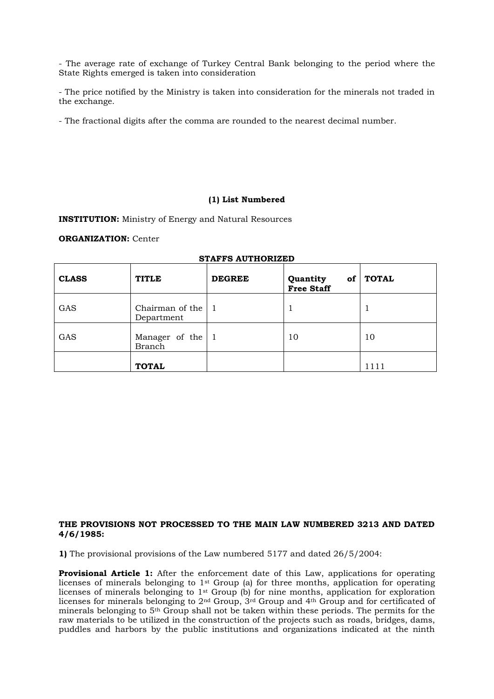- The average rate of exchange of Turkey Central Bank belonging to the period where the State Rights emerged is taken into consideration

- The price notified by the Ministry is taken into consideration for the minerals not traded in the exchange.

- The fractional digits after the comma are rounded to the nearest decimal number.

#### **(1) List Numbered**

**INSTITUTION:** Ministry of Energy and Natural Resources

#### **ORGANIZATION:** Center

| <b>CLASS</b> | <b>TITLE</b>                         | <b>DEGREE</b> | Quantity<br>of<br><b>Free Staff</b> | <b>TOTAL</b> |
|--------------|--------------------------------------|---------------|-------------------------------------|--------------|
| GAS          | Chairman of the $ 1$<br>Department   |               |                                     |              |
| GAS          | Manager of the $ 1$<br><b>Branch</b> |               | 10                                  | 10           |
|              | <b>TOTAL</b>                         |               |                                     | 1111         |

#### **STAFFS AUTHORIZED**

## **THE PROVISIONS NOT PROCESSED TO THE MAIN LAW NUMBERED 3213 AND DATED 4/6/1985:**

**1)** The provisional provisions of the Law numbered 5177 and dated 26/5/2004:

**Provisional Article 1:** After the enforcement date of this Law, applications for operating licenses of minerals belonging to 1st Group (a) for three months, application for operating licenses of minerals belonging to 1st Group (b) for nine months, application for exploration licenses for minerals belonging to 2nd Group, 3rd Group and 4th Group and for certificated of minerals belonging to 5th Group shall not be taken within these periods. The permits for the raw materials to be utilized in the construction of the projects such as roads, bridges, dams, puddles and harbors by the public institutions and organizations indicated at the ninth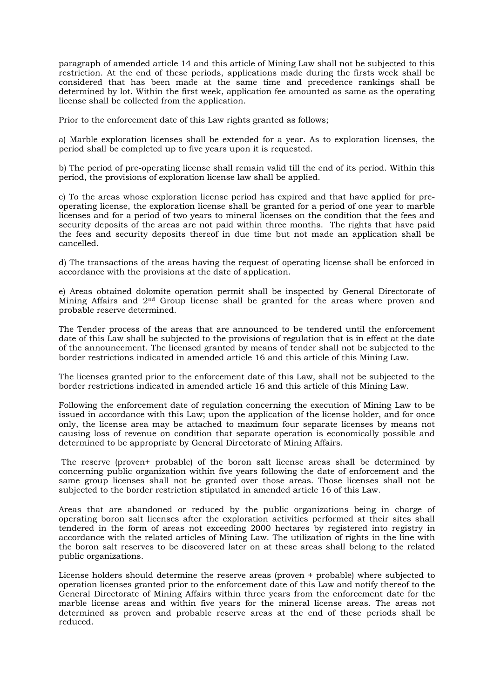paragraph of amended article 14 and this article of Mining Law shall not be subjected to this restriction. At the end of these periods, applications made during the firsts week shall be considered that has been made at the same time and precedence rankings shall be determined by lot. Within the first week, application fee amounted as same as the operating license shall be collected from the application.

Prior to the enforcement date of this Law rights granted as follows;

a) Marble exploration licenses shall be extended for a year. As to exploration licenses, the period shall be completed up to five years upon it is requested.

b) The period of pre-operating license shall remain valid till the end of its period. Within this period, the provisions of exploration license law shall be applied.

c) To the areas whose exploration license period has expired and that have applied for preoperating license, the exploration license shall be granted for a period of one year to marble licenses and for a period of two years to mineral licenses on the condition that the fees and security deposits of the areas are not paid within three months. The rights that have paid the fees and security deposits thereof in due time but not made an application shall be cancelled.

d) The transactions of the areas having the request of operating license shall be enforced in accordance with the provisions at the date of application.

e) Areas obtained dolomite operation permit shall be inspected by General Directorate of Mining Affairs and 2nd Group license shall be granted for the areas where proven and probable reserve determined.

The Tender process of the areas that are announced to be tendered until the enforcement date of this Law shall be subjected to the provisions of regulation that is in effect at the date of the announcement. The licensed granted by means of tender shall not be subjected to the border restrictions indicated in amended article 16 and this article of this Mining Law.

The licenses granted prior to the enforcement date of this Law, shall not be subjected to the border restrictions indicated in amended article 16 and this article of this Mining Law.

Following the enforcement date of regulation concerning the execution of Mining Law to be issued in accordance with this Law; upon the application of the license holder, and for once only, the license area may be attached to maximum four separate licenses by means not causing loss of revenue on condition that separate operation is economically possible and determined to be appropriate by General Directorate of Mining Affairs.

The reserve (proven+ probable) of the boron salt license areas shall be determined by concerning public organization within five years following the date of enforcement and the same group licenses shall not be granted over those areas. Those licenses shall not be subjected to the border restriction stipulated in amended article 16 of this Law.

Areas that are abandoned or reduced by the public organizations being in charge of operating boron salt licenses after the exploration activities performed at their sites shall tendered in the form of areas not exceeding 2000 hectares by registered into registry in accordance with the related articles of Mining Law. The utilization of rights in the line with the boron salt reserves to be discovered later on at these areas shall belong to the related public organizations.

License holders should determine the reserve areas (proven + probable) where subjected to operation licenses granted prior to the enforcement date of this Law and notify thereof to the General Directorate of Mining Affairs within three years from the enforcement date for the marble license areas and within five years for the mineral license areas. The areas not determined as proven and probable reserve areas at the end of these periods shall be reduced.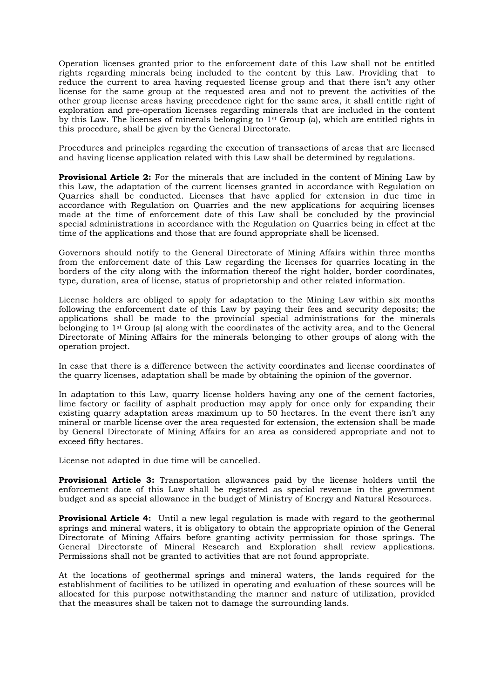Operation licenses granted prior to the enforcement date of this Law shall not be entitled rights regarding minerals being included to the content by this Law. Providing that to reduce the current to area having requested license group and that there isn't any other license for the same group at the requested area and not to prevent the activities of the other group license areas having precedence right for the same area, it shall entitle right of exploration and pre-operation licenses regarding minerals that are included in the content by this Law. The licenses of minerals belonging to  $1<sup>st</sup>$  Group (a), which are entitled rights in this procedure, shall be given by the General Directorate.

Procedures and principles regarding the execution of transactions of areas that are licensed and having license application related with this Law shall be determined by regulations.

**Provisional Article 2:** For the minerals that are included in the content of Mining Law by this Law, the adaptation of the current licenses granted in accordance with Regulation on Quarries shall be conducted. Licenses that have applied for extension in due time in accordance with Regulation on Quarries and the new applications for acquiring licenses made at the time of enforcement date of this Law shall be concluded by the provincial special administrations in accordance with the Regulation on Quarries being in effect at the time of the applications and those that are found appropriate shall be licensed.

Governors should notify to the General Directorate of Mining Affairs within three months from the enforcement date of this Law regarding the licenses for quarries locating in the borders of the city along with the information thereof the right holder, border coordinates, type, duration, area of license, status of proprietorship and other related information.

License holders are obliged to apply for adaptation to the Mining Law within six months following the enforcement date of this Law by paying their fees and security deposits; the applications shall be made to the provincial special administrations for the minerals belonging to 1st Group (a) along with the coordinates of the activity area, and to the General Directorate of Mining Affairs for the minerals belonging to other groups of along with the operation project.

In case that there is a difference between the activity coordinates and license coordinates of the quarry licenses, adaptation shall be made by obtaining the opinion of the governor.

In adaptation to this Law, quarry license holders having any one of the cement factories, lime factory or facility of asphalt production may apply for once only for expanding their existing quarry adaptation areas maximum up to 50 hectares. In the event there isn't any mineral or marble license over the area requested for extension, the extension shall be made by General Directorate of Mining Affairs for an area as considered appropriate and not to exceed fifty hectares.

License not adapted in due time will be cancelled.

**Provisional Article 3:** Transportation allowances paid by the license holders until the enforcement date of this Law shall be registered as special revenue in the government budget and as special allowance in the budget of Ministry of Energy and Natural Resources.

**Provisional Article 4:** Until a new legal regulation is made with regard to the geothermal springs and mineral waters, it is obligatory to obtain the appropriate opinion of the General Directorate of Mining Affairs before granting activity permission for those springs. The General Directorate of Mineral Research and Exploration shall review applications. Permissions shall not be granted to activities that are not found appropriate.

At the locations of geothermal springs and mineral waters, the lands required for the establishment of facilities to be utilized in operating and evaluation of these sources will be allocated for this purpose notwithstanding the manner and nature of utilization, provided that the measures shall be taken not to damage the surrounding lands.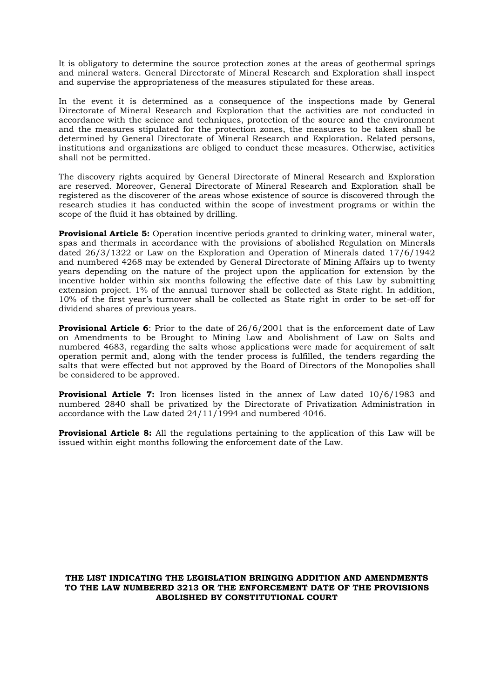It is obligatory to determine the source protection zones at the areas of geothermal springs and mineral waters. General Directorate of Mineral Research and Exploration shall inspect and supervise the appropriateness of the measures stipulated for these areas.

In the event it is determined as a consequence of the inspections made by General Directorate of Mineral Research and Exploration that the activities are not conducted in accordance with the science and techniques, protection of the source and the environment and the measures stipulated for the protection zones, the measures to be taken shall be determined by General Directorate of Mineral Research and Exploration. Related persons, institutions and organizations are obliged to conduct these measures. Otherwise, activities shall not be permitted.

The discovery rights acquired by General Directorate of Mineral Research and Exploration are reserved. Moreover, General Directorate of Mineral Research and Exploration shall be registered as the discoverer of the areas whose existence of source is discovered through the research studies it has conducted within the scope of investment programs or within the scope of the fluid it has obtained by drilling.

**Provisional Article 5:** Operation incentive periods granted to drinking water, mineral water, spas and thermals in accordance with the provisions of abolished Regulation on Minerals dated 26/3/1322 or Law on the Exploration and Operation of Minerals dated 17/6/1942 and numbered 4268 may be extended by General Directorate of Mining Affairs up to twenty years depending on the nature of the project upon the application for extension by the incentive holder within six months following the effective date of this Law by submitting extension project. 1% of the annual turnover shall be collected as State right. In addition, 10% of the first year's turnover shall be collected as State right in order to be set-off for dividend shares of previous years.

**Provisional Article 6**: Prior to the date of 26/6/2001 that is the enforcement date of Law on Amendments to be Brought to Mining Law and Abolishment of Law on Salts and numbered 4683, regarding the salts whose applications were made for acquirement of salt operation permit and, along with the tender process is fulfilled, the tenders regarding the salts that were effected but not approved by the Board of Directors of the Monopolies shall be considered to be approved.

**Provisional Article 7:** Iron licenses listed in the annex of Law dated 10/6/1983 and numbered 2840 shall be privatized by the Directorate of Privatization Administration in accordance with the Law dated 24/11/1994 and numbered 4046.

**Provisional Article 8:** All the regulations pertaining to the application of this Law will be issued within eight months following the enforcement date of the Law.

## **THE LIST INDICATING THE LEGISLATION BRINGING ADDITION AND AMENDMENTS TO THE LAW NUMBERED 3213 OR THE ENFORCEMENT DATE OF THE PROVISIONS ABOLISHED BY CONSTITUTIONAL COURT**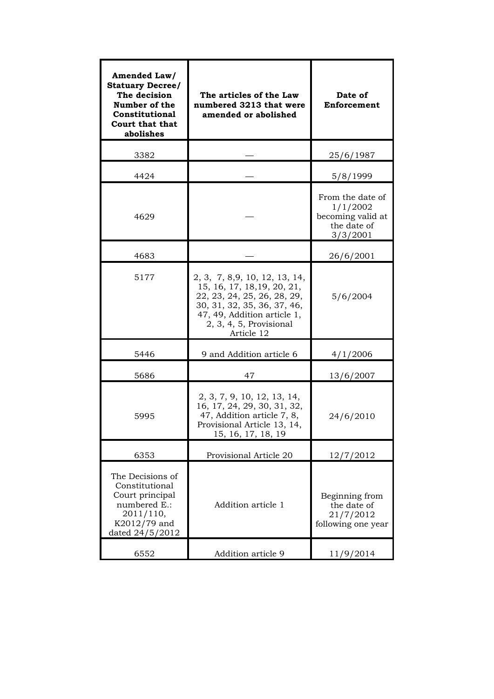| Amended Law/<br><b>Statuary Decree/</b><br>The decision<br>Number of the<br><b>Constitutional</b><br><b>Court that that</b><br>abolishes | The articles of the Law<br>numbered 3213 that were<br>amended or abolished                                                                                                                         | Date of<br>Enforcement                                                       |  |
|------------------------------------------------------------------------------------------------------------------------------------------|----------------------------------------------------------------------------------------------------------------------------------------------------------------------------------------------------|------------------------------------------------------------------------------|--|
| 3382                                                                                                                                     |                                                                                                                                                                                                    | 25/6/1987                                                                    |  |
| 4424                                                                                                                                     |                                                                                                                                                                                                    | 5/8/1999                                                                     |  |
| 4629                                                                                                                                     |                                                                                                                                                                                                    | From the date of<br>1/1/2002<br>becoming valid at<br>the date of<br>3/3/2001 |  |
| 4683                                                                                                                                     |                                                                                                                                                                                                    | 26/6/2001                                                                    |  |
| 5177                                                                                                                                     | 2, 3, 7, 8,9, 10, 12, 13, 14,<br>15, 16, 17, 18, 19, 20, 21,<br>22, 23, 24, 25, 26, 28, 29,<br>30, 31, 32, 35, 36, 37, 46,<br>47, 49, Addition article 1,<br>2, 3, 4, 5, Provisional<br>Article 12 | 5/6/2004                                                                     |  |
| 5446                                                                                                                                     | 9 and Addition article 6                                                                                                                                                                           | 4/1/2006                                                                     |  |
| 5686                                                                                                                                     | 47                                                                                                                                                                                                 | 13/6/2007                                                                    |  |
| 5995                                                                                                                                     | 2, 3, 7, 9, 10, 12, 13, 14,<br>16, 17, 24, 29, 30, 31, 32,<br>47, Addition article 7, 8,<br>Provisional Article 13, 14,<br>15, 16, 17, 18, 19                                                      | 24/6/2010                                                                    |  |
| 6353                                                                                                                                     | Provisional Article 20                                                                                                                                                                             | 12/7/2012                                                                    |  |
| The Decisions of<br>Constitutional<br>Court principal<br>numbered E.:<br>2011/110,<br>K2012/79 and<br>dated 24/5/2012                    | Addition article 1                                                                                                                                                                                 | Beginning from<br>the date of<br>21/7/2012<br>following one year             |  |
| 6552                                                                                                                                     | Addition article 9                                                                                                                                                                                 | 11/9/2014                                                                    |  |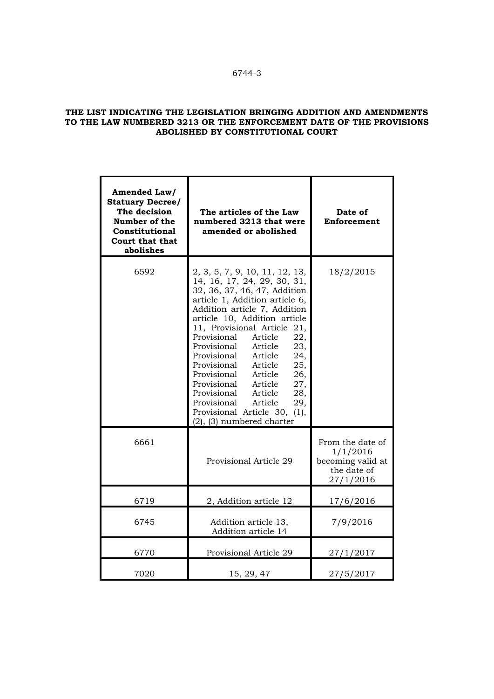# **THE LIST INDICATING THE LEGISLATION BRINGING ADDITION AND AMENDMENTS TO THE LAW NUMBERED 3213 OR THE ENFORCEMENT DATE OF THE PROVISIONS ABOLISHED BY CONSTITUTIONAL COURT**

| Amended Law/<br><b>Statuary Decree/</b><br>The decision<br>Number of the<br><b>Constitutional</b><br><b>Court that that</b><br>abolishes | The articles of the Law<br>numbered 3213 that were<br>amended or abolished                                                                                                                                                                                                                                                                                                                                                                                                                                                                             | Date of<br>Enforcement                                                        |
|------------------------------------------------------------------------------------------------------------------------------------------|--------------------------------------------------------------------------------------------------------------------------------------------------------------------------------------------------------------------------------------------------------------------------------------------------------------------------------------------------------------------------------------------------------------------------------------------------------------------------------------------------------------------------------------------------------|-------------------------------------------------------------------------------|
| 6592                                                                                                                                     | 2, 3, 5, 7, 9, 10, 11, 12, 13,<br>14, 16, 17, 24, 29, 30, 31,<br>32, 36, 37, 46, 47, Addition<br>article 1, Addition article 6,<br>Addition article 7, Addition<br>article 10, Addition article<br>11, Provisional Article 21,<br>Provisional<br>Article<br>22,<br>Provisional<br>Article<br>23,<br>Provisional Article<br>24,<br>Provisional Article<br>25,<br>Provisional Article<br>Provisional Article<br>26,<br>27,<br>Provisional Article<br>28,<br>Provisional Article<br>29,<br>Provisional Article 30, (1),<br>$(2)$ , $(3)$ numbered charter | 18/2/2015                                                                     |
| 6661                                                                                                                                     | Provisional Article 29                                                                                                                                                                                                                                                                                                                                                                                                                                                                                                                                 | From the date of<br>1/1/2016<br>becoming valid at<br>the date of<br>27/1/2016 |
| 6719                                                                                                                                     | 2, Addition article 12                                                                                                                                                                                                                                                                                                                                                                                                                                                                                                                                 | 17/6/2016                                                                     |
| 6745                                                                                                                                     | Addition article 13,<br>Addition article 14                                                                                                                                                                                                                                                                                                                                                                                                                                                                                                            | 7/9/2016                                                                      |
| 6770                                                                                                                                     | Provisional Article 29                                                                                                                                                                                                                                                                                                                                                                                                                                                                                                                                 | 27/1/2017                                                                     |
| 7020                                                                                                                                     | 15, 29, 47                                                                                                                                                                                                                                                                                                                                                                                                                                                                                                                                             | 27/5/2017                                                                     |

# 6744-3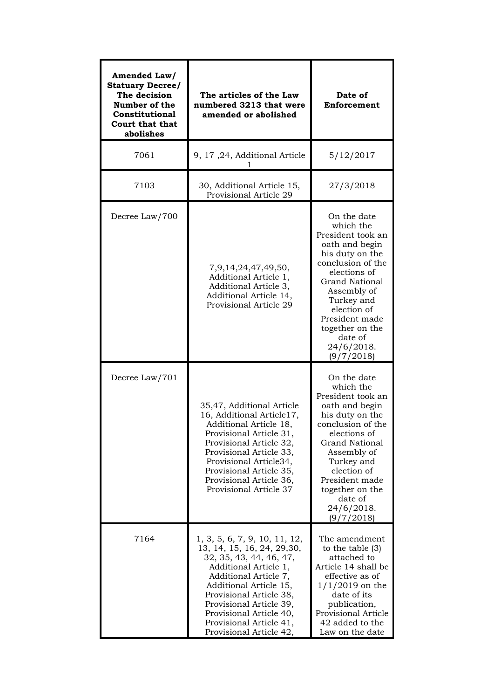| Amended Law/<br><b>Statuary Decree/</b><br>The decision<br>Number of the<br><b>Constitutional</b><br><b>Court that that</b><br>abolishes | The articles of the Law<br>numbered 3213 that were<br>amended or abolished                                                                                                                                                                                                                                 | Date of<br>Enforcement                                                                                                                                                                                                                                                   |  |
|------------------------------------------------------------------------------------------------------------------------------------------|------------------------------------------------------------------------------------------------------------------------------------------------------------------------------------------------------------------------------------------------------------------------------------------------------------|--------------------------------------------------------------------------------------------------------------------------------------------------------------------------------------------------------------------------------------------------------------------------|--|
| 7061                                                                                                                                     | 9, 17, 24, Additional Article                                                                                                                                                                                                                                                                              | 5/12/2017                                                                                                                                                                                                                                                                |  |
| 7103                                                                                                                                     | 30, Additional Article 15,<br>Provisional Article 29                                                                                                                                                                                                                                                       | 27/3/2018                                                                                                                                                                                                                                                                |  |
| Decree Law/700                                                                                                                           | 7,9,14,24,47,49,50,<br>Additional Article 1,<br>Additional Article 3,<br>Additional Article 14,<br>Provisional Article 29                                                                                                                                                                                  | On the date<br>which the<br>President took an<br>oath and begin<br>his duty on the<br>conclusion of the<br>elections of<br><b>Grand National</b><br>Assembly of<br>Turkey and<br>election of<br>President made<br>together on the<br>date of<br>24/6/2018.<br>(9/7/2018) |  |
| Decree Law/701                                                                                                                           | 35,47, Additional Article<br>16, Additional Article17,<br>Additional Article 18,<br>Provisional Article 31,<br>Provisional Article 32,<br>Provisional Article 33,<br>Provisional Article34,<br>Provisional Article 35,<br>Provisional Article 36,<br>Provisional Article 37                                | On the date<br>which the<br>President took an<br>oath and begin<br>his duty on the<br>conclusion of the<br>elections of<br><b>Grand National</b><br>Assembly of<br>Turkey and<br>election of<br>President made<br>together on the<br>date of<br>24/6/2018.<br>(9/7/2018) |  |
| 7164                                                                                                                                     | 1, 3, 5, 6, 7, 9, 10, 11, 12,<br>13, 14, 15, 16, 24, 29, 30,<br>32, 35, 43, 44, 46, 47,<br>Additional Article 1,<br>Additional Article 7,<br>Additional Article 15,<br>Provisional Article 38,<br>Provisional Article 39,<br>Provisional Article 40,<br>Provisional Article 41,<br>Provisional Article 42, | The amendment<br>to the table $(3)$<br>attached to<br>Article 14 shall be<br>effective as of<br>$1/1/2019$ on the<br>date of its<br>publication,<br>Provisional Article<br>42 added to the<br>Law on the date                                                            |  |